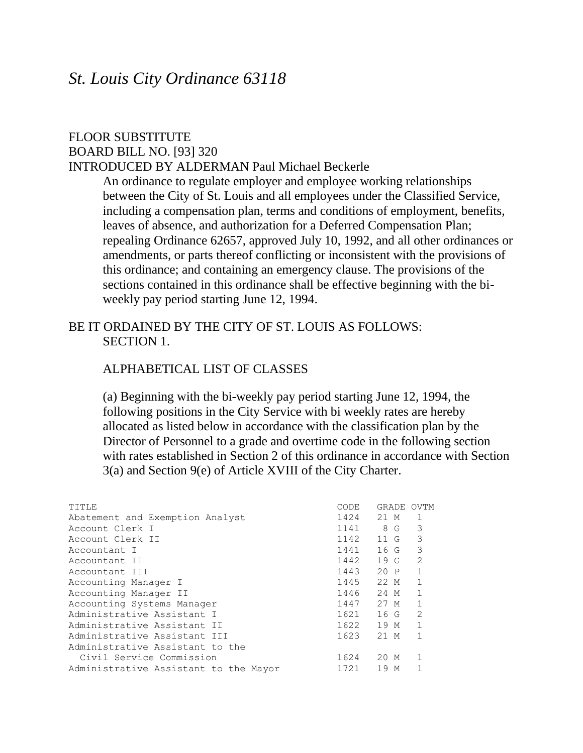## *St. Louis City Ordinance 63118*

#### FLOOR SUBSTITUTE BOARD BILL NO. [93] 320 INTRODUCED BY ALDERMAN Paul Michael Beckerle

An ordinance to regulate employer and employee working relationships between the City of St. Louis and all employees under the Classified Service, including a compensation plan, terms and conditions of employment, benefits, leaves of absence, and authorization for a Deferred Compensation Plan; repealing Ordinance 62657, approved July 10, 1992, and all other ordinances or amendments, or parts thereof conflicting or inconsistent with the provisions of this ordinance; and containing an emergency clause. The provisions of the sections contained in this ordinance shall be effective beginning with the biweekly pay period starting June 12, 1994.

## BE IT ORDAINED BY THE CITY OF ST. LOUIS AS FOLLOWS: SECTION 1.

#### ALPHABETICAL LIST OF CLASSES

(a) Beginning with the bi-weekly pay period starting June 12, 1994, the following positions in the City Service with bi weekly rates are hereby allocated as listed below in accordance with the classification plan by the Director of Personnel to a grade and overtime code in the following section with rates established in Section 2 of this ordinance in accordance with Section 3(a) and Section 9(e) of Article XVIII of the City Charter.

| TITLE                                 | CODE | GRADE   | OVTM         |
|---------------------------------------|------|---------|--------------|
| Abatement and Exemption Analyst       | 1424 | 21 M    | $\mathbf{1}$ |
| Account Clerk I                       | 1141 | 8 G     | 3            |
| Account Clerk II                      | 1142 | 11 G    | 3            |
| Accountant I                          | 1441 | 16 G    | 3            |
| Accountant II                         | 1442 | 19G     | 2            |
| Accountant III                        | 1443 | 20 P    | $\mathbf{1}$ |
| Accounting Manager I                  | 1445 | 22 M    | $\mathbf{1}$ |
| Accounting Manager II                 | 1446 | 24 M    | 1            |
| Accounting Systems Manager            | 1447 | 27 M    | $\mathbf{1}$ |
| Administrative Assistant I            | 1621 | $16_G$  | 2            |
| Administrative Assistant II           | 1622 | 19 M    | $\mathbf{1}$ |
| Administrative Assistant III          | 1623 | 21 M    | $\mathbf{1}$ |
| Administrative Assistant to the       |      |         |              |
| Civil Service Commission              | 1624 | 20 M    | $\mathbf{1}$ |
| Administrative Assistant to the Mayor | 1721 | 19<br>M |              |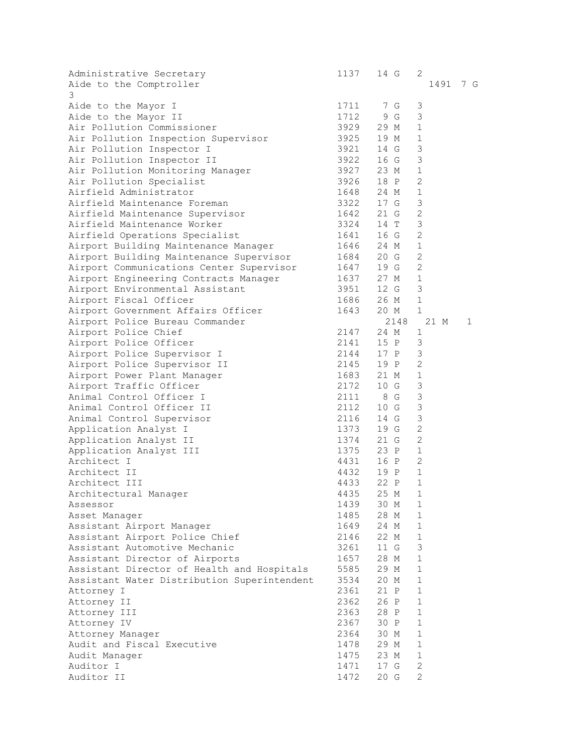| Administrative Secretary<br>Aide to the Comptroller<br>3 |                       | 1137 14 G         | 2              | 1491 7 G |
|----------------------------------------------------------|-----------------------|-------------------|----------------|----------|
| Aide to the Mayor I                                      | 1711                  | 7 G               | $\mathfrak{Z}$ |          |
| Aide to the Mayor II                                     | 1712                  | 9 G               | 3              |          |
| Air Pollution Commissioner                               | 3929                  | 29 M              | $\mathbf 1$    |          |
| Air Pollution Inspection Supervisor                      | 3925                  | 19 M              | $\mathbf 1$    |          |
| Air Pollution Inspector I                                | 3921                  | 14 G              | 3              |          |
| Air Pollution Inspector II                               | 3922                  | 16 G              | 3              |          |
| Air Pollution Monitoring Manager                         | 3927                  | 23 M              | 1              |          |
| Air Pollution Specialist                                 | 3926                  | 18 P              | $\overline{2}$ |          |
| Airfield Administrator                                   |                       | 24 M              | $\mathbf{1}$   |          |
| Airfield Maintenance Foreman                             | 1648<br>3322          | 17 G              | 3              |          |
| Airfield Maintenance Supervisor                          | 1642                  | 21 G              | $\mathbf{2}$   |          |
| Airfield Maintenance Worker                              | 3324                  | 14 T              | 3              |          |
| Airfield Operations Specialist                           | 1641                  | 16 G              | $\overline{2}$ |          |
| Airport Building Maintenance Manager                     | 1646                  | 24 M              | $\mathbf 1$    |          |
| Airport Building Maintenance Supervisor                  | 1684                  | 20 G              | 2              |          |
| Airport Communications Center Supervisor                 | 1647                  | 19 G              | $\overline{2}$ |          |
| Airport Engineering Contracts Manager                    | 1637                  | 27 M              | $\mathbf{1}$   |          |
| Airport Environmental Assistant                          |                       | 12 G              | 3              |          |
| Airport Fiscal Officer                                   | 3951<br>1686          | 26 M              | $\mathbf{1}$   |          |
| Airport Government Affairs Officer                       | 1643                  | 20 M              | $\mathbf{1}$   |          |
| Airport Police Bureau Commander                          |                       | 2148              | 21 M           | 1        |
| Airport Police Chief                                     | 2147                  | 24 M              | 1              |          |
| Airport Police Officer                                   | 2141                  | 15 P              | 3              |          |
| Airport Police Supervisor I                              | 2144                  | 17 P              | 3              |          |
|                                                          | 2145                  | 19 P              | $\overline{2}$ |          |
| Airport Police Supervisor II                             | 1683                  | 21 M              | $\mathbf{1}$   |          |
| Airport Power Plant Manager                              |                       | 10 G              | 3              |          |
| Airport Traffic Officer<br>Animal Control Officer I      | 2172 10 G<br>2111 8 G |                   | 3              |          |
| Animal Control Officer II                                | 2112                  | 10G               | 3              |          |
| Animal Control Supervisor                                | 2116                  | 14 G              | 3              |          |
| Application Analyst I                                    | 1373                  | 19 G              | $\mathbf{2}$   |          |
| Application Analyst II                                   | 1374                  | 21 G              | $\overline{2}$ |          |
| Application Analyst III                                  | 1375                  | 23 P              | $\mathbf 1$    |          |
| Architect I                                              |                       |                   | $\overline{2}$ |          |
| Architect II                                             | 4432                  | 4431 16 P<br>19 P | $\mathbf{1}$   |          |
| Architect III                                            | 4433                  | 22 P              | $\mathbf{1}$   |          |
| Architectural Manager                                    | 4435                  | 25 M              | $1\,$          |          |
| Assessor                                                 | 1439                  | 30 M              | 1              |          |
| Asset Manager                                            | 1485                  | 28 M              | $\mathbf{1}$   |          |
| Assistant Airport Manager                                | 1649                  | 24 M              | 1              |          |
| Assistant Airport Police Chief                           | 2146                  | 22 M              | $\mathbf{1}$   |          |
| Assistant Automotive Mechanic                            | 3261                  | 11 G              | 3              |          |
| Assistant Director of Airports                           | 1657                  | 28 M              | $\mathbf{1}$   |          |
| Assistant Director of Health and Hospitals               | 5585                  | 29 M              | $1\,$          |          |
| Assistant Water Distribution Superintendent              | 3534                  | 20 M              | $\mathbf{1}$   |          |
| Attorney I                                               | 2361                  | 21 P              | $\mathbf{1}$   |          |
| Attorney II                                              | 2362                  | 26 P              | $\mathbf{1}$   |          |
| Attorney III                                             | 2363                  | 28 P              | $\mathbf{1}$   |          |
| Attorney IV                                              | 2367                  | 30 P              | $\mathbf{1}$   |          |
| Attorney Manager                                         | 2364                  | 30 M              | $\mathbf 1$    |          |
| Audit and Fiscal Executive                               | 1478                  | 29 M              | 1              |          |
| Audit Manager                                            | 1475                  | 23 M              | $\mathbf 1$    |          |
| Auditor I                                                | 1471                  | 17 G              | $\overline{c}$ |          |
| Auditor II                                               | 1472                  | 20G               | $\overline{c}$ |          |
|                                                          |                       |                   |                |          |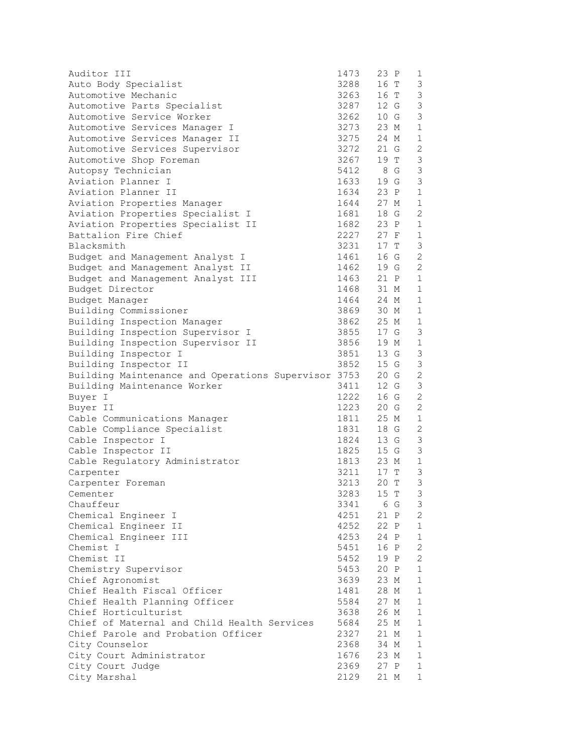| Auditor III                                                                       | 1473 | 23 P                                | $\mathbf 1$    |
|-----------------------------------------------------------------------------------|------|-------------------------------------|----------------|
| Auto Body Specialist                                                              |      | $3288$ $16$ T<br>3263 $16$ T        | 3              |
| Automotive Mechanic                                                               |      |                                     | $\mathfrak{Z}$ |
| Automotive Parts Specialist                                                       |      | 3287 12 G                           | 3              |
| Automotive Service Worker                                                         |      | 3262 10 G                           | 3              |
| Automotive Services Manager I                                                     |      | 3273 23 M                           | $\mathbf{1}$   |
| Automotive Services Manager II                                                    |      | 3275 24 M                           | $\mathbf{1}$   |
| Automotive Services Supervisor                                                    |      | 3272 21 G                           | $\mathbf{2}$   |
| Automotive Shop Foreman                                                           |      | 3267 19 T                           | $\mathsf 3$    |
| Autopsy Technician                                                                |      | 5412 8 G<br>1633 19 G               | $\mathsf 3$    |
| Aviation Planner I                                                                |      |                                     | $\mathfrak{Z}$ |
| Aviation Planner II                                                               |      | $1634$ 23 P                         | $\mathbf 1$    |
| Aviation Properties Manager                                                       |      | 1644 27 M                           | $\mathbf{1}$   |
| Aviation Properties Specialist I                                                  |      | 1681 18 G                           | $\mathbf{2}$   |
| Aviation Properties Specialist II                                                 |      | 1682 23 P                           | $\mathbf{1}$   |
| Battalion Fire Chief                                                              |      | 2227 27 F                           | 1              |
| Blacksmith                                                                        |      | 3231 17 T                           | 3              |
| Budget and Management Analyst I                                                   |      | 1461 16 G<br>1462 19 G<br>1463 21 P | $\mathbf{2}$   |
| Budget and Management Analyst II                                                  |      |                                     | $\overline{2}$ |
| Budget and Management Analyst III                                                 |      |                                     | $\mathbf{1}$   |
| Budget Director                                                                   |      | 1468 31 M                           | $\mathbf{1}$   |
| Budget Manager                                                                    |      | 1464 24 M                           | $\mathbf{1}$   |
| Building Commissioner                                                             |      | 3869 30 M                           | $\mathbf{1}$   |
| Building Inspection Manager                                                       |      | 3862 25 M                           | $\mathbf{1}$   |
| Building Inspection Supervisor I                                                  |      | 3855 17 G                           | 3              |
| Building Inspection Supervisor II                                                 |      | 3856 19 M                           | $\mathbf 1$    |
| Building Inspector I                                                              |      | 3851 13 G                           | 3              |
|                                                                                   |      | 15 G                                | $\mathsf 3$    |
| Building Inspector II 3852<br>Building Maintenance and Operations Supervisor 3753 |      | 20 G                                | $\overline{c}$ |
| Building Maintenance Worker                                                       | 3411 | 12 G                                | $\mathsf 3$    |
| Buyer I                                                                           | 1222 | 16 G                                | $\mathbf{2}$   |
| Buyer II                                                                          |      | 1223 20 G                           | $\mathbf{2}$   |
| Cable Communications Manager                                                      |      | 1811 25 M                           | $\mathbf{1}$   |
| Cable Compliance Specialist                                                       |      | 1831 18 G                           | 2              |
| Cable Inspector I                                                                 |      | 1824 13 G                           | $\mathfrak{Z}$ |
| Cable Inspector II                                                                |      | 1825 15 G<br>1813 23 M<br>3211 17 T | $\mathfrak{Z}$ |
| Cable Regulatory Administrator                                                    |      |                                     | $\mathbf{1}$   |
| Carpenter                                                                         |      |                                     | $\mathfrak{Z}$ |
| Carpenter Foreman                                                                 |      | 3213 20 T                           | $\mathcal{S}$  |
| Cementer                                                                          |      | 3283 15 T                           | 3              |
| Chauffeur                                                                         | 3341 | 6 G                                 | 3              |
| Chemical Engineer I                                                               | 4251 | 21 P                                | $\overline{c}$ |
| Chemical Engineer II                                                              | 4252 | 22 P                                | $\mathbf{1}$   |
| Chemical Engineer III                                                             | 4253 | 24 P                                | $\mathbf{1}$   |
| Chemist I                                                                         | 5451 | 16 P                                | $\mathbf{2}$   |
| Chemist II                                                                        | 5452 | 19 P                                | $\mathbf{2}$   |
| Chemistry Supervisor                                                              | 5453 | 20 P                                | $\mathbf{1}$   |
| Chief Agronomist                                                                  | 3639 | 23 M                                | $\mathbf{1}$   |
| Chief Health Fiscal Officer                                                       | 1481 | 28 M                                | $\mathbf{1}$   |
| Chief Health Planning Officer                                                     | 5584 | 27 M                                | $\mathbf{1}$   |
| Chief Horticulturist                                                              | 3638 | 26 M                                | $\mathbf 1$    |
| Chief of Maternal and Child Health Services                                       | 5684 | 25 M                                | $\mathbf{1}$   |
| Chief Parole and Probation Officer                                                | 2327 | 21 M                                | $\mathbf 1$    |
| City Counselor                                                                    | 2368 | 34 M                                | 1              |
| City Court Administrator                                                          | 1676 | 23 M                                | $\mathbf{1}$   |
| City Court Judge                                                                  | 2369 | 27 P                                | 1              |
| City Marshal                                                                      | 2129 | 21 M                                | $\mathbf{1}$   |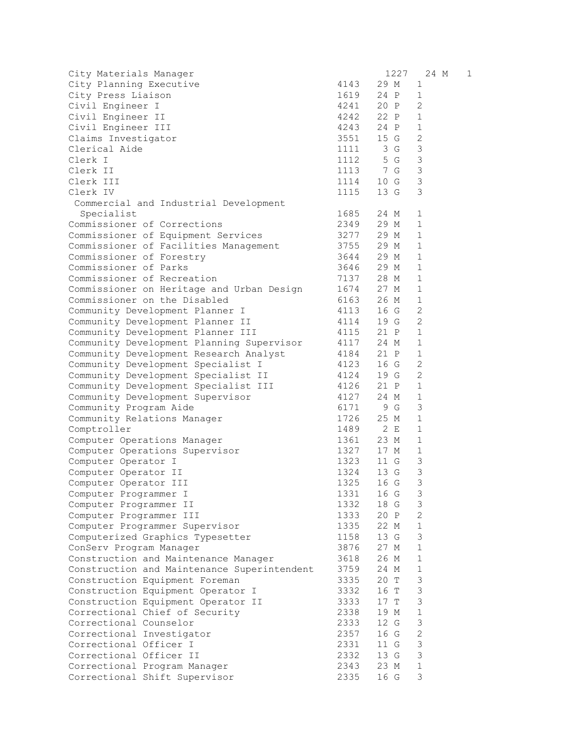| City Materials Manager                      |              | 1227                                | 24 M           | 1 |
|---------------------------------------------|--------------|-------------------------------------|----------------|---|
| City Planning Executive                     | 4143         | 29 M                                | 1              |   |
| City Press Liaison                          | 1619         | 24 P                                | $\mathbf{1}$   |   |
| Civil Engineer I                            |              | 4241 20 P                           | 2              |   |
| Civil Engineer II                           |              | 4242 22 P                           | $\mathbf{1}$   |   |
| Civil Engineer III                          |              | 4243 24 P                           | $\mathbf{1}$   |   |
| Claims Investigator                         |              | 3551 15 G                           | $\overline{c}$ |   |
| Clerical Aide                               | 1111         | 3 G                                 | 3              |   |
| Clerk I                                     | 1112         | 5 G                                 | $\mathfrak{Z}$ |   |
| Clerk II                                    | 1113         | 7 G                                 | $\mathfrak{Z}$ |   |
| Clerk III                                   | 1114         | 10 G                                | $\mathfrak{Z}$ |   |
| Clerk IV                                    | 1115         | 13 G                                | 3              |   |
| Commercial and Industrial Development       |              |                                     |                |   |
| Specialist                                  | 1685         | 24 M                                | 1              |   |
| Commissioner of Corrections                 | 2349 29 M    |                                     | $\mathbf{1}$   |   |
| Commissioner of Equipment Services          |              | 3277 29 M                           | $\mathbf{1}$   |   |
| Commissioner of Facilities Management       | 3755<br>3644 | 29 M                                | $\mathbf{1}$   |   |
| Commissioner of Forestry                    |              | 29 M                                | $\mathbf{1}$   |   |
| Commissioner of Parks                       |              | $3646$ 29 M                         | $\mathbf{1}$   |   |
| Commissioner of Recreation                  | 7137         | 28 M                                | $\mathbf{1}$   |   |
| Commissioner on Heritage and Urban Design   | 1674         | 27 M                                | $\mathbf{1}$   |   |
| Commissioner on the Disabled                | 6163         | 26 M                                | $\mathbf{1}$   |   |
| Community Development Planner I             | 4113         | 16 G                                | 2              |   |
| Community Development Planner II            | 4114         | 19 G                                | $\overline{2}$ |   |
| Community Development Planner III           | 4115         | 21 P                                | $\mathbf{1}$   |   |
| Community Development Planning Supervisor   | 4117         | 24 M                                | $\mathbf{1}$   |   |
| Community Development Research Analyst      | 4184<br>4123 | 21 P                                | $\mathbf{1}$   |   |
| Community Development Specialist I          |              | 16 G                                | 2              |   |
| Community Development Specialist II         | 4124         | 19 G                                | 2              |   |
| Community Development Specialist III        | 4126         | 21 P                                | $\mathbf{1}$   |   |
| Community Development Supervisor            | 4127         | 24 M                                | 1              |   |
| Community Program Aide                      |              | 6171 9 G                            | 3              |   |
| Community Relations Manager                 |              | 1726 25 M                           | $\mathbf{1}$   |   |
| Comptroller                                 | 1489 2 E     |                                     | $\mathbf{1}$   |   |
| Computer Operations Manager                 |              | 1361 23 M<br>1327 17 M<br>1323 11 G | $\mathbf{1}$   |   |
| Computer Operations Supervisor              |              |                                     | $\mathbf{1}$   |   |
| Computer Operator I                         |              |                                     | $\mathfrak{Z}$ |   |
| Computer Operator II                        | 1324         | 13 G                                | $\mathcal{S}$  |   |
| Computer Operator III                       | 1325         | 16 G                                | 3              |   |
| Computer Programmer I                       | 1331         | 16 G                                | 3              |   |
| Computer Programmer II                      | 1332         | 18 G                                | 3              |   |
| Computer Programmer III                     | 1333         | 20 P                                | 2              |   |
| Computer Programmer Supervisor              | 1335         | 22 M                                | $\mathbf{1}$   |   |
| Computerized Graphics Typesetter            | 1158         | 13 G                                | 3              |   |
| ConServ Program Manager                     | 3876         | 27 M                                | $\mathbf{1}$   |   |
| Construction and Maintenance Manager        | 3618         | 26 M                                | $\mathbf{1}$   |   |
| Construction and Maintenance Superintendent | 3759         | 24 M                                | $\mathbf 1$    |   |
| Construction Equipment Foreman              | 3335         | 20 T                                | 3              |   |
| Construction Equipment Operator I           | 3332         | 16 T                                | $\mathsf 3$    |   |
| Construction Equipment Operator II          | 3333         | 17 T                                | 3              |   |
| Correctional Chief of Security              | 2338         | 19 M                                | $1\,$          |   |
| Correctional Counselor                      | 2333         | 12 G                                | $\mathsf 3$    |   |
| Correctional Investigator                   | 2357         | 16 G                                | $\sqrt{2}$     |   |
| Correctional Officer I                      | 2331         | 11 G                                | $\mathsf 3$    |   |
| Correctional Officer II                     | 2332         | 13 G                                | 3              |   |
| Correctional Program Manager                | 2343         | 23 M                                | $\mathbf{1}$   |   |
| Correctional Shift Supervisor               | 2335         | 16 G                                | 3              |   |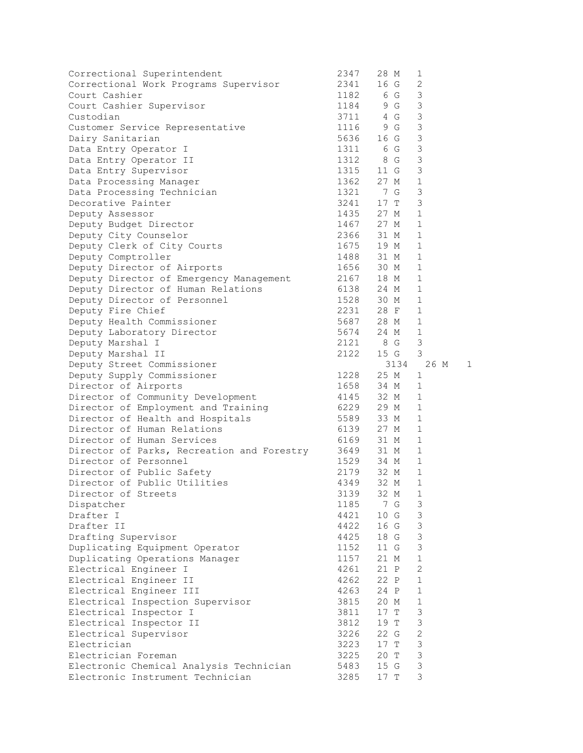| Correctional Superintendent                | 2347                  | 28 M      | 1              |              |
|--------------------------------------------|-----------------------|-----------|----------------|--------------|
| Correctional Work Programs Supervisor      |                       | 2341 16 G | $\mathbf{2}$   |              |
| Court Cashier                              |                       | 1182 6 G  | $\mathfrak{Z}$ |              |
| Court Cashier Supervisor                   |                       | 1184 9 G  | $\mathfrak{Z}$ |              |
| Custodian                                  |                       | 3711 4 G  | $\mathsf 3$    |              |
| Customer Service Representative            | 1116                  | 9 G       | 3              |              |
| Dairy Sanitarian                           |                       | 5636 16 G | 3              |              |
| Data Entry Operator I                      | 1311                  | 6 G       | $\mathfrak{Z}$ |              |
| Data Entry Operator II                     |                       |           | $\mathsf 3$    |              |
| Data Entry Supervisor                      | 1312 8 G<br>1315 11 G |           | $\mathsf 3$    |              |
| Data Processing Manager                    |                       | 1362 27 M | $\mathbf{1}$   |              |
| Data Processing Technician                 |                       | 1321 7 G  | 3              |              |
| Decorative Painter                         |                       | 3241 17 T | 3              |              |
| Deputy Assessor                            |                       | 1435 27 M | $\mathbf 1$    |              |
| Deputy Budget Director                     |                       | 1467 27 M | $\mathbf 1$    |              |
| Deputy City Counselor                      |                       | 2366 31 M | $\mathbf{1}$   |              |
| Deputy Clerk of City Courts                |                       | 1675 19 M | $\mathbf{1}$   |              |
| Deputy Comptroller                         |                       | 1488 31 M | $\mathbf{1}$   |              |
| Deputy Director of Airports                | 1656                  | 30 M      | $\mathbf{1}$   |              |
| Deputy Director of Emergency Management    |                       | 2167 18 M | $\mathbf 1$    |              |
| Deputy Director of Human Relations         |                       | 6138 24 M | $\mathbf 1$    |              |
| Deputy Director of Personnel               |                       | 1528 30 M | $\mathbf{1}$   |              |
| Deputy Fire Chief                          |                       | 2231 28 F | 1              |              |
| Deputy Health Commissioner                 |                       | 5687 28 M | 1              |              |
| Deputy Laboratory Director                 |                       | 5674 24 M | $\mathbf{1}$   |              |
| Deputy Marshal I                           |                       | 2121 8 G  | 3              |              |
| Deputy Marshal II                          | 2122                  | 15 G      | 3              |              |
| Deputy Street Commissioner                 |                       |           | 3134 26 M      | $\mathbf{1}$ |
| Deputy Supply Commissioner                 | 1228                  | 25 M      | $\mathbf{1}$   |              |
| Director of Airports                       |                       | 1658 34 M | $\mathbf 1$    |              |
| Director of Community Development          |                       | 4145 32 M | 1              |              |
| Director of Employment and Training        |                       | 6229 29 M | $\mathbf 1$    |              |
| Director of Health and Hospitals           |                       | 5589 33 M | 1              |              |
| Director of Human Relations                |                       | 6139 27 M | $\mathbf 1$    |              |
| Director of Human Services                 |                       | 6169 31 M | $\mathbf{1}$   |              |
| Director of Parks, Recreation and Forestry | 3649                  | 31 M      | $\mathbf{1}$   |              |
| Director of Personnel                      | 1529                  | 34 M      | $\mathbf{1}$   |              |
| Director of Public Safety                  |                       | 2179 32 M | $\mathbf 1$    |              |
| Director of Public Utilities               | 4349                  | 32 M      | $\mathbf{1}$   |              |
| Director of Streets                        | 3139                  | 32 M      | $\mathbf{1}$   |              |
| Dispatcher                                 | 1185                  | 7 G       | 3              |              |
| Drafter I                                  | 4421                  | 10 G      | 3              |              |
| Drafter II                                 | 4422                  | 16 G      | $\mathsf 3$    |              |
| Drafting Supervisor                        | 4425                  | 18 G      | 3              |              |
| Duplicating Equipment Operator             | 1152                  | 11 G      | $\mathsf 3$    |              |
| Duplicating Operations Manager             | 1157                  | 21 M      | $\mathbf 1$    |              |
| Electrical Engineer I                      | 4261                  | 21 P      | $\overline{c}$ |              |
| Electrical Engineer II                     | 4262                  | 22 P      | $\mathbf 1$    |              |
| Electrical Engineer III                    | 4263                  | 24 P      | $\mathbf 1$    |              |
| Electrical Inspection Supervisor           | 3815                  | 20 M      | 1              |              |
| Electrical Inspector I                     | 3811                  | $17$ T    | 3              |              |
| Electrical Inspector II                    | 3812                  | 19 T      | 3              |              |
| Electrical Supervisor                      | 3226                  | 22 G      | $\mathbf 2$    |              |
| Electrician                                | 3223                  | 17T       | $\mathsf 3$    |              |
| Electrician Foreman                        | 3225                  | 20 T      | $\mathsf 3$    |              |
| Electronic Chemical Analysis Technician    | 5483                  | 15 G      | $\mathsf 3$    |              |
| Electronic Instrument Technician           | 3285                  | 17 T      | 3              |              |
|                                            |                       |           |                |              |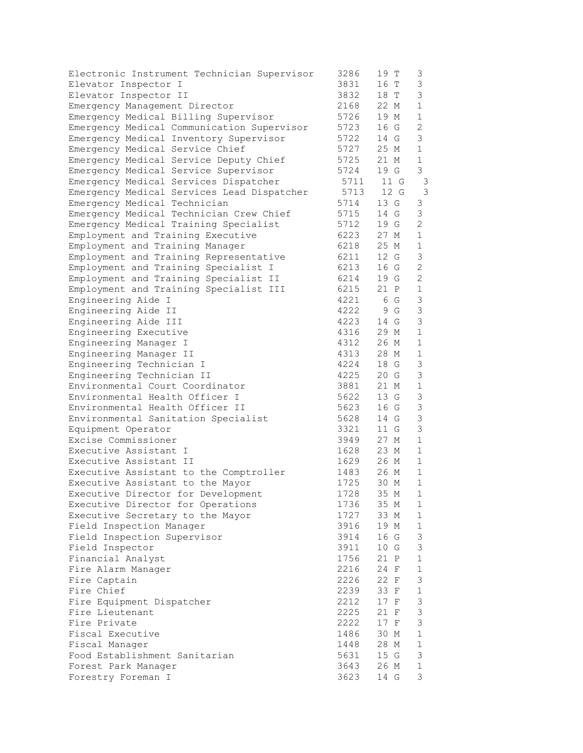| Electronic Instrument Technician Supervisor | 3286 | 19 T | 3              |
|---------------------------------------------|------|------|----------------|
| Elevator Inspector I                        | 3831 | 16 T | 3              |
| Elevator Inspector II                       | 3832 | 18 T | 3              |
| Emergency Management Director               | 2168 | 22 M | $\mathbf 1$    |
| Emergency Medical Billing Supervisor        | 5726 | 19 M | $\mathbf 1$    |
| Emergency Medical Communication Supervisor  | 5723 | 16 G | $\overline{2}$ |
| Emergency Medical Inventory Supervisor      | 5722 | 14 G | 3              |
| Emergency Medical Service Chief             | 5727 | 25 M | $\mathbf 1$    |
| Emergency Medical Service Deputy Chief      | 5725 | 21 M | $\mathbf{1}$   |
| Emergency Medical Service Supervisor        | 5724 | 19 G | 3              |
| Emergency Medical Services Dispatcher       | 5711 | 11 G | 3              |
| Emergency Medical Services Lead Dispatcher  | 5713 | 12 G | 3              |
| Emergency Medical Technician                | 5714 | 13 G | 3              |
| Emergency Medical Technician Crew Chief     | 5715 | 14 G | 3              |
| Emergency Medical Training Specialist       | 5712 | 19 G | $\overline{2}$ |
| Employment and Training Executive           | 6223 | 27 M | $\mathbf 1$    |
| Employment and Training Manager             | 6218 | 25 M | 1              |
| Employment and Training Representative      | 6211 | 12 G | 3              |
| Employment and Training Specialist I        | 6213 | 16 G | $\mathbf{2}$   |
| Employment and Training Specialist II       | 6214 | 19 G | $\overline{2}$ |
| Employment and Training Specialist III      | 6215 | 21 P | $\mathbf 1$    |
| Engineering Aide I                          | 4221 | 6 G  | 3              |
| Engineering Aide II                         | 4222 | 9 G  | 3              |
| Engineering Aide III                        | 4223 | 14 G | 3              |
| Engineering Executive                       | 4316 | 29 M | 1              |
| Engineering Manager I                       | 4312 | 26 M | 1              |
| Engineering Manager II                      | 4313 | 28 M | $\mathbf{1}$   |
| Engineering Technician I                    | 4224 | 18 G | 3              |
| Engineering Technician II                   | 4225 | 20 G | 3              |
| Environmental Court Coordinator             | 3881 | 21 M | $\mathbf 1$    |
| Environmental Health Officer I              | 5622 | 13 G | 3              |
| Environmental Health Officer II             | 5623 | 16 G | 3              |
| Environmental Sanitation Specialist         | 5628 | 14 G | 3              |
| Equipment Operator                          | 3321 | 11 G | 3              |
| Excise Commissioner                         | 3949 | 27 M | 1              |
| Executive Assistant I                       | 1628 | 23 M | $\mathbf 1$    |
| Executive Assistant II                      | 1629 | 26 M | $\mathbf{1}$   |
| Executive Assistant to the Comptroller      | 1483 | 26 M | $\mathbf 1$    |
| Executive Assistant to the Mayor            | 1725 | 30 M | $\mathbf 1$    |
| Executive Director for Development          | 1728 | 35 M | $\mathbf{1}$   |
| Executive Director for Operations           | 1736 | 35 M | 1              |
| Executive Secretary to the Mayor            | 1727 | 33 M | $\mathbf{1}$   |
| Field Inspection Manager                    | 3916 | 19 M | 1              |
| Field Inspection Supervisor                 | 3914 | 16 G | $\mathfrak{Z}$ |
| Field Inspector                             | 3911 | 10 G | 3              |
| Financial Analyst                           | 1756 | 21 P | $\mathbf 1$    |
| Fire Alarm Manager                          | 2216 | 24 F | $\mathbf{1}$   |
| Fire Captain                                | 2226 | 22 F | $\mathfrak{Z}$ |
| Fire Chief                                  | 2239 | 33 F | $\mathbf 1$    |
| Fire Equipment Dispatcher                   | 2212 | 17 F | 3              |
| Fire Lieutenant                             | 2225 | 21 F | $\mathfrak{Z}$ |
| Fire Private                                | 2222 | 17 F | 3              |
| Fiscal Executive                            | 1486 | 30 M | 1              |
| Fiscal Manager                              | 1448 | 28 M | 1              |
| Food Establishment Sanitarian               | 5631 | 15 G | $\mathfrak{Z}$ |
| Forest Park Manager                         | 3643 | 26 M | $\mathbf{1}$   |
| Forestry Foreman I                          | 3623 | 14 G | 3              |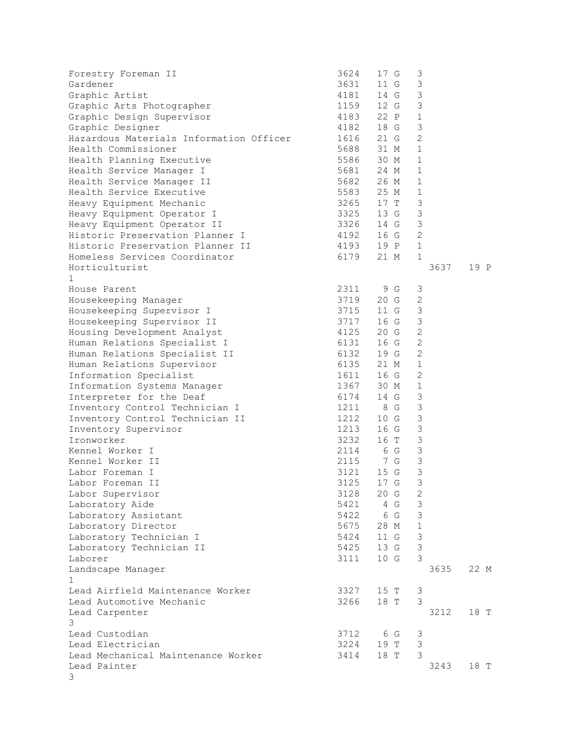| Forestry Foreman II<br>Gardener<br>Graphic Artist<br>Graphic Arts Photographer<br>Graphic Design Supervisor<br>Graphic Designer<br>Hazardous Materials Information Officer<br>Health Commissioner<br>Health Planning Executive<br>Health Service Manager I<br>Health Service Manager II<br>Health Service Executive<br>Heavy Equipment Mechanic<br>Heavy Equipment Operator I<br>Heavy Equipment Operator II<br>Historic Preservation Planner I<br>Historic Preservation Planner II<br>Homeless Services Coordinator                                                                                                                                                                                     | 3624<br>3631<br>4181<br>1159<br>4183<br>4182<br>1616<br>5688<br>5586<br>5681<br>5682<br>5583<br>3326<br>4192<br>6179                                 | 17 G<br>11 G<br>14 G<br>12 G<br>22 P<br>18 G<br>21 G<br>31 M<br>30 M<br>24 M<br>26 M<br>25 M<br>3265 17 T<br>3325 13 G<br>14 G<br>16 G<br>4193 19 P<br>21 M                                                                                 | $\mathfrak{Z}$<br>$\mathsf 3$<br>3<br>3<br>$\mathbf{1}$<br>3<br>$\overline{2}$<br>$\mathbf{1}$<br>$\mathbf{1}$<br>$\mathbf{1}$<br>$\mathbf{1}$<br>$\mathbf{1}$<br>3<br>3<br>3<br>$\overline{2}$<br>$\mathbf{1}$<br>$\mathbf{1}$                                                                        |      |
|----------------------------------------------------------------------------------------------------------------------------------------------------------------------------------------------------------------------------------------------------------------------------------------------------------------------------------------------------------------------------------------------------------------------------------------------------------------------------------------------------------------------------------------------------------------------------------------------------------------------------------------------------------------------------------------------------------|------------------------------------------------------------------------------------------------------------------------------------------------------|---------------------------------------------------------------------------------------------------------------------------------------------------------------------------------------------------------------------------------------------|--------------------------------------------------------------------------------------------------------------------------------------------------------------------------------------------------------------------------------------------------------------------------------------------------------|------|
| Horticulturist                                                                                                                                                                                                                                                                                                                                                                                                                                                                                                                                                                                                                                                                                           |                                                                                                                                                      |                                                                                                                                                                                                                                             | 3637                                                                                                                                                                                                                                                                                                   | 19 P |
| $\mathbf{1}$<br>House Parent<br>Housekeeping Manager<br>Housekeeping Supervisor I<br>Housekeeping Supervisor II<br>Housing Development Analyst<br>Human Relations Specialist I<br>Human Relations Specialist II<br>Human Relations Supervisor<br>Information Specialist<br>Information Systems Manager<br>Interpreter for the Deaf<br>Inventory Control Technician I<br>Inventory Control Technician II<br>Inventory Supervisor<br>Ironworker<br>Kennel Worker I<br>Kennel Worker II<br>Labor Foreman I<br>Labor Foreman II<br>Labor Supervisor<br>Laboratory Aide<br>Laboratory Assistant<br>Laboratory Director<br>Laboratory Technician I<br>Laboratory Technician II<br>Laborer<br>Landscape Manager | 2311<br>3719<br>3715<br>3717<br>4125<br>6131<br>6132<br>6135<br>1611<br>1212<br>1213<br>3232<br>2115<br>3125<br>3128<br>5675<br>5424<br>5425<br>3111 | 9 G<br>20 G<br>11 G<br>16 G<br>20 G<br>16 G<br>19 G<br>21 M<br>16 G<br>1367 30 M<br>6174 14 G<br>1211 8 G<br>10 G<br>16 G<br>16 T<br>$2114$ 6 G<br>7 G<br>3121 15 G<br>17 G<br>20 G<br>5421 4 G<br>5422 6 G<br>28 M<br>11 G<br>13 G<br>10 G | 3<br>2<br>$\mathfrak{Z}$<br>3<br>$\overline{c}$<br>$\overline{c}$<br>$\overline{2}$<br>$\mathbf{1}$<br>$\overline{c}$<br>$\mathbf{1}$<br>3<br>3<br>3<br>3<br>$\mathfrak{Z}$<br>$\mathfrak{Z}$<br>3<br>$\mathcal{S}$<br>3<br>$\overline{2}$<br>3<br>3<br>$\mathbf 1$<br>3<br>$\mathcal{S}$<br>3<br>3635 | 22 M |
| $\mathbf{1}$<br>Lead Airfield Maintenance Worker                                                                                                                                                                                                                                                                                                                                                                                                                                                                                                                                                                                                                                                         | 3327                                                                                                                                                 | 15 T                                                                                                                                                                                                                                        | 3                                                                                                                                                                                                                                                                                                      |      |
| Lead Automotive Mechanic<br>Lead Carpenter<br>3                                                                                                                                                                                                                                                                                                                                                                                                                                                                                                                                                                                                                                                          | 3266                                                                                                                                                 | 18 T                                                                                                                                                                                                                                        | 3<br>3212                                                                                                                                                                                                                                                                                              | 18 T |
| Lead Custodian<br>Lead Electrician<br>Lead Mechanical Maintenance Worker                                                                                                                                                                                                                                                                                                                                                                                                                                                                                                                                                                                                                                 | 3712<br>3224<br>3414                                                                                                                                 | 6 G<br>19 T<br>18 T                                                                                                                                                                                                                         | 3<br>3<br>3                                                                                                                                                                                                                                                                                            |      |
| Lead Painter<br>3                                                                                                                                                                                                                                                                                                                                                                                                                                                                                                                                                                                                                                                                                        |                                                                                                                                                      |                                                                                                                                                                                                                                             | 3243                                                                                                                                                                                                                                                                                                   | 18 T |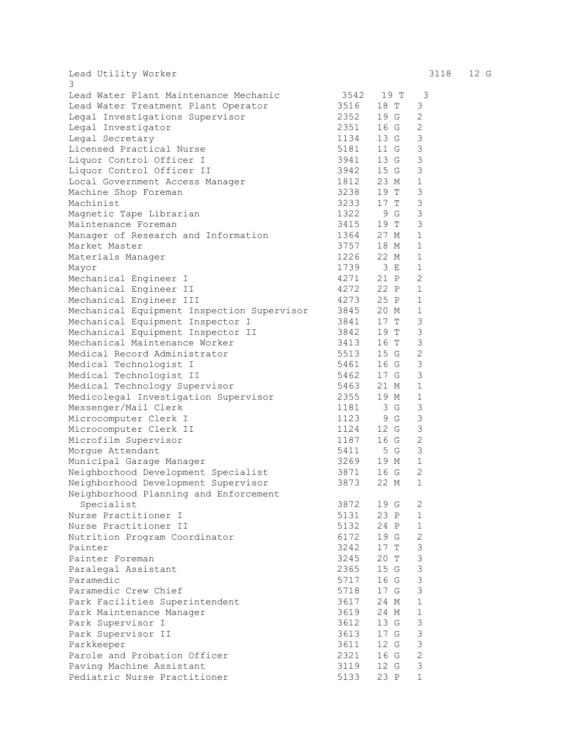Lead Utility Worker 3118 12 G 3 Lead Water Plant Maintenance Mechanic 3542 19 T 3 Lead Water Treatment Plant Operator 3516 18 T 3 Legal Investigations Supervisor 2352 19 G 2 Legal Investigator 2351 16 G 2 Legal Secretary 1134 13 G 3 Licensed Practical Nurse 1988 1991 11 G 3 Liquor Control Officer I 3941 13 G 3 Liquor Control Officer II 3942 15 G 3 Local Government Access Manager 1812 23 M 1 Machine Shop Foreman 3238 19 T 3 Machinist 3233 17 T 3 Magnetic Tape Librarian 1322 9 G 3 Maintenance Foreman 3415 19 T 3 Manager of Research and Information 1364 27 M 1<br>Market Master 18 M 1 Market Master 3757 18 M 1 Materials Manager 1226 22 M 1 Mayor 1739 3 E 1 Mechanical Engineer I and 4271 21 P 2 Mechanical Engineer II and 4272 22 P 1 Mechanical Engineer III 4273 25 P 1 Mechanical Equipment Inspection Supervisor 3845 20 M 1 Mechanical Equipment Inspector I 3841 17 T 3 Mechanical Equipment Inspector II 3842 19 T 3 Mechanical Maintenance Worker 3413 16 T 3 Medical Record Administrator 6513 15 G 2 Medical Technologist I 5461 16 G 3 Medical Technologist II 5462 17 G 3 Medical Technology Supervisor 5463 21 M 1 Medicolegal Investigation Supervisor 2355 19 M 1 Messenger/Mail Clerk 1181 3 G 3 Messenger/Mail Clerk<br>
Microcomputer Clerk I 1123 9 G 3 Microcomputer Clerk II 1124 12 G 3 Microfilm Supervisor 1187 16 G 2 Morgue Attendant 1999 and 1999 and 1999 and 1999 and 1999 and 1999 and 1999 and 1999 and 1999 and 1999 and 19 Municipal Garage Manager 3269 19 M 1 Neighborhood Development Specialist 3871 16 G 2 Neighborhood Development Supervisor 3873 22 M 1 Neighborhood Planning and Enforcement Specialist 3872 19 G 2 Nurse Practitioner I 5131 23 P 1<br>Nurse Practitioner II 5132 24 P 1 Nurse Practitioner II 5132 24 P 1 Nutrition Program Coordinator 6172 19 G 2 Painter 3242 17 T 3 Painter Foreman 3245 20 T 3 Paralegal Assistant 15 C 2365 15 G 3 Paramedic 5717 16 G 3 Paramedic Crew Chief 5718 17 G 3<br>
Park Facilities Superintendent 5718 17 G 3<br>
Park Maintenance Manager 5619 24 M 1 Park Facilities Superintendent 3617 24 M 1 Park Maintenance Manager 3619 24 M 1 Park Supervisor I 3612 13 G 3 Park Supervisor II 3613 17 G 3 Parkkeeper 3611 12 G 3 Parole and Probation Officer<br>
Paving Machine Assistant<br>
Pediatric Nurse Practitioner<br>
Pediatric Nurse Practitioner<br>
5133 23 P 1 Paving Machine Assistant Pediatric Nurse Practitioner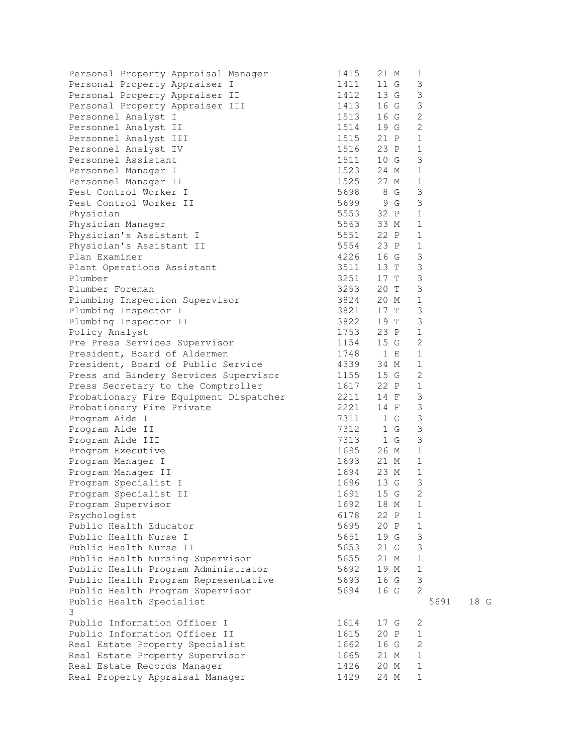| Personal Property Appraisal Manager    | 1415      | 21 M                   | 1              |      |
|----------------------------------------|-----------|------------------------|----------------|------|
| Personal Property Appraiser I          |           | 1411 11 G              | $\mathfrak{Z}$ |      |
| Personal Property Appraiser II         |           | 1412 13 G              | $\mathsf 3$    |      |
| Personal Property Appraiser III        |           | 1413 16 G              | 3              |      |
| Personnel Analyst I                    |           | 1513 16 G              | $\mathbf{2}$   |      |
| Personnel Analyst II                   |           | 1514 19 G              | 2              |      |
| Personnel Analyst III                  |           | 1515 21 P              | 1              |      |
| Personnel Analyst IV                   |           | 1516 23 P              | $\mathbf{1}$   |      |
| Personnel Assistant                    |           |                        | 3              |      |
| Personnel Manager I                    |           | 1511 10 G<br>1523 24 M | $\mathbf{1}$   |      |
| Personnel Manager II                   |           | 1525 27 M              | $\mathbf{1}$   |      |
| Pest Control Worker I                  |           | 5698 8 G               | 3              |      |
| Pest Control Worker II                 |           | 5699 9 G               | 3              |      |
| Physician                              |           | 5553 32 P              | 1              |      |
| Physician Manager                      |           | 5563 33 M              | $\mathbf{1}$   |      |
| Physician's Assistant I                |           | 5551 22 P              | $\mathbf{1}$   |      |
| Physician's Assistant II               |           |                        | $\mathbf{1}$   |      |
| Plan Examiner                          |           | 5554 23 P              | $\mathfrak{Z}$ |      |
|                                        |           | 4226 16 G<br>3511 13 T | $\mathfrak{Z}$ |      |
| Plant Operations Assistant             |           | $3251$ $17$ T          | $\mathfrak{Z}$ |      |
| Plumber                                |           | 3253 20 T              | 3              |      |
| Plumber Foreman                        |           |                        |                |      |
| Plumbing Inspection Supervisor         |           | 3824 20 M              | $\mathbf{1}$   |      |
| Plumbing Inspector I                   |           | 3821 17 T              | $\mathsf 3$    |      |
| Plumbing Inspector II                  | 3822 19 T |                        | 3              |      |
| Policy Analyst                         |           | 1753 23 P              | $\mathbf{1}$   |      |
| Pre Press Services Supervisor          | 1154 15 G |                        | $\overline{2}$ |      |
| President, Board of Aldermen           |           | 1748 1 E<br>4339 34 M  | $\mathbf{1}$   |      |
| President, Board of Public Service     |           |                        | $\mathbf{1}$   |      |
| Press and Bindery Services Supervisor  |           | $1155$ $15 G$          | 2              |      |
| Press Secretary to the Comptroller     |           | 1617 22 P              | $\mathbf{1}$   |      |
| Probationary Fire Equipment Dispatcher |           | 2211 14 F              | 3              |      |
| Probationary Fire Private              |           | 2221 14 F              | $\mathfrak{Z}$ |      |
| Program Aide I                         | 7311 1 G  |                        | $\mathsf 3$    |      |
| Program Aide II                        |           | 7312 1 G               | $\mathfrak{Z}$ |      |
| Program Aide III                       | 7313 1 G  |                        | $\mathfrak{Z}$ |      |
| Program Executive                      |           | 1695 26 M<br>1693 21 M | $\mathbf{1}$   |      |
| Program Manager I                      |           |                        | $\mathbf{1}$   |      |
| Program Manager II                     |           | 1694 23 M              | $\mathbf{1}$   |      |
| Program Specialist I                   |           | 1696 13 G              | 3              |      |
| Program Specialist II                  |           | 1691 15 G              | 2              |      |
| Program Supervisor                     | 1692      | 18 M                   | 1              |      |
| Psychologist                           | 6178      | 22 P                   | 1              |      |
| Public Health Educator                 | 5695      | 20 P                   | 1              |      |
| Public Health Nurse I                  | 5651      | 19 G                   | $\mathsf 3$    |      |
| Public Health Nurse II                 | 5653      | 21 G                   | $\mathsf 3$    |      |
| Public Health Nursing Supervisor       | 5655      | 21 M                   | $\mathbf{1}$   |      |
| Public Health Program Administrator    | 5692      | 19 M                   | $1\,$          |      |
| Public Health Program Representative   | 5693      | 16 G                   | 3              |      |
| Public Health Program Supervisor       | 5694      | 16 G                   | 2              |      |
| Public Health Specialist               |           |                        | 5691           | 18 G |
| 3                                      |           |                        |                |      |
| Public Information Officer I           | 1614      | 17 G                   | 2              |      |
| Public Information Officer II          | 1615      | 20 P                   | 1              |      |
| Real Estate Property Specialist        | 1662      | 16 G                   | $\mathbf{2}$   |      |
| Real Estate Property Supervisor        | 1665      | 21 M                   | $\mathbf{1}$   |      |
| Real Estate Records Manager            | 1426      | 20 M                   | $\mathbf 1$    |      |
| Real Property Appraisal Manager        | 1429      | 24 M                   | $\mathbf{1}$   |      |
|                                        |           |                        |                |      |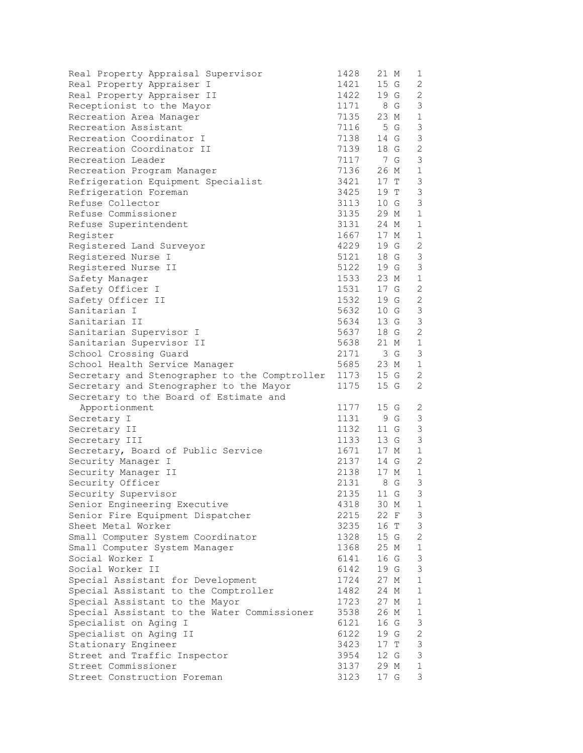| Real Property Appraisal Supervisor            | 1428 | 21 M      | 1              |
|-----------------------------------------------|------|-----------|----------------|
| Real Property Appraiser I                     | 1421 | 15 G      | 2              |
| Real Property Appraiser II                    | 1422 | 19 G      | 2              |
| Receptionist to the Mayor                     | 1171 | 8 G       | 3              |
| Recreation Area Manager                       | 7135 | 23 M      | $\mathbf{1}$   |
| Recreation Assistant                          | 7116 | 5 G       | 3              |
| Recreation Coordinator I                      | 7138 | 14 G      | $\mathfrak{Z}$ |
| Recreation Coordinator II                     | 7139 | 18 G      | $\overline{2}$ |
| Recreation Leader                             | 7117 | 7 G       | 3              |
| Recreation Program Manager                    | 7136 | 26 M      | $\mathbf{1}$   |
| Refrigeration Equipment Specialist            | 3421 | 17 T      | $\mathfrak{Z}$ |
| Refrigeration Foreman                         | 3425 | 19 T      | 3              |
| Refuse Collector                              | 3113 | 10 G      | 3              |
| Refuse Commissioner                           | 3135 | 29 M      | $\mathbf{1}$   |
| Refuse Superintendent                         | 3131 | 24 M      | $\mathbf{1}$   |
| Register                                      | 1667 | 17 M      | $\mathbf{1}$   |
| Registered Land Surveyor                      | 4229 | 19 G      | $\mathbf{2}$   |
| Registered Nurse I                            | 5121 | 18 G      | $\mathfrak{Z}$ |
| Registered Nurse II                           | 5122 | 19 G      | 3              |
| Safety Manager                                | 1533 | 23 M      | $\mathbf{1}$   |
| Safety Officer I                              | 1531 | 17 G      | 2              |
| Safety Officer II                             | 1532 | 19 G      | $\mathbf{2}$   |
| Sanitarian I                                  | 5632 | 10 G      | 3              |
| Sanitarian II                                 | 5634 | 13 G      | $\mathfrak{Z}$ |
| Sanitarian Supervisor I                       | 5637 | 18 G      | 2              |
| Sanitarian Supervisor II                      | 5638 | 21 M      | $\mathbf{1}$   |
| School Crossing Guard                         | 2171 | 3 G       | $\mathfrak{Z}$ |
| School Health Service Manager                 | 5685 | 23 M      | $\mathbf{1}$   |
| Secretary and Stenographer to the Comptroller | 1173 | 15 G      | 2              |
| Secretary and Stenographer to the Mayor       | 1175 | 15 G      | 2              |
| Secretary to the Board of Estimate and        |      |           |                |
| Apportionment                                 | 1177 | 15 G      | 2              |
| Secretary I                                   | 1131 | 9 G       | 3              |
| Secretary II                                  | 1132 | 11 G      | $\mathfrak{Z}$ |
| Secretary III                                 | 1133 | 13 G      | $\mathfrak{Z}$ |
| Secretary, Board of Public Service            | 1671 | 17 M      | $\mathbf{1}$   |
| Security Manager I                            | 2137 | 14 G      | 2              |
| Security Manager II                           | 2138 | 17 M      | 1              |
| Security Officer                              |      | 2131 8 G  | 3              |
| Security Supervisor                           |      | 2135 11 G | 3              |
| Senior Engineering Executive                  | 4318 | 30 M      | 1              |
| Senior Fire Equipment Dispatcher              | 2215 | 22 F      | 3              |
| Sheet Metal Worker                            | 3235 | 16 T      | 3              |
| Small Computer System Coordinator             | 1328 | 15 G      | $\overline{2}$ |
| Small Computer System Manager                 | 1368 | 25 M      | $\mathbf{1}$   |
| Social Worker I                               | 6141 | 16 G      | 3              |
| Social Worker II                              | 6142 | 19 G      | 3              |
| Special Assistant for Development             | 1724 | 27 M      | $\mathbf 1$    |
| Special Assistant to the Comptroller          | 1482 | 24 M      | $\mathbf{1}$   |
| Special Assistant to the Mayor                | 1723 | 27 M      | 1              |
| Special Assistant to the Water Commissioner   | 3538 | 26 M      | $\mathbf{1}$   |
| Specialist on Aging I                         | 6121 | 16 G      | 3              |
| Specialist on Aging II                        | 6122 | 19 G      | $\overline{2}$ |
| Stationary Engineer                           | 3423 | 17 T      | 3              |
| Street and Traffic Inspector                  | 3954 | 12 G      | $\mathfrak{Z}$ |
| Street Commissioner                           | 3137 | 29 M      | $\mathbf{1}$   |
| Street Construction Foreman                   | 3123 | 17 G      | 3              |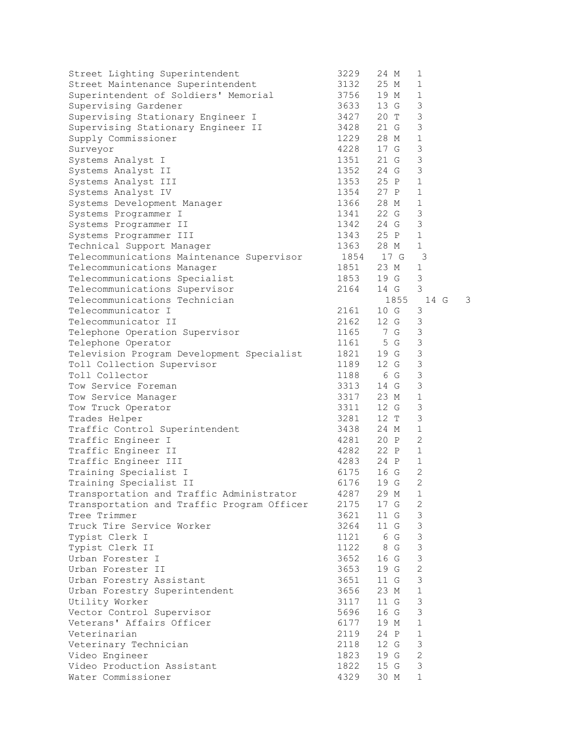| Street Lighting Superintendent             | 3229                                | 24 M      | 1              |   |
|--------------------------------------------|-------------------------------------|-----------|----------------|---|
| Street Maintenance Superintendent          | 3132                                | 25 M      | $\mathbf 1$    |   |
| Superintendent of Soldiers' Memorial       | 3756                                | 19 M      | 1              |   |
| Supervising Gardener                       | 3633                                | 13 G      | 3              |   |
| Supervising Stationary Engineer I          | 3427                                | 20 T      | 3              |   |
| Supervising Stationary Engineer II         | 3428                                | 21 G      | 3              |   |
| Supply Commissioner                        | 1229                                | 28 M      | $\mathbf 1$    |   |
| Surveyor                                   | 4228                                | 17 G      | 3              |   |
| Systems Analyst I                          | 1351                                | 21 G      | 3              |   |
| Systems Analyst II                         |                                     | 24 G      | 3              |   |
| Systems Analyst III                        | 1352<br>1353                        | 25 P      | $\mathbf{1}$   |   |
| Systems Analyst IV                         | 1354                                | 27 P      | $\mathbf 1$    |   |
| Systems Development Manager                | 1366 28 M                           |           | $\mathbf{1}$   |   |
| Systems Programmer I                       | 1341 22 G                           |           | 3              |   |
| Systems Programmer II                      |                                     | 1342 24 G | 3              |   |
| Systems Programmer III                     |                                     |           | $\mathbf 1$    |   |
|                                            |                                     | 1343 25 P |                |   |
| Technical Support Manager                  | 1363                                | 28 M      | $\mathbf{1}$   |   |
| Telecommunications Maintenance Supervisor  |                                     | 1854 17 G | -3             |   |
| Telecommunications Manager                 | 1851<br>1853                        | 23 M      | $\mathbf 1$    |   |
| Telecommunications Specialist              |                                     | 19 G      | 3              |   |
| Telecommunications Supervisor              | 2164                                | 14 G      | 3              |   |
| Telecommunications Technician              |                                     | 1855      | 14 G           | 3 |
| Telecommunicator I                         | 2161                                | 10 G      | 3              |   |
| Telecommunicator II                        | 2162                                | 12 G      | 3              |   |
| Telephone Operation Supervisor             | 1165 7 G                            |           | 3              |   |
| Telephone Operator                         | 1161                                | 5 G       | 3              |   |
| Television Program Development Specialist  | 1821                                | 19 G      | 3              |   |
| Toll Collection Supervisor                 | 1189                                | 12 G      | 3              |   |
| Toll Collector                             | 1188 6 G                            |           | $\mathsf 3$    |   |
| Tow Service Foreman                        | 3313                                | 14 G      | 3              |   |
| Tow Service Manager                        | 3317                                | 23 M      | $\mathbf 1$    |   |
| Tow Truck Operator                         | 3311                                | 12 G      | 3              |   |
| Trades Helper                              | 3281                                | 12 T      | 3              |   |
| Traffic Control Superintendent             | 3438                                | 24 M      | $\mathbf 1$    |   |
| Traffic Engineer I                         | 4281 20 P                           |           | $\overline{2}$ |   |
| Traffic Engineer II                        | 4282 22 P<br>4283 24 P<br>6175 16 G |           | $\mathbf{1}$   |   |
| Traffic Engineer III                       |                                     | 24 P      | $\mathbf{1}$   |   |
| Training Specialist I                      |                                     |           | $\overline{2}$ |   |
| Training Specialist II                     | 6176                                | 19 G      | $\overline{2}$ |   |
| Transportation and Traffic Administrator   | 4287                                | 29 M      | 1              |   |
| Transportation and Traffic Program Officer | 2175                                | 17 G      | 2              |   |
| Tree Trimmer                               | 3621                                | 11 G      | 3              |   |
| Truck Tire Service Worker                  | 3264                                | 11 G      | 3              |   |
| Typist Clerk I                             | 1121                                | 6 G       | 3              |   |
| Typist Clerk II                            | 1122                                | 8 G       | 3              |   |
| Urban Forester I                           | 3652                                | 16 G      | $\mathsf 3$    |   |
| Urban Forester II                          | 3653                                | 19 G      | $\mathbf{2}$   |   |
| Urban Forestry Assistant                   | 3651                                | 11 G      | 3              |   |
| Urban Forestry Superintendent              | 3656                                | 23 M      | $\mathbf 1$    |   |
| Utility Worker                             | 3117                                | 11 G      | 3              |   |
| Vector Control Supervisor                  | 5696                                | 16 G      | 3              |   |
| Veterans' Affairs Officer                  | 6177                                | 19 M      | $\mathbf 1$    |   |
| Veterinarian                               | 2119                                | 24 P      | $\mathbf 1$    |   |
|                                            | 2118                                | 12 G      | 3              |   |
| Veterinary Technician                      |                                     |           | $\overline{c}$ |   |
| Video Engineer                             | 1823                                | 19 G      |                |   |
| Video Production Assistant                 | 1822                                | 15 G      | 3              |   |
| Water Commissioner                         | 4329                                | 30 M      | $\mathbf 1$    |   |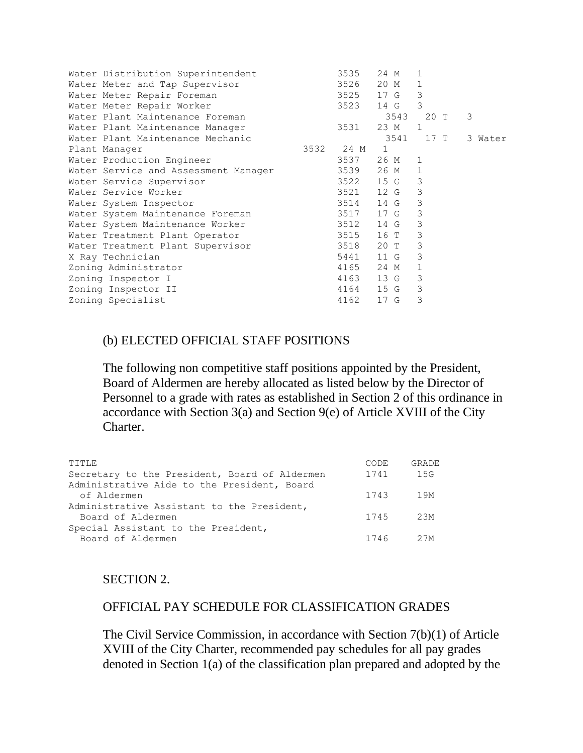| Water Distribution Superintendent    |      | 3535 | 24 M         | $\mathbf{1}$ |         |
|--------------------------------------|------|------|--------------|--------------|---------|
| Water Meter and Tap Supervisor       |      | 3526 | 20 M         | $\mathbf{1}$ |         |
| Water Meter Repair Foreman           |      | 3525 | 17 G         | 3            |         |
| Water Meter Repair Worker            |      | 3523 | 14 G         | 3            |         |
| Water Plant Maintenance Foreman      |      |      | 3543         | 20 T         | 3       |
| Water Plant Maintenance Manager      |      | 3531 | 23 M         | $\mathbf{1}$ |         |
| Water Plant Maintenance Mechanic     |      |      | 3541         | 17 T         | 3 Water |
| Plant Manager                        | 3532 | 24 M | $\mathbf{1}$ |              |         |
| Water Production Engineer            |      | 3537 | 26 M         | 1            |         |
| Water Service and Assessment Manager |      | 3539 | 26 M         | $\mathbf{1}$ |         |
| Water Service Supervisor             |      | 3522 | 15 G         | 3            |         |
| Water Service Worker                 |      | 3521 | 12 G 3       |              |         |
| Water System Inspector               |      | 3514 | 14 G         | 3            |         |
| Water System Maintenance Foreman     |      | 3517 | 17 G         | 3            |         |
| Water System Maintenance Worker      |      | 3512 | 14 G         | 3            |         |
| Water Treatment Plant Operator       |      | 3515 | 16 T         | 3            |         |
| Water Treatment Plant Supervisor     |      | 3518 | 20 T         | 3            |         |
| X Ray Technician                     |      | 5441 | 11 G         | 3            |         |
| Zoning Administrator                 |      | 4165 | 24 M         | $\mathbf{1}$ |         |
| Zoning Inspector I                   |      | 4163 | 13 G         | 3            |         |
| Zoning Inspector II                  |      | 4164 | 15 G         | 3            |         |
| Zoning Specialist                    |      | 4162 | 17 G         | 3            |         |
|                                      |      |      |              |              |         |

#### (b) ELECTED OFFICIAL STAFF POSITIONS

The following non competitive staff positions appointed by the President, Board of Aldermen are hereby allocated as listed below by the Director of Personnel to a grade with rates as established in Section 2 of this ordinance in accordance with Section 3(a) and Section 9(e) of Article XVIII of the City Charter.

| TITLE                                         | CODE | GRADE |
|-----------------------------------------------|------|-------|
| Secretary to the President, Board of Aldermen | 1741 | 15G   |
| Administrative Aide to the President, Board   |      |       |
| of Aldermen                                   | 1743 | 1 9 M |
| Administrative Assistant to the President,    |      |       |
| Board of Aldermen                             | 1745 | 23M   |
| Special Assistant to the President,           |      |       |
| Board of Aldermen                             | 1746 | 27M   |

#### SECTION 2.

#### OFFICIAL PAY SCHEDULE FOR CLASSIFICATION GRADES

The Civil Service Commission, in accordance with Section 7(b)(1) of Article XVIII of the City Charter, recommended pay schedules for all pay grades denoted in Section 1(a) of the classification plan prepared and adopted by the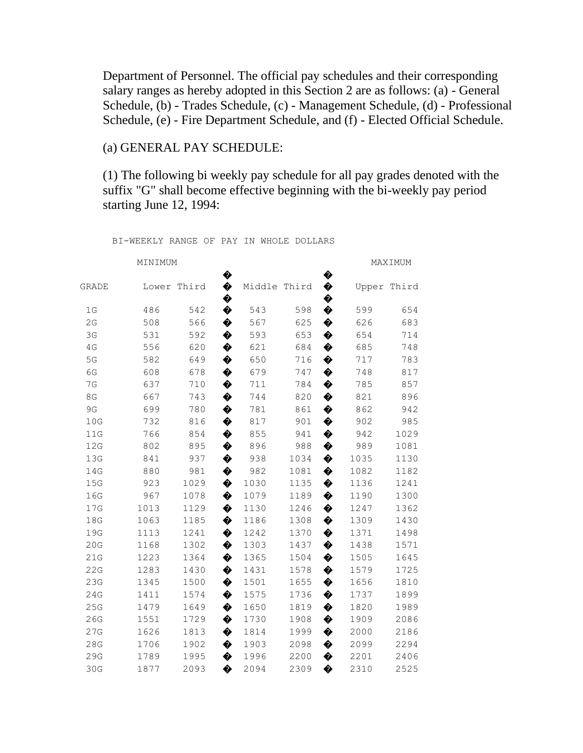Department of Personnel. The official pay schedules and their corresponding salary ranges as hereby adopted in this Section 2 are as follows: (a) - General Schedule, (b) - Trades Schedule, (c) - Management Schedule, (d) - Professional Schedule, (e) - Fire Department Schedule, and (f) - Elected Official Schedule.

## (a) GENERAL PAY SCHEDULE:

(1) The following bi weekly pay schedule for all pay grades denoted with the suffix "G" shall become effective beginning with the bi-weekly pay period starting June 12, 1994:

| MINIMUM |      |             |        |              |      |        | MAXIMUM |       |  |
|---------|------|-------------|--------|--------------|------|--------|---------|-------|--|
| GRADE   |      | Lower Third | ♦<br>♦ | Middle Third |      | ♦<br>♦ | Upper   | Third |  |
| 1G      | 486  | 542         | ♦<br>♦ | 543          | 598  | �<br>♦ | 599     | 654   |  |
| 2G      | 508  | 566         | ♦      | 567          | 625  | ♦      | 626     | 683   |  |
| 3G      | 531  | 592         | ♦      | 593          | 653  | ♦      | 654     | 714   |  |
| 4G      | 556  | 620         | ♦      | 621          | 684  | ♦      | 685     | 748   |  |
| 5G      | 582  | 649         | ♦      | 650          | 716  | ♦      | 717     | 783   |  |
| 6G      | 608  | 678         | ♦      | 679          | 747  | ♦      | 748     | 817   |  |
| 7G      | 637  | 710         | ♦      | 711          | 784  | ♦      | 785     | 857   |  |
| 8G      | 667  | 743         | ♦      | 744          | 820  | ♦      | 821     | 896   |  |
| 9G      | 699  | 780         | ♦      | 781          | 861  | ♦      | 862     | 942   |  |
| 10G     | 732  | 816         | ♦      | 817          | 901  | ♦      | 902     | 985   |  |
| 11G     | 766  | 854         | ♦      | 855          | 941  | ♦      | 942     | 1029  |  |
| 12G     | 802  | 895         | ♦      | 896          | 988  | ♦      | 989     | 1081  |  |
| 13G     | 841  | 937         | ♦      | 938          | 1034 | ♦      | 1035    | 1130  |  |
| 14G     | 880  | 981         | ♦      | 982          | 1081 | ♦      | 1082    | 1182  |  |
| 15G     | 923  | 1029        | ♦      | 1030         | 1135 | ♦      | 1136    | 1241  |  |
| 16G     | 967  | 1078        | ♦      | 1079         | 1189 | ♦      | 1190    | 1300  |  |
| 17G     | 1013 | 1129        | ♦      | 1130         | 1246 | ♦      | 1247    | 1362  |  |
| 18G     | 1063 | 1185        | ♦      | 1186         | 1308 | ♦      | 1309    | 1430  |  |
| 19G     | 1113 | 1241        | ♦      | 1242         | 1370 | ♦      | 1371    | 1498  |  |
| 20G     | 1168 | 1302        | ♦      | 1303         | 1437 | ♦      | 1438    | 1571  |  |
| 21G     | 1223 | 1364        | ♦      | 1365         | 1504 | ♦      | 1505    | 1645  |  |
| 22G     | 1283 | 1430        | ♦      | 1431         | 1578 | ♦      | 1579    | 1725  |  |
| 23G     | 1345 | 1500        | ♦      | 1501         | 1655 | ♦      | 1656    | 1810  |  |
| 24G     | 1411 | 1574        | ♦      | 1575         | 1736 | ♦      | 1737    | 1899  |  |
| 25G     | 1479 | 1649        | ♦      | 1650         | 1819 | ♦      | 1820    | 1989  |  |
| 26G     | 1551 | 1729        | ♦      | 1730         | 1908 | ♦      | 1909    | 2086  |  |
| 27G     | 1626 | 1813        | ♦      | 1814         | 1999 | ♦      | 2000    | 2186  |  |
| 28G     | 1706 | 1902        | ♦      | 1903         | 2098 | ♦      | 2099    | 2294  |  |
| 29G     | 1789 | 1995        | ♦      | 1996         | 2200 | ♦      | 2201    | 2406  |  |
| 30G     | 1877 | 2093        | ♦      | 2094         | 2309 | ♦      | 2310    | 2525  |  |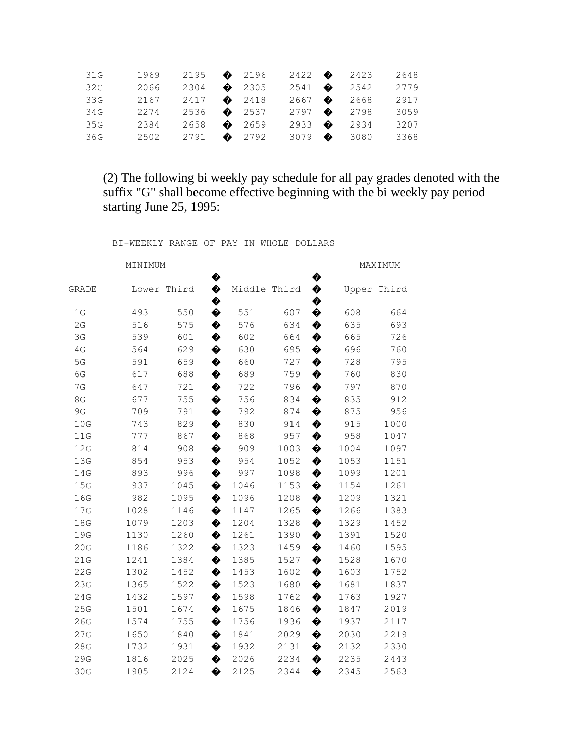| 31G | 1969 | 2195 $\bullet$ 2196            |  |  | $2422$ $\bullet$ 2423 | 2648 |
|-----|------|--------------------------------|--|--|-----------------------|------|
| 32G | 2066 | 2304 2305                      |  |  | $2541$ $\bullet$ 2542 | 2779 |
| 33G | 2167 | 2417 $\bullet$ 2418            |  |  | $2667$ $\bullet$ 2668 | 2917 |
| 34G | 2274 | 2536 $\bullet$ 2537            |  |  | $2797$ $\bullet$ 2798 | 3059 |
| 35G | 2384 | 2658 $\bullet$ 2659            |  |  | 2933 2934             | 3207 |
| 36G |      | $2502$ $2791$ $\bullet$ $2792$ |  |  | 3079 $\bullet$ 3080   | 3368 |

(2) The following bi weekly pay schedule for all pay grades denoted with the suffix "G" shall become effective beginning with the bi weekly pay period starting June 25, 1995:

| MINIMUM |       |   |        |      |              | MAXIMUM |       |  |  |
|---------|-------|---|--------|------|--------------|---------|-------|--|--|
| Lower   | Third | ♦ |        |      | ♦            | Upper   | Third |  |  |
| 493     | 550   | ♦ | 551    | 607  | ♦            | 608     | 664   |  |  |
| 516     | 575   | ♦ | 576    | 634  | ♦            | 635     | 693   |  |  |
| 539     | 601   | ♦ | 602    | 664  | ♦            | 665     | 726   |  |  |
| 564     | 629   | ♦ | 630    | 695  | ♦            | 696     | 760   |  |  |
| 591     | 659   | ♦ | 660    | 727  | ♦            | 728     | 795   |  |  |
| 617     | 688   | ♦ | 689    | 759  | ♦            | 760     | 830   |  |  |
| 647     | 721   | ♦ | 722    | 796  | ♦            | 797     | 870   |  |  |
| 677     | 755   | ♦ | 756    | 834  | ♦            | 835     | 912   |  |  |
| 709     | 791   | ♦ | 792    | 874  | ♦            | 875     | 956   |  |  |
| 743     | 829   | ♦ | 830    | 914  | ♦            | 915     | 1000  |  |  |
| 777     | 867   | ♦ | 868    | 957  | ♦            | 958     | 1047  |  |  |
| 814     | 908   | ♦ | 909    | 1003 | ♦            | 1004    | 1097  |  |  |
| 854     | 953   | ♦ | 954    | 1052 | ♦            | 1053    | 1151  |  |  |
| 893     | 996   | ♦ | 997    | 1098 | ♦            | 1099    | 1201  |  |  |
| 937     | 1045  | ♦ | 1046   | 1153 | ♦            | 1154    | 1261  |  |  |
| 982     | 1095  | ♦ | 1096   | 1208 | ♦            | 1209    | 1321  |  |  |
| 1028    | 1146  | ♦ | 1147   | 1265 | ♦            | 1266    | 1383  |  |  |
| 1079    | 1203  | ♦ | 1204   | 1328 | ♦            | 1329    | 1452  |  |  |
| 1130    | 1260  | ♦ | 1261   | 1390 | ♦            | 1391    | 1520  |  |  |
| 1186    | 1322  | ♦ | 1323   | 1459 | ♦            | 1460    | 1595  |  |  |
| 1241    | 1384  | ♦ | 1385   | 1527 | ♦            | 1528    | 1670  |  |  |
| 1302    | 1452  | ♦ | 1453   | 1602 | ♦            | 1603    | 1752  |  |  |
| 1365    | 1522  | ♦ | 1523   | 1680 | ♦            | 1681    | 1837  |  |  |
| 1432    | 1597  | ♦ | 1598   | 1762 | ♦            | 1763    | 1927  |  |  |
| 1501    | 1674  | ♦ | 1675   | 1846 | ♦            | 1847    | 2019  |  |  |
| 1574    | 1755  | ♦ | 1756   | 1936 | ♦            | 1937    | 2117  |  |  |
| 1650    | 1840  | ♦ | 1841   | 2029 | ♦            | 2030    | 2219  |  |  |
| 1732    | 1931  | ♦ | 1932   | 2131 | ♦            | 2132    | 2330  |  |  |
| 1816    | 2025  | ♦ | 2026   | 2234 | ♦            | 2235    | 2443  |  |  |
| 1905    | 2124  | ♦ | 2125   | 2344 | ♦            | 2345    | 2563  |  |  |
|         |       |   | �<br>♦ |      | Middle Third | ♦<br>♦  |       |  |  |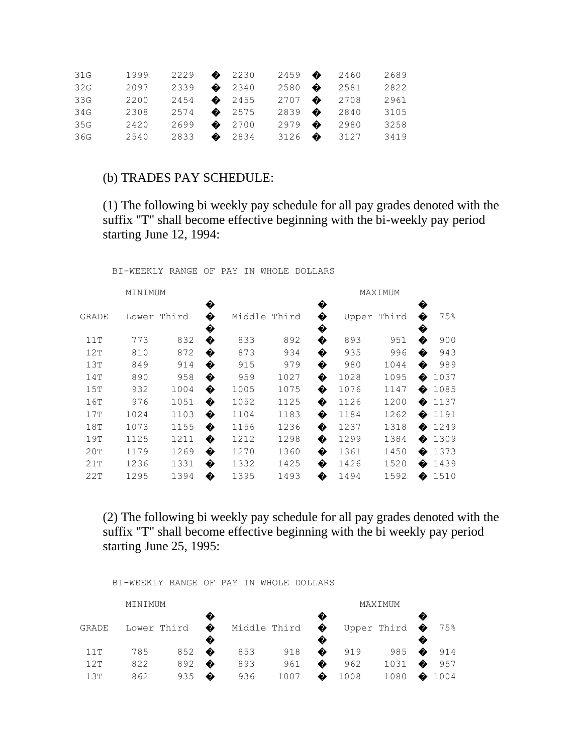| 31G | 1999                     | 2229 2230             |  |  | 2459 2460               | 2689 |
|-----|--------------------------|-----------------------|--|--|-------------------------|------|
| 32G | 2097                     | 2339 2340             |  |  | 2580 $\bullet$ 2581     | 2822 |
| 33G | 2200                     | 2454 2455             |  |  | $2707$ $\bullet$ 2708   | 2961 |
| 34G | 2308                     | $2574$ $\bullet$ 2575 |  |  | 2839 2840               | 3105 |
| 35G | 2420                     | 2699 $\bullet$ 2700   |  |  | $2979$ $\bullet$ 2980   | 3258 |
| 36G | 2540 2833 $\bullet$ 2834 |                       |  |  | $3126$ $\bullet$ $3127$ | 3419 |

#### (b) TRADES PAY SCHEDULE:

(1) The following bi weekly pay schedule for all pay grades denoted with the suffix "T" shall become effective beginning with the bi-weekly pay period starting June 12, 1994:

BI-WEEKLY RANGE OF PAY IN WHOLE DOLLARS

|      |       |                  |        |       |        | MAXIMUM |       |       |             |  |
|------|-------|------------------|--------|-------|--------|---------|-------|-------|-------------|--|
|      | Third | ♦                |        | Third | ♦      |         | Third | ♦     | 75%         |  |
| 773  | 832   | ♦                | 833    | 892   | ♦      | 893     | 951   | ♦     | 900         |  |
| 810  | 872   | ♦                | 873    | 934   | ♦      | 935     | 996   | �     | 943         |  |
| 849  | 914   | ♦                | 915    | 979   | ♦      | 980     | 1044  | ♦     | 989         |  |
| 890  | 958   | �                | 959    | 1027  | ♦      | 1028    | 1095  |       | 1037        |  |
| 932  | 1004  | ♦                | 1005   | 1075  | ♦      | 1076    | 1147  | �     | 1085        |  |
| 976  | 1051  | ♦                | 1052   | 1125  | ♦      | 1126    | 1200  | �     | 1137        |  |
| 1024 | 1103  | ♦                | 1104   | 1183  | ♦      | 1184    | 1262  | �     | 1191        |  |
| 1073 | 1155  | ♦                | 1156   | 1236  | ♦      | 1237    | 1318  | �     | 1249        |  |
| 1125 | 1211  | ♦                | 1212   | 1298  | ♦      | 1299    | 1384  | ♠     | 1309        |  |
| 1179 | 1269  | ♦                | 1270   | 1360  | ♦      | 1361    | 1450  | ♦     | 1373        |  |
| 1236 | 1331  | ♦                | 1332   | 1425  | ♦      | 1426    | 1520  | �     | 1439        |  |
| 1295 | 1394  | ♦                | 1395   | 1493  | ♦      | 1494    | 1592  | ଈ     | 1510        |  |
|      |       | MINIMUM<br>Lower | ♦<br>� |       | Middle | ♦<br>♦  |       | Upper | �<br>♦<br>♦ |  |

(2) The following bi weekly pay schedule for all pay grades denoted with the suffix "T" shall become effective beginning with the bi weekly pay period starting June 25, 1995:

|       | MINIMUM     |     |   |              |      |             |      |                        |   |      |
|-------|-------------|-----|---|--------------|------|-------------|------|------------------------|---|------|
| GRADE | Lower Third |     | ♦ | Middle Third |      | ❸<br>♦<br>€ |      | Upper Third $\bigcirc$ |   | 75%  |
| 11T   | 785         | 852 | ♠ | 853          | 918  | �           | 919  | 985                    | � | 914  |
| 12T   | 822         | 892 | � | 893          | 961  | �           | 962  | 1031                   | ♠ | 957  |
| 1.3T  | 862         | 935 | � | 936          | 1007 | �           | 1008 | 1080                   |   | 1004 |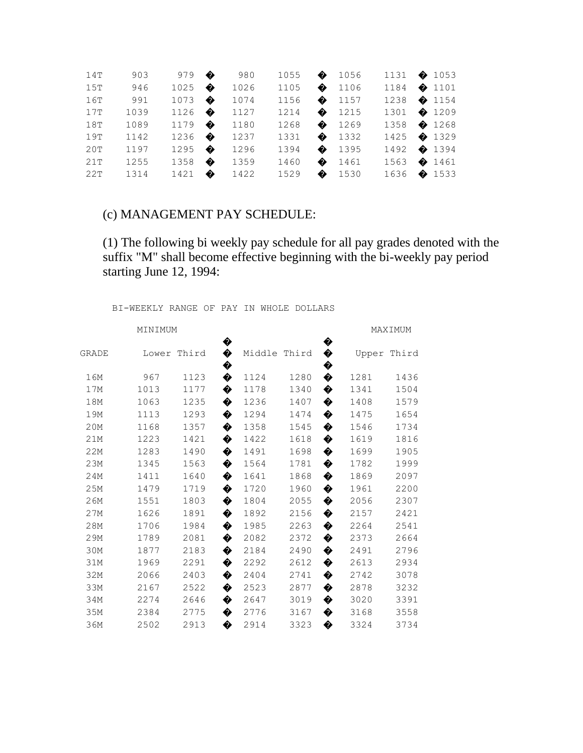| 14T | 903  | 979            | 980  | 1055 $\bullet$ 1056 |                | 1131 $\bullet$ 1053 |  |
|-----|------|----------------|------|---------------------|----------------|---------------------|--|
| 15T | 946  | 1025 $\bullet$ | 1026 | 1105 $\bullet$ 1106 |                | 1184 $\bullet$ 1101 |  |
| 16T | 991  | 1073 $\bullet$ | 1074 | 1156 $\bullet$ 1157 |                | 1238 $\bullet$ 1154 |  |
| 17T | 1039 | 1126 $\bullet$ | 1127 | 1214 $\bullet$ 1215 |                | 1301 $\bullet$ 1209 |  |
| 18T | 1089 | 1179 $\bullet$ | 1180 | 1268 $\bullet$ 1269 |                | 1358 $\bullet$ 1268 |  |
| 19T | 1142 | 1236 $\bullet$ | 1237 | 1331 $\bullet$ 1332 |                | 1425 $\bullet$ 1329 |  |
| 20T | 1197 | 1295 $\bullet$ | 1296 | 1394                | $\bullet$ 1395 | 1492 $\bullet$ 1394 |  |
| 21T | 1255 | 1358 $\bullet$ | 1359 | 1460 $\bullet$ 1461 |                | 1563 $\bullet$ 1461 |  |
| 22T | 1314 | 1421 $\bullet$ | 1422 | 1529 $\bullet$ 1530 |                | 1636 $\bullet$ 1533 |  |

#### (c) MANAGEMENT PAY SCHEDULE:

(1) The following bi weekly pay schedule for all pay grades denoted with the suffix "M" shall become effective beginning with the bi-weekly pay period starting June 12, 1994:

| MINIMUM |       |       |        |              |      |        | MAXIMUM |       |  |
|---------|-------|-------|--------|--------------|------|--------|---------|-------|--|
| GRADE   | Lower | Third | ♦<br>♦ | Middle Third |      | ♦<br>♦ | Upper   | Third |  |
| 16M     | 967   | 1123  | ♦<br>♦ | 1124         | 1280 | ♦<br>♦ | 1281    | 1436  |  |
| 17M     | 1013  | 1177  | ♦      | 1178         | 1340 | ♦      | 1341    | 1504  |  |
| 18M     | 1063  | 1235  | ♦      | 1236         | 1407 | ♦      | 1408    | 1579  |  |
| 19M     | 1113  | 1293  | ♦      | 1294         | 1474 | ♦      | 1475    | 1654  |  |
| 20M     | 1168  | 1357  | ♦      | 1358         | 1545 | ♦      | 1546    | 1734  |  |
| 21M     | 1223  | 1421  | ♦      | 1422         | 1618 | ♦      | 1619    | 1816  |  |
| 22M     | 1283  | 1490  | ♦      | 1491         | 1698 | ♦      | 1699    | 1905  |  |
| 23M     | 1345  | 1563  | ♦      | 1564         | 1781 | ♦      | 1782    | 1999  |  |
| 24M     | 1411  | 1640  | ♦      | 1641         | 1868 | ♦      | 1869    | 2097  |  |
| 25M     | 1479  | 1719  | ♦      | 1720         | 1960 | ♦      | 1961    | 2200  |  |
| 26M     | 1551  | 1803  | ♦      | 1804         | 2055 | ♦      | 2056    | 2307  |  |
| 27M     | 1626  | 1891  | ♦      | 1892         | 2156 | ♦      | 2157    | 2421  |  |
| 28M     | 1706  | 1984  | ♦      | 1985         | 2263 | ♦      | 2264    | 2541  |  |
| 29M     | 1789  | 2081  | ♦      | 2082         | 2372 | ♦      | 2373    | 2664  |  |
| 30M     | 1877  | 2183  | ♦      | 2184         | 2490 | ♦      | 2491    | 2796  |  |
| 31M     | 1969  | 2291  | ♦      | 2292         | 2612 | ♦      | 2613    | 2934  |  |
| 32M     | 2066  | 2403  | ♦      | 2404         | 2741 | ♦      | 2742    | 3078  |  |
| 33M     | 2167  | 2522  | ♦      | 2523         | 2877 | ♦      | 2878    | 3232  |  |
| 34M     | 2274  | 2646  | ♦      | 2647         | 3019 | ♦      | 3020    | 3391  |  |
| 35M     | 2384  | 2775  | ♦      | 2776         | 3167 | ♦      | 3168    | 3558  |  |
| 36M     | 2502  | 2913  | ♦      | 2914         | 3323 | ♦      | 3324    | 3734  |  |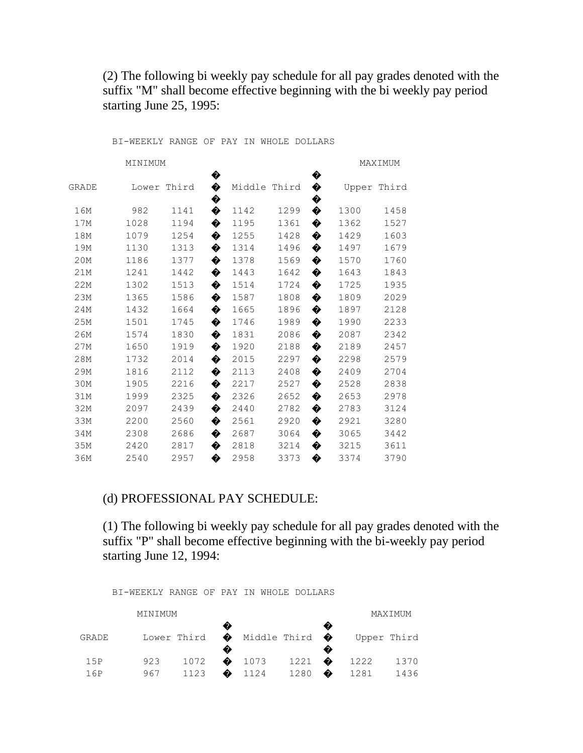(2) The following bi weekly pay schedule for all pay grades denoted with the suffix "M" shall become effective beginning with the bi weekly pay period starting June 25, 1995:

BI-WEEKLY RANGE OF PAY IN WHOLE DOLLARS

| MINIMUM |       |       |        |              |      |        |       | MAXIMUM |
|---------|-------|-------|--------|--------------|------|--------|-------|---------|
| GRADE   | Lower | Third | ♦<br>♦ | Middle Third |      | ♦<br>♦ | Upper | Third   |
| 16M     | 982   | 1141  | ♦<br>♦ | 1142         | 1299 | ♦<br>♦ | 1300  | 1458    |
| 17M     | 1028  | 1194  | ♦      | 1195         | 1361 | ♦      | 1362  | 1527    |
| 18M     | 1079  | 1254  | ♦      | 1255         | 1428 | ♦      | 1429  | 1603    |
| 19M     | 1130  | 1313  | ♦      | 1314         | 1496 | ♦      | 1497  | 1679    |
| 20M     | 1186  | 1377  | ♦      | 1378         | 1569 | ♦      | 1570  | 1760    |
| 21M     | 1241  | 1442  | ♦      | 1443         | 1642 | ♦      | 1643  | 1843    |
| 22M     | 1302  | 1513  | ♦      | 1514         | 1724 | ♦      | 1725  | 1935    |
| 23M     | 1365  | 1586  | ♦      | 1587         | 1808 | ♦      | 1809  | 2029    |
| 24M     | 1432  | 1664  | ♦      | 1665         | 1896 | ♦      | 1897  | 2128    |
| 25M     | 1501  | 1745  | ♦      | 1746         | 1989 | ♦      | 1990  | 2233    |
| 26M     | 1574  | 1830  | ♦      | 1831         | 2086 | ♦      | 2087  | 2342    |
| 27M     | 1650  | 1919  | ♦      | 1920         | 2188 | ♦      | 2189  | 2457    |
| 28M     | 1732  | 2014  | ♦      | 2015         | 2297 | ♦      | 2298  | 2579    |
| 29M     | 1816  | 2112  | ♦      | 2113         | 2408 | ♦      | 2409  | 2704    |
| 30M     | 1905  | 2216  | ♦      | 2217         | 2527 | ♦      | 2528  | 2838    |
| 31M     | 1999  | 2325  | ♦      | 2326         | 2652 | ♦      | 2653  | 2978    |
| 32M     | 2097  | 2439  | ♦      | 2440         | 2782 | ♦      | 2783  | 3124    |
| 33M     | 2200  | 2560  | ♦      | 2561         | 2920 | ♦      | 2921  | 3280    |
| 34M     | 2308  | 2686  | ♦      | 2687         | 3064 | ♦      | 3065  | 3442    |
| 35M     | 2420  | 2817  | ♦      | 2818         | 3214 | ♦      | 3215  | 3611    |
| 36M     | 2540  | 2957  | �      | 2958         | 3373 | ♦      | 3374  | 3790    |

## (d) PROFESSIONAL PAY SCHEDULE:

(1) The following bi weekly pay schedule for all pay grades denoted with the suffix "P" shall become effective beginning with the bi-weekly pay period starting June 12, 1994:

|       | MINIMUM |             |   |                |                  |   |      | MAXIMUM     |
|-------|---------|-------------|---|----------------|------------------|---|------|-------------|
| GRADE |         | Lower Third |   |                | A Middle Third O |   |      | Upper Third |
| 15P   | 923     | 1072        |   | $\bullet$ 1073 | 1221             | ♠ | 1222 | 1370        |
| 16P   | 967     | 1123        | ♠ | 1124           | 1280             | ♠ | 1281 | 1436        |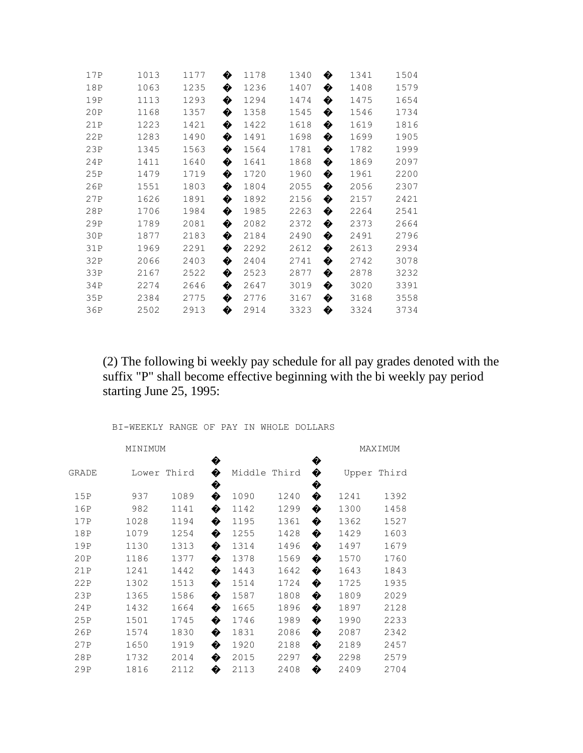| 17P | 1013 | 1177 | 1178<br>✿ | 1340 | �<br>1341 | 1504 |
|-----|------|------|-----------|------|-----------|------|
| 18P | 1063 | 1235 | ♦<br>1236 | 1407 | ♦<br>1408 | 1579 |
| 19P | 1113 | 1293 | ♦<br>1294 | 1474 | ♦<br>1475 | 1654 |
| 20P | 1168 | 1357 | ♦<br>1358 | 1545 | ♦<br>1546 | 1734 |
| 21P | 1223 | 1421 | 1422<br>� | 1618 | 1619<br>� | 1816 |
| 22P | 1283 | 1490 | ♦<br>1491 | 1698 | 1699<br>♦ | 1905 |
| 23P | 1345 | 1563 | ♦<br>1564 | 1781 | ♦<br>1782 | 1999 |
| 24P | 1411 | 1640 | �<br>1641 | 1868 | ♦<br>1869 | 2097 |
| 25P | 1479 | 1719 | 1720<br>� | 1960 | ♦<br>1961 | 2200 |
| 26P | 1551 | 1803 | ♦<br>1804 | 2055 | ♦<br>2056 | 2307 |
| 27P | 1626 | 1891 | ♦<br>1892 | 2156 | ♦<br>2157 | 2421 |
| 28P | 1706 | 1984 | ♦<br>1985 | 2263 | ♦<br>2264 | 2541 |
| 29P | 1789 | 2081 | �<br>2082 | 2372 | ♦<br>2373 | 2664 |
| 30P | 1877 | 2183 | 2184<br>� | 2490 | �<br>2491 | 2796 |
| 31P | 1969 | 2291 | �<br>2292 | 2612 | ♦<br>2613 | 2934 |
| 32P | 2066 | 2403 | ♦<br>2404 | 2741 | ♦<br>2742 | 3078 |
| 33P | 2167 | 2522 | �<br>2523 | 2877 | ♦<br>2878 | 3232 |
| 34P | 2274 | 2646 | ♦<br>2647 | 3019 | ♦<br>3020 | 3391 |
| 35P | 2384 | 2775 | 2776<br>� | 3167 | ♦<br>3168 | 3558 |
| 36P | 2502 | 2913 | ♦<br>2914 | 3323 | ♦<br>3324 | 3734 |

(2) The following bi weekly pay schedule for all pay grades denoted with the suffix "P" shall become effective beginning with the bi weekly pay period starting June 25, 1995:

| MINIMUM |      |             |             |        |       |             | MAXIMUM |             |  |
|---------|------|-------------|-------------|--------|-------|-------------|---------|-------------|--|
| GRADE   |      | Lower Third | ♦<br>♦<br>� | Middle | Third | �<br>♦<br>� |         | Upper Third |  |
| 15P     | 937  | 1089        | ♦           | 1090   | 1240  | ♦           | 1241    | 1392        |  |
| 16P     | 982  | 1141        | ♦           | 1142   | 1299  | ♦           | 1300    | 1458        |  |
| 17P     | 1028 | 1194        | ♦           | 1195   | 1361  | ♦           | 1362    | 1527        |  |
| 18P     | 1079 | 1254        | ♦           | 1255   | 1428  | ♦           | 1429    | 1603        |  |
| 19P     | 1130 | 1313        | ♦           | 1314   | 1496  | �           | 1497    | 1679        |  |
| 20P     | 1186 | 1377        | ♦           | 1378   | 1569  | �           | 1570    | 1760        |  |
| 21P     | 1241 | 1442        | ♦           | 1443   | 1642  | �           | 1643    | 1843        |  |
| 22P     | 1302 | 1513        | ♦           | 1514   | 1724  | �           | 1725    | 1935        |  |
| 23P     | 1365 | 1586        | ♦           | 1587   | 1808  | ♦           | 1809    | 2029        |  |
| 24P     | 1432 | 1664        | ♦           | 1665   | 1896  | �           | 1897    | 2128        |  |
| 25P     | 1501 | 1745        | ♦           | 1746   | 1989  | �           | 1990    | 2233        |  |
| 26P     | 1574 | 1830        | ♦           | 1831   | 2086  | �           | 2087    | 2342        |  |
| 27P     | 1650 | 1919        | �           | 1920   | 2188  | �           | 2189    | 2457        |  |
| 28P     | 1732 | 2014        | �           | 2015   | 2297  | �           | 2298    | 2579        |  |
| 29P     | 1816 | 2112        | �           | 2113   | 2408  | �           | 2409    | 2704        |  |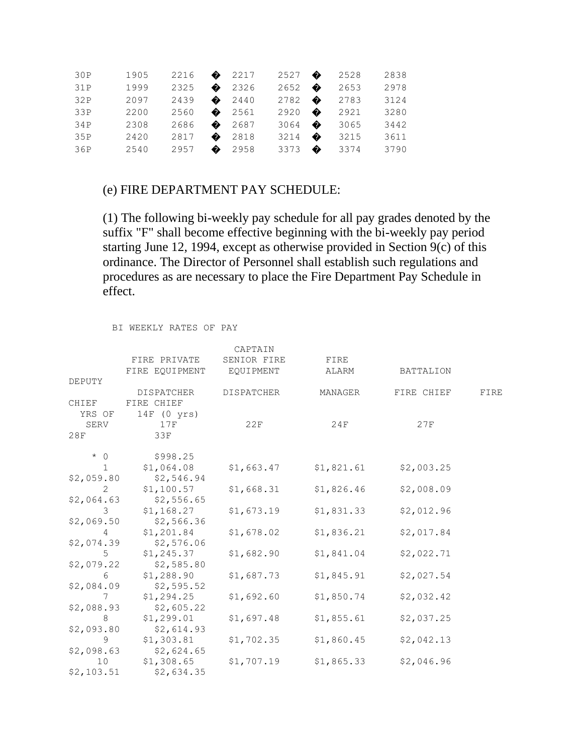| 30P | 1905 | 2216 | $\bullet$ 2217 | $2527$ $\bullet$ |   | 2528 | 2838 |
|-----|------|------|----------------|------------------|---|------|------|
| 31P | 1999 | 2325 | 2326           | $2652$ $\bullet$ |   | 2653 | 2978 |
| 32P | 2097 | 2439 | 2440           | $2782$ $\bullet$ |   | 2783 | 3124 |
| 33P | 2200 | 2560 | $\bullet$ 2561 | $2920$ $\bullet$ |   | 2921 | 3280 |
| 34P | 2308 | 2686 | 2687           | 3064             | ♠ | 3065 | 3442 |
| 35P | 2420 | 2817 | $\bullet$ 2818 | 3214 $\bullet$   |   | 3215 | 3611 |
| 36P | 2540 | 2957 | 2958           | 3373 $\bullet$   |   | 3374 | 3790 |

#### (e) FIRE DEPARTMENT PAY SCHEDULE:

(1) The following bi-weekly pay schedule for all pay grades denoted by the suffix "F" shall become effective beginning with the bi-weekly pay period starting June 12, 1994, except as otherwise provided in Section 9(c) of this ordinance. The Director of Personnel shall establish such regulations and procedures as are necessary to place the Fire Department Pay Schedule in effect.

|                |                   | CAPTAIN           |            |            |      |
|----------------|-------------------|-------------------|------------|------------|------|
|                | FIRE PRIVATE      | SENIOR FIRE       | FIRE       |            |      |
|                | FIRE EQUIPMENT    | EQUIPMENT         | ALARM      | BATTALION  |      |
| DEPUTY         |                   |                   |            |            |      |
|                | <b>DISPATCHER</b> | <b>DISPATCHER</b> | MANAGER    | FIRE CHIEF | FIRE |
| CHIEF          | FIRE CHIEF        |                   |            |            |      |
| YRS OF         | 14F (0 yrs)       |                   |            |            |      |
| SERV           | 17F               | 22F               | 24F        | 27F        |      |
| 28F            | 33F               |                   |            |            |      |
| $* 0$          | \$998.25          |                   |            |            |      |
| $\mathbf{1}$   | \$1,064.08        | \$1,663.47        | \$1,821.61 | \$2,003.25 |      |
| \$2,059.80     | \$2,546.94        |                   |            |            |      |
| 2              | \$1,100.57        | \$1,668.31        | \$1,826.46 | \$2,008.09 |      |
| \$2,064.63     | \$2,556.65        |                   |            |            |      |
| 3              | \$1,168.27        | \$1,673.19        | \$1,831.33 | \$2,012.96 |      |
| \$2,069.50     | \$2,566.36        |                   |            |            |      |
| 4              | \$1,201.84        | \$1,678.02        | \$1,836.21 | \$2,017.84 |      |
| \$2,074.39     | \$2,576.06        |                   |            |            |      |
| 5 <sup>5</sup> | \$1,245.37        | \$1,682.90        | \$1,841.04 | \$2,022.71 |      |
| \$2,079.22     | \$2,585.80        |                   |            |            |      |
| 6              | \$1,288.90        | \$1,687.73        | \$1,845.91 | \$2,027.54 |      |
| \$2,084.09     | \$2,595.52        |                   |            |            |      |
| 7              | \$1,294.25        | \$1,692.60        | \$1,850.74 | \$2,032.42 |      |
| \$2,088.93     | \$2,605.22        |                   |            |            |      |
| 8              | \$1,299.01        | \$1,697.48        | \$1,855.61 | \$2,037.25 |      |
| \$2,093.80     | \$2,614.93        |                   |            |            |      |
| 9              | \$1,303.81        | \$1,702.35        | \$1,860.45 | \$2,042.13 |      |
| \$2,098.63     | \$2,624.65        |                   |            |            |      |
| 10             | \$1,308.65        | \$1,707.19        | \$1,865.33 | \$2,046.96 |      |
| \$2,103.51     | \$2,634.35        |                   |            |            |      |

BI WEEKLY RATES OF PAY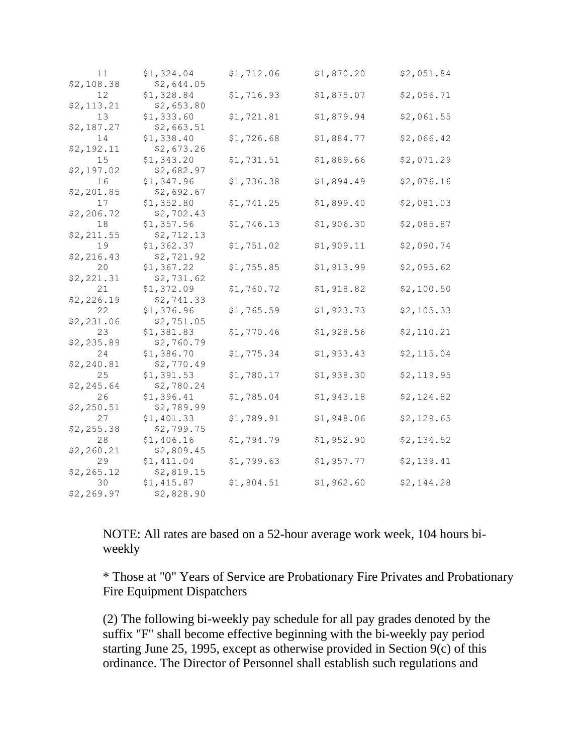| 11<br>\$2,108.38  | \$1,324.04<br>\$2,644.05 | \$1,712.06 | \$1,870.20 | \$2,051.84  |
|-------------------|--------------------------|------------|------------|-------------|
| 12                | \$1,328.84               | \$1,716.93 | \$1,875.07 | \$2,056.71  |
| \$2,113.21<br>13  | \$2,653.80<br>\$1,333.60 | \$1,721.81 | \$1,879.94 | \$2,061.55  |
| \$2,187.27<br>14  | \$2,663.51<br>\$1,338.40 | \$1,726.68 | \$1,884.77 | \$2,066.42  |
| \$2,192.11<br>15  | \$2,673.26<br>\$1,343.20 | \$1,731.51 | \$1,889.66 | \$2,071.29  |
| \$2,197.02        | \$2,682.97               |            |            |             |
| 16<br>\$2, 201.85 | \$1,347.96<br>\$2,692.67 | \$1,736.38 | \$1,894.49 | \$2,076.16  |
| 17<br>\$2,206.72  | \$1,352.80<br>\$2,702.43 | \$1,741.25 | \$1,899.40 | \$2,081.03  |
| 18<br>\$2,211.55  | \$1,357.56<br>\$2,712.13 | \$1,746.13 | \$1,906.30 | \$2,085.87  |
| 19                | \$1,362.37               | \$1,751.02 | \$1,909.11 | \$2,090.74  |
| \$2,216.43<br>20  | \$2,721.92<br>\$1,367.22 | \$1,755.85 | \$1,913.99 | \$2,095.62  |
| \$2,221.31<br>21  | \$2,731.62<br>\$1,372.09 | \$1,760.72 | \$1,918.82 | \$2,100.50  |
| \$2,226.19<br>22  | \$2,741.33<br>\$1,376.96 | \$1,765.59 | \$1,923.73 | \$2,105.33  |
| \$2,231.06        | \$2,751.05               |            |            |             |
| 23<br>\$2,235.89  | \$1,381.83<br>\$2,760.79 | \$1,770.46 | \$1,928.56 | \$2,110.21  |
| 24<br>\$2,240.81  | \$1,386.70<br>\$2,770.49 | \$1,775.34 | \$1,933.43 | \$2,115.04  |
| 25<br>\$2,245.64  | \$1,391.53<br>\$2,780.24 | \$1,780.17 | \$1,938.30 | \$2, 119.95 |
| 26<br>\$2,250.51  | \$1,396.41<br>\$2,789.99 | \$1,785.04 | \$1,943.18 | \$2,124.82  |
| 27                | \$1,401.33               | \$1,789.91 | \$1,948.06 | \$2,129.65  |
| \$2,255.38<br>28  | \$2,799.75<br>\$1,406.16 | \$1,794.79 | \$1,952.90 | \$2,134.52  |
| \$2,260.21<br>29  | \$2,809.45<br>\$1,411.04 | \$1,799.63 | \$1,957.77 | \$2,139.41  |
| \$2, 265.12<br>30 | \$2,819.15<br>\$1,415.87 | \$1,804.51 | \$1,962.60 | \$2,144.28  |
| \$2,269.97        | \$2,828.90               |            |            |             |

NOTE: All rates are based on a 52-hour average work week, 104 hours biweekly

\* Those at "0" Years of Service are Probationary Fire Privates and Probationary Fire Equipment Dispatchers

(2) The following bi-weekly pay schedule for all pay grades denoted by the suffix "F" shall become effective beginning with the bi-weekly pay period starting June 25, 1995, except as otherwise provided in Section 9(c) of this ordinance. The Director of Personnel shall establish such regulations and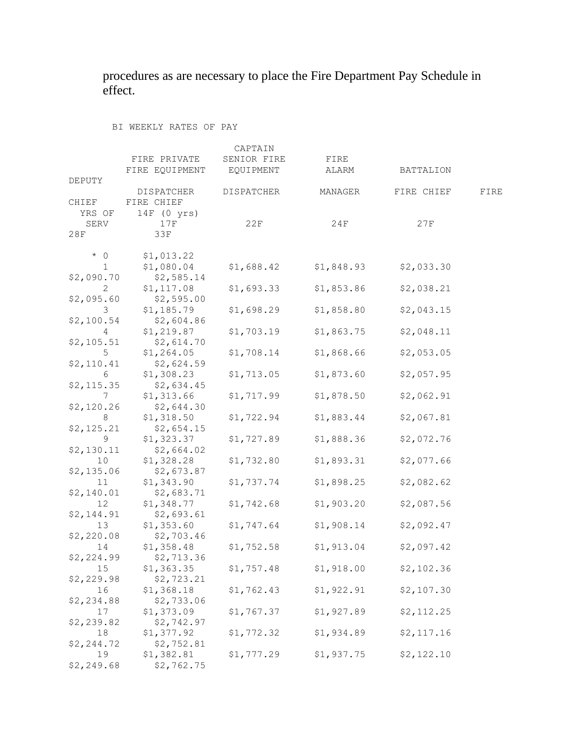procedures as are necessary to place the Fire Department Pay Schedule in effect.

BI WEEKLY RATES OF PAY

|                  |                          | CAPTAIN     |            |            |      |
|------------------|--------------------------|-------------|------------|------------|------|
|                  | FIRE PRIVATE             | SENIOR FIRE | FIRE       |            |      |
|                  | FIRE EQUIPMENT           | EQUIPMENT   | ALARM      | BATTALION  |      |
| DEPUTY           |                          |             |            |            |      |
|                  | DISPATCHER               | DISPATCHER  | MANAGER    | FIRE CHIEF | FIRE |
| CHIEF            | FIRE CHIEF               |             |            |            |      |
| YRS OF           | $14F$ (0 yrs)            |             |            |            |      |
| SERV             | 17F                      | 22F         | 24F        | 27F        |      |
| 28F              | 33F                      |             |            |            |      |
|                  |                          |             |            |            |      |
| $*$ 0            | \$1,013.22               |             |            |            |      |
| $\mathbf{1}$     | \$1,080.04               | \$1,688.42  | \$1,848.93 | \$2,033.30 |      |
| \$2,090.70       | \$2,585.14               |             |            |            |      |
| $\mathbf{2}^-$   | \$1,117.08               | \$1,693.33  | \$1,853.86 | \$2,038.21 |      |
| \$2,095.60       | \$2,595.00               |             |            |            |      |
| 3 <sup>7</sup>   | \$1,185.79               | \$1,698.29  | \$1,858.80 | \$2,043.15 |      |
| \$2,100.54       | \$2,604.86               |             |            |            |      |
| $4\overline{ }$  | \$1,219.87               | \$1,703.19  | \$1,863.75 | \$2,048.11 |      |
| \$2,105.51       | \$2,614.70               |             |            |            |      |
| 5                | \$1,264.05               | \$1,708.14  | \$1,868.66 | \$2,053.05 |      |
| \$2,110.41       | \$2,624.59               |             |            |            |      |
| 6                | \$1,308.23               | \$1,713.05  | \$1,873.60 | \$2,057.95 |      |
| \$2, 115.35      | \$2,634.45               |             |            |            |      |
| 7                | \$1,313.66               | \$1,717.99  | \$1,878.50 | \$2,062.91 |      |
| \$2,120.26       | \$2,644.30               |             |            |            |      |
| 8                | \$1,318.50               | \$1,722.94  | \$1,883.44 | \$2,067.81 |      |
| \$2,125.21       | \$2,654.15               |             |            |            |      |
| 9                | \$1,323.37               | \$1,727.89  | \$1,888.36 | \$2,072.76 |      |
| \$2,130.11       | \$2,664.02               |             |            |            |      |
| 10 <sup>°</sup>  | \$1,328.28               | \$1,732.80  | \$1,893.31 | \$2,077.66 |      |
| \$2,135.06       | \$2,673.87               |             |            |            |      |
|                  |                          | \$1,737.74  | \$1,898.25 | \$2,082.62 |      |
| 11<br>\$2,140.01 | \$1,343.90<br>\$2,683.71 |             |            |            |      |
|                  |                          | \$1,742.68  | \$1,903.20 | \$2,087.56 |      |
| 12<br>\$2,144.91 | \$1,348.77<br>\$2,693.61 |             |            |            |      |
| 13               | \$1,353.60               | \$1,747.64  | \$1,908.14 | \$2,092.47 |      |
|                  | \$2,703.46               |             |            |            |      |
| \$2,220.08       |                          |             |            |            |      |
| 14               | \$1,358.48               | \$1,752.58  | \$1,913.04 | \$2,097.42 |      |
| \$2,224.99       | \$2,713.36               |             |            |            |      |
| 15               | \$1,363.35               | \$1,757.48  | \$1,918.00 | \$2,102.36 |      |
| \$2,229.98       | \$2,723.21               |             |            |            |      |
| 16               | \$1,368.18               | \$1,762.43  | \$1,922.91 | \$2,107.30 |      |
| \$2,234.88       | \$2,733.06               |             |            |            |      |
| 17               | \$1,373.09               | \$1,767.37  | \$1,927.89 | \$2,112.25 |      |
| \$2,239.82       | \$2,742.97               |             |            |            |      |
| 18               | \$1,377.92               | \$1,772.32  | \$1,934.89 | \$2,117.16 |      |
| \$2,244.72       | \$2,752.81               |             |            |            |      |
| 19               | \$1,382.81               | \$1,777.29  | \$1,937.75 | \$2,122.10 |      |
| \$2,249.68       | \$2,762.75               |             |            |            |      |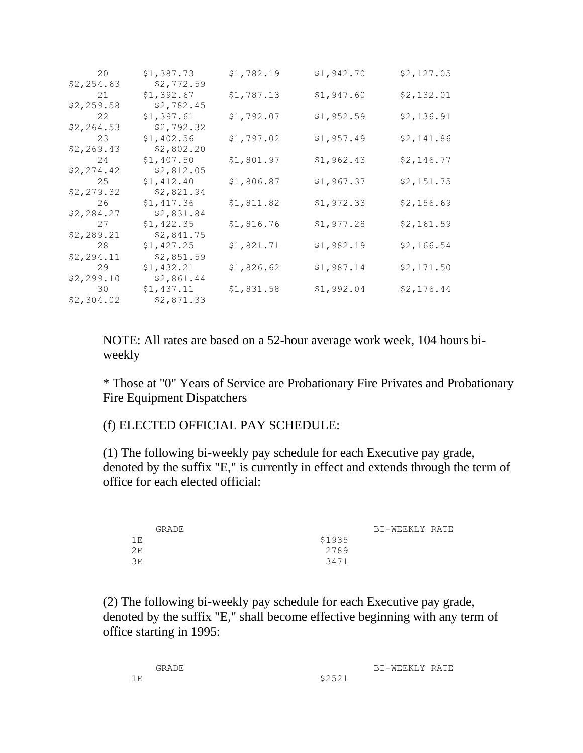| 20          | \$1,387.73 | \$1,782.19 | \$1,942.70 | \$2, 127.05 |
|-------------|------------|------------|------------|-------------|
| \$2,254.63  | \$2,772.59 |            |            |             |
| 21          | \$1,392.67 | \$1,787.13 | \$1,947.60 | \$2,132.01  |
| \$2,259.58  | \$2,782.45 |            |            |             |
| 22          | \$1,397.61 | \$1,792.07 | \$1,952.59 | \$2,136.91  |
| \$2, 264.53 | \$2,792.32 |            |            |             |
| 23          | \$1,402.56 | \$1,797.02 | \$1,957.49 | \$2,141.86  |
| \$2,269.43  | \$2,802.20 |            |            |             |
| 24          | \$1,407.50 | \$1,801.97 | \$1,962.43 | \$2,146.77  |
| \$2, 274.42 | \$2,812.05 |            |            |             |
| 25          | \$1,412.40 | \$1,806.87 | \$1,967.37 | \$2,151.75  |
| \$2,279.32  | \$2,821.94 |            |            |             |
| 26          | \$1,417.36 | \$1,811.82 | \$1,972.33 | \$2,156.69  |
| \$2,284.27  | \$2,831.84 |            |            |             |
| 27          | \$1,422.35 | \$1,816.76 | \$1,977.28 | \$2,161.59  |
| \$2,289.21  | \$2,841.75 |            |            |             |
| 28          | \$1,427.25 | \$1,821.71 | \$1,982.19 | \$2,166.54  |
| \$2,294.11  | \$2,851.59 |            |            |             |
| 29          | \$1,432.21 | \$1,826.62 | \$1,987.14 | \$2,171.50  |
| \$2,299.10  | \$2,861.44 |            |            |             |
| 30          | \$1,437.11 | \$1,831.58 | \$1,992.04 | \$2,176.44  |
| \$2,304.02  | \$2,871.33 |            |            |             |

NOTE: All rates are based on a 52-hour average work week, 104 hours biweekly

\* Those at "0" Years of Service are Probationary Fire Privates and Probationary Fire Equipment Dispatchers

## (f) ELECTED OFFICIAL PAY SCHEDULE:

(1) The following bi-weekly pay schedule for each Executive pay grade, denoted by the suffix "E," is currently in effect and extends through the term of office for each elected official:

|      | <b>GRADE</b> | BI-WEEKLY RATE |  |
|------|--------------|----------------|--|
| 1 F. | \$1935       |                |  |
| 2E   | 2789         |                |  |
| 3E   | 3471         |                |  |
|      |              |                |  |

(2) The following bi-weekly pay schedule for each Executive pay grade, denoted by the suffix "E," shall become effective beginning with any term of office starting in 1995:

| GRADE |      | RI-WEEKLY RATE |  |
|-------|------|----------------|--|
|       | ぐつらつ |                |  |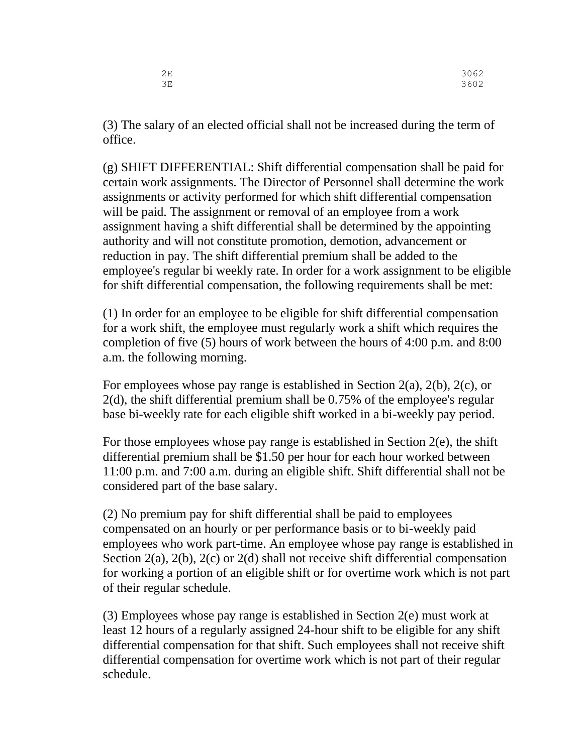| 2E | 3062 |
|----|------|
| 3E | 3602 |

(3) The salary of an elected official shall not be increased during the term of office.

(g) SHIFT DIFFERENTIAL: Shift differential compensation shall be paid for certain work assignments. The Director of Personnel shall determine the work assignments or activity performed for which shift differential compensation will be paid. The assignment or removal of an employee from a work assignment having a shift differential shall be determined by the appointing authority and will not constitute promotion, demotion, advancement or reduction in pay. The shift differential premium shall be added to the employee's regular bi weekly rate. In order for a work assignment to be eligible for shift differential compensation, the following requirements shall be met:

(1) In order for an employee to be eligible for shift differential compensation for a work shift, the employee must regularly work a shift which requires the completion of five (5) hours of work between the hours of 4:00 p.m. and 8:00 a.m. the following morning.

For employees whose pay range is established in Section 2(a), 2(b), 2(c), or 2(d), the shift differential premium shall be 0.75% of the employee's regular base bi-weekly rate for each eligible shift worked in a bi-weekly pay period.

For those employees whose pay range is established in Section 2(e), the shift differential premium shall be \$1.50 per hour for each hour worked between 11:00 p.m. and 7:00 a.m. during an eligible shift. Shift differential shall not be considered part of the base salary.

(2) No premium pay for shift differential shall be paid to employees compensated on an hourly or per performance basis or to bi-weekly paid employees who work part-time. An employee whose pay range is established in Section 2(a), 2(b), 2(c) or 2(d) shall not receive shift differential compensation for working a portion of an eligible shift or for overtime work which is not part of their regular schedule.

(3) Employees whose pay range is established in Section 2(e) must work at least 12 hours of a regularly assigned 24-hour shift to be eligible for any shift differential compensation for that shift. Such employees shall not receive shift differential compensation for overtime work which is not part of their regular schedule.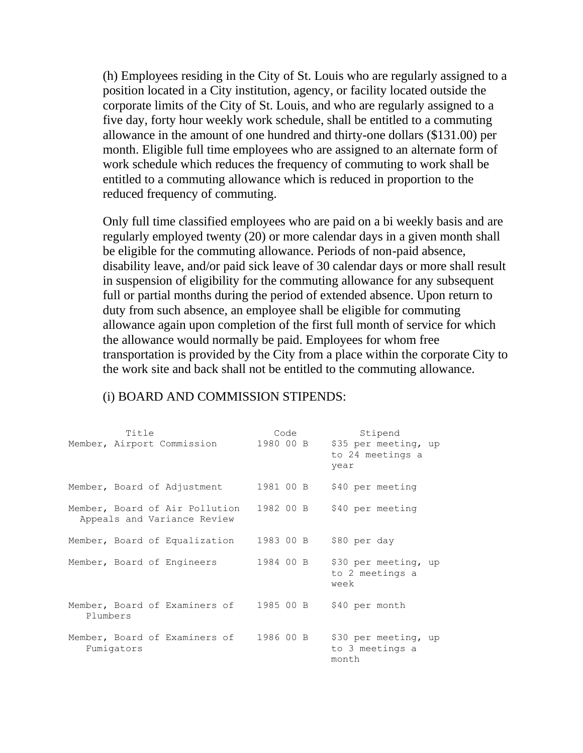(h) Employees residing in the City of St. Louis who are regularly assigned to a position located in a City institution, agency, or facility located outside the corporate limits of the City of St. Louis, and who are regularly assigned to a five day, forty hour weekly work schedule, shall be entitled to a commuting allowance in the amount of one hundred and thirty-one dollars (\$131.00) per month. Eligible full time employees who are assigned to an alternate form of work schedule which reduces the frequency of commuting to work shall be entitled to a commuting allowance which is reduced in proportion to the reduced frequency of commuting.

Only full time classified employees who are paid on a bi weekly basis and are regularly employed twenty (20) or more calendar days in a given month shall be eligible for the commuting allowance. Periods of non-paid absence, disability leave, and/or paid sick leave of 30 calendar days or more shall result in suspension of eligibility for the commuting allowance for any subsequent full or partial months during the period of extended absence. Upon return to duty from such absence, an employee shall be eligible for commuting allowance again upon completion of the first full month of service for which the allowance would normally be paid. Employees for whom free transportation is provided by the City from a place within the corporate City to the work site and back shall not be entitled to the commuting allowance.

| Title                                                         | Code      | Stipend                                          |
|---------------------------------------------------------------|-----------|--------------------------------------------------|
| Member, Airport Commission                                    | 1980 00 B | \$35 per meeting, up<br>to 24 meetings a<br>vear |
| Member, Board of Adjustment                                   | 1981 00 B | \$40 per meeting                                 |
| Member, Board of Air Pollution<br>Appeals and Variance Review | 1982 00 B | \$40 per meeting                                 |
| Member, Board of Equalization                                 | 1983 00 B | \$80 per day                                     |
| Member, Board of Engineers                                    | 1984 OO B | \$30 per meeting, up<br>to 2 meetings a<br>week  |
| Member, Board of Examiners of<br>Plumbers                     | 1985 00 B | \$40 per month                                   |
| Member, Board of Examiners of<br>Fumigators                   | 1986 00 B | \$30 per meeting, up<br>to 3 meetings a<br>month |

#### (i) BOARD AND COMMISSION STIPENDS: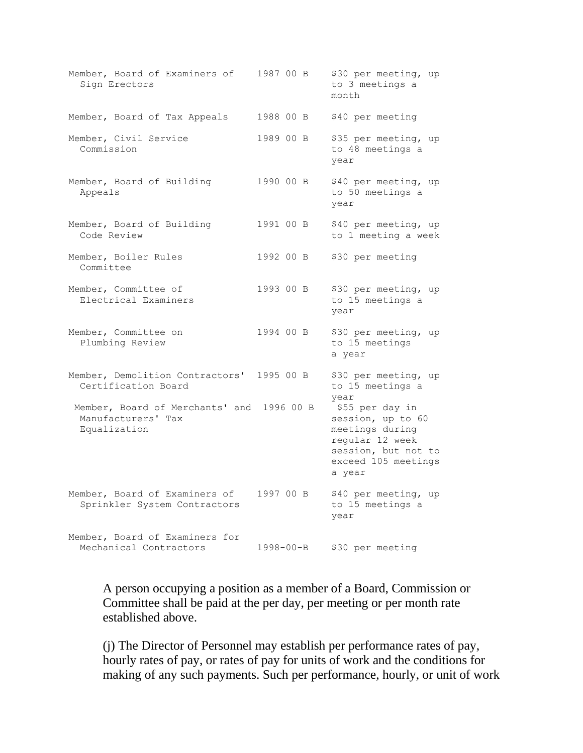| Member, Board of Examiners of<br>Sign Erectors                                  | 1987 00 B | \$30 per meeting, up<br>to 3 meetings a<br>month                                                                                   |
|---------------------------------------------------------------------------------|-----------|------------------------------------------------------------------------------------------------------------------------------------|
| Member, Board of Tax Appeals                                                    | 1988 00 B | \$40 per meeting                                                                                                                   |
| Member, Civil Service<br>Commission                                             | 1989 00 B | \$35 per meeting, up<br>to 48 meetings a<br>year                                                                                   |
| Member, Board of Building<br>Appeals                                            | 1990 00 B | \$40 per meeting, up<br>to 50 meetings a<br>year                                                                                   |
| Member, Board of Building<br>Code Review                                        | 1991 00 B | \$40 per meeting, up<br>to 1 meeting a week                                                                                        |
| Member, Boiler Rules<br>Committee                                               | 1992 00 B | \$30 per meeting                                                                                                                   |
| Member, Committee of<br>Electrical Examiners                                    | 1993 00 B | \$30 per meeting, up<br>to 15 meetings a<br>year                                                                                   |
| Member, Committee on<br>Plumbing Review                                         | 1994 00 B | \$30 per meeting, up<br>to 15 meetings<br>a year                                                                                   |
| Member, Demolition Contractors'<br>Certification Board                          | 1995 00 B | \$30 per meeting, up<br>to 15 meetings a<br>year                                                                                   |
| Member, Board of Merchants' and 1996 00 B<br>Manufacturers' Tax<br>Equalization |           | \$55 per day in<br>session, up to 60<br>meetings during<br>regular 12 week<br>session, but not to<br>exceed 105 meetings<br>a year |
| Member, Board of Examiners of<br>Sprinkler System Contractors                   | 1997 00 B | \$40 per meeting, up<br>to 15 meetings a<br>year                                                                                   |
| Member, Board of Examiners for<br>Mechanical Contractors                        | 1998-00-B | \$30 per meeting                                                                                                                   |

A person occupying a position as a member of a Board, Commission or Committee shall be paid at the per day, per meeting or per month rate established above.

(j) The Director of Personnel may establish per performance rates of pay, hourly rates of pay, or rates of pay for units of work and the conditions for making of any such payments. Such per performance, hourly, or unit of work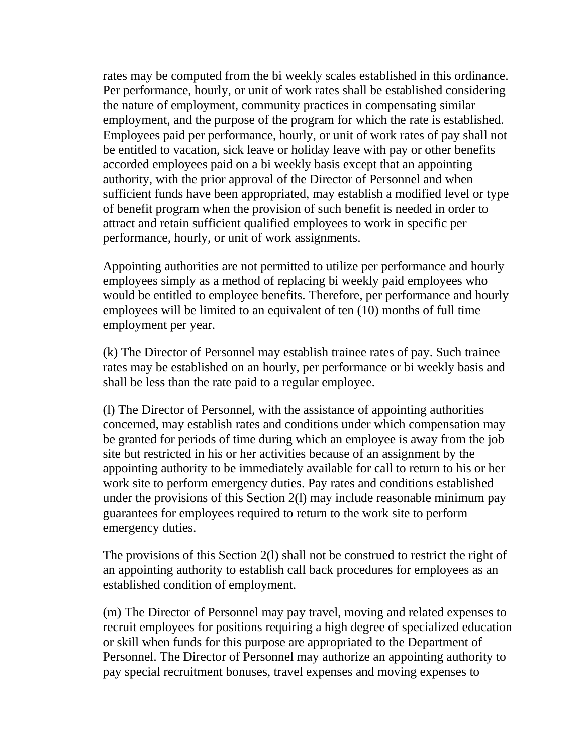rates may be computed from the bi weekly scales established in this ordinance. Per performance, hourly, or unit of work rates shall be established considering the nature of employment, community practices in compensating similar employment, and the purpose of the program for which the rate is established. Employees paid per performance, hourly, or unit of work rates of pay shall not be entitled to vacation, sick leave or holiday leave with pay or other benefits accorded employees paid on a bi weekly basis except that an appointing authority, with the prior approval of the Director of Personnel and when sufficient funds have been appropriated, may establish a modified level or type of benefit program when the provision of such benefit is needed in order to attract and retain sufficient qualified employees to work in specific per performance, hourly, or unit of work assignments.

Appointing authorities are not permitted to utilize per performance and hourly employees simply as a method of replacing bi weekly paid employees who would be entitled to employee benefits. Therefore, per performance and hourly employees will be limited to an equivalent of ten (10) months of full time employment per year.

(k) The Director of Personnel may establish trainee rates of pay. Such trainee rates may be established on an hourly, per performance or bi weekly basis and shall be less than the rate paid to a regular employee.

(l) The Director of Personnel, with the assistance of appointing authorities concerned, may establish rates and conditions under which compensation may be granted for periods of time during which an employee is away from the job site but restricted in his or her activities because of an assignment by the appointing authority to be immediately available for call to return to his or her work site to perform emergency duties. Pay rates and conditions established under the provisions of this Section 2(l) may include reasonable minimum pay guarantees for employees required to return to the work site to perform emergency duties.

The provisions of this Section 2(l) shall not be construed to restrict the right of an appointing authority to establish call back procedures for employees as an established condition of employment.

(m) The Director of Personnel may pay travel, moving and related expenses to recruit employees for positions requiring a high degree of specialized education or skill when funds for this purpose are appropriated to the Department of Personnel. The Director of Personnel may authorize an appointing authority to pay special recruitment bonuses, travel expenses and moving expenses to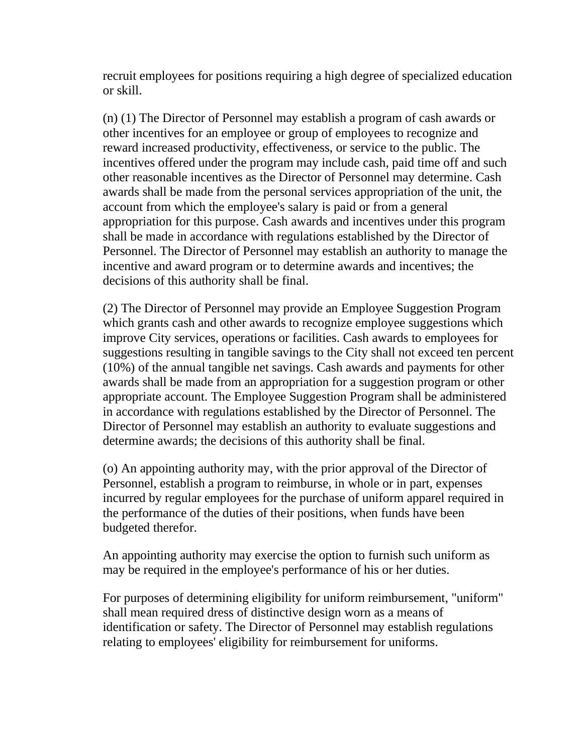recruit employees for positions requiring a high degree of specialized education or skill.

(n) (1) The Director of Personnel may establish a program of cash awards or other incentives for an employee or group of employees to recognize and reward increased productivity, effectiveness, or service to the public. The incentives offered under the program may include cash, paid time off and such other reasonable incentives as the Director of Personnel may determine. Cash awards shall be made from the personal services appropriation of the unit, the account from which the employee's salary is paid or from a general appropriation for this purpose. Cash awards and incentives under this program shall be made in accordance with regulations established by the Director of Personnel. The Director of Personnel may establish an authority to manage the incentive and award program or to determine awards and incentives; the decisions of this authority shall be final.

(2) The Director of Personnel may provide an Employee Suggestion Program which grants cash and other awards to recognize employee suggestions which improve City services, operations or facilities. Cash awards to employees for suggestions resulting in tangible savings to the City shall not exceed ten percent (10%) of the annual tangible net savings. Cash awards and payments for other awards shall be made from an appropriation for a suggestion program or other appropriate account. The Employee Suggestion Program shall be administered in accordance with regulations established by the Director of Personnel. The Director of Personnel may establish an authority to evaluate suggestions and determine awards; the decisions of this authority shall be final.

(o) An appointing authority may, with the prior approval of the Director of Personnel, establish a program to reimburse, in whole or in part, expenses incurred by regular employees for the purchase of uniform apparel required in the performance of the duties of their positions, when funds have been budgeted therefor.

An appointing authority may exercise the option to furnish such uniform as may be required in the employee's performance of his or her duties.

For purposes of determining eligibility for uniform reimbursement, "uniform" shall mean required dress of distinctive design worn as a means of identification or safety. The Director of Personnel may establish regulations relating to employees' eligibility for reimbursement for uniforms.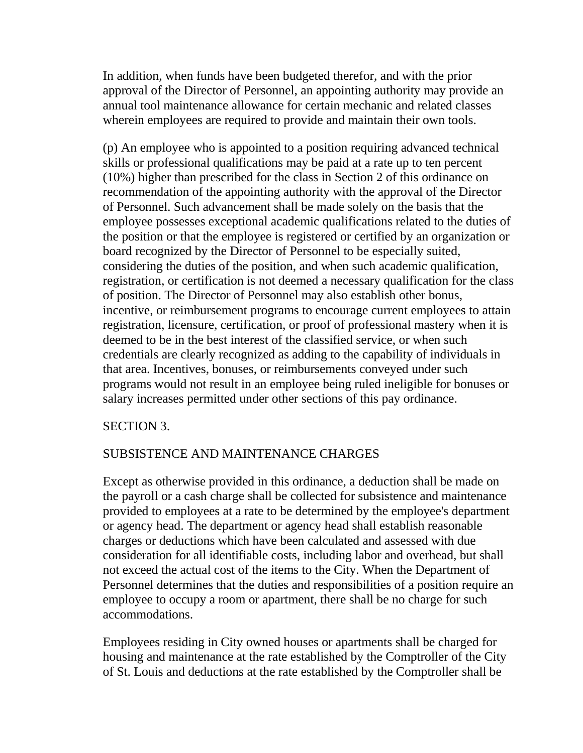In addition, when funds have been budgeted therefor, and with the prior approval of the Director of Personnel, an appointing authority may provide an annual tool maintenance allowance for certain mechanic and related classes wherein employees are required to provide and maintain their own tools.

(p) An employee who is appointed to a position requiring advanced technical skills or professional qualifications may be paid at a rate up to ten percent (10%) higher than prescribed for the class in Section 2 of this ordinance on recommendation of the appointing authority with the approval of the Director of Personnel. Such advancement shall be made solely on the basis that the employee possesses exceptional academic qualifications related to the duties of the position or that the employee is registered or certified by an organization or board recognized by the Director of Personnel to be especially suited, considering the duties of the position, and when such academic qualification, registration, or certification is not deemed a necessary qualification for the class of position. The Director of Personnel may also establish other bonus, incentive, or reimbursement programs to encourage current employees to attain registration, licensure, certification, or proof of professional mastery when it is deemed to be in the best interest of the classified service, or when such credentials are clearly recognized as adding to the capability of individuals in that area. Incentives, bonuses, or reimbursements conveyed under such programs would not result in an employee being ruled ineligible for bonuses or salary increases permitted under other sections of this pay ordinance.

## SECTION 3.

## SUBSISTENCE AND MAINTENANCE CHARGES

Except as otherwise provided in this ordinance, a deduction shall be made on the payroll or a cash charge shall be collected for subsistence and maintenance provided to employees at a rate to be determined by the employee's department or agency head. The department or agency head shall establish reasonable charges or deductions which have been calculated and assessed with due consideration for all identifiable costs, including labor and overhead, but shall not exceed the actual cost of the items to the City. When the Department of Personnel determines that the duties and responsibilities of a position require an employee to occupy a room or apartment, there shall be no charge for such accommodations.

Employees residing in City owned houses or apartments shall be charged for housing and maintenance at the rate established by the Comptroller of the City of St. Louis and deductions at the rate established by the Comptroller shall be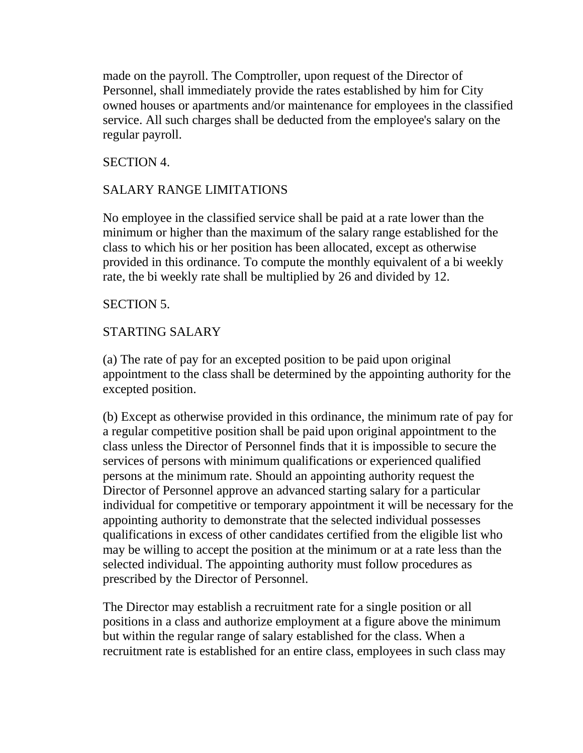made on the payroll. The Comptroller, upon request of the Director of Personnel, shall immediately provide the rates established by him for City owned houses or apartments and/or maintenance for employees in the classified service. All such charges shall be deducted from the employee's salary on the regular payroll.

## SECTION 4.

## SALARY RANGE LIMITATIONS

No employee in the classified service shall be paid at a rate lower than the minimum or higher than the maximum of the salary range established for the class to which his or her position has been allocated, except as otherwise provided in this ordinance. To compute the monthly equivalent of a bi weekly rate, the bi weekly rate shall be multiplied by 26 and divided by 12.

## SECTION 5.

## STARTING SALARY

(a) The rate of pay for an excepted position to be paid upon original appointment to the class shall be determined by the appointing authority for the excepted position.

(b) Except as otherwise provided in this ordinance, the minimum rate of pay for a regular competitive position shall be paid upon original appointment to the class unless the Director of Personnel finds that it is impossible to secure the services of persons with minimum qualifications or experienced qualified persons at the minimum rate. Should an appointing authority request the Director of Personnel approve an advanced starting salary for a particular individual for competitive or temporary appointment it will be necessary for the appointing authority to demonstrate that the selected individual possesses qualifications in excess of other candidates certified from the eligible list who may be willing to accept the position at the minimum or at a rate less than the selected individual. The appointing authority must follow procedures as prescribed by the Director of Personnel.

The Director may establish a recruitment rate for a single position or all positions in a class and authorize employment at a figure above the minimum but within the regular range of salary established for the class. When a recruitment rate is established for an entire class, employees in such class may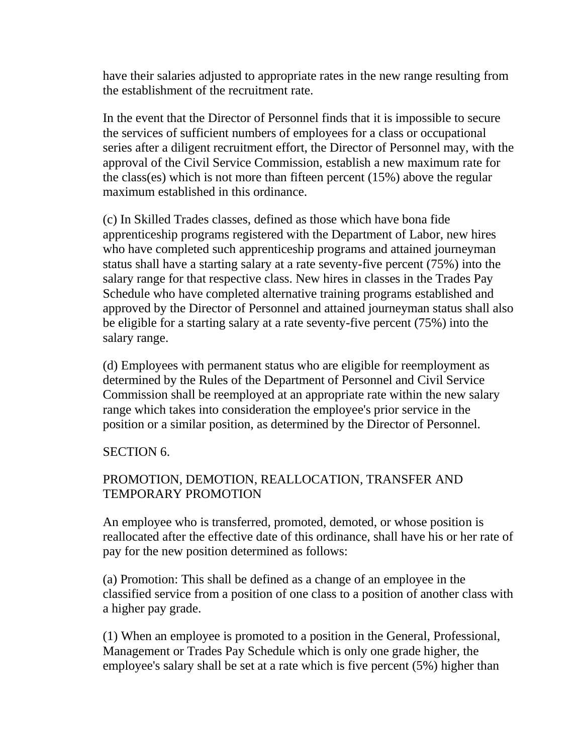have their salaries adjusted to appropriate rates in the new range resulting from the establishment of the recruitment rate.

In the event that the Director of Personnel finds that it is impossible to secure the services of sufficient numbers of employees for a class or occupational series after a diligent recruitment effort, the Director of Personnel may, with the approval of the Civil Service Commission, establish a new maximum rate for the class(es) which is not more than fifteen percent (15%) above the regular maximum established in this ordinance.

(c) In Skilled Trades classes, defined as those which have bona fide apprenticeship programs registered with the Department of Labor, new hires who have completed such apprenticeship programs and attained journeyman status shall have a starting salary at a rate seventy-five percent (75%) into the salary range for that respective class. New hires in classes in the Trades Pay Schedule who have completed alternative training programs established and approved by the Director of Personnel and attained journeyman status shall also be eligible for a starting salary at a rate seventy-five percent (75%) into the salary range.

(d) Employees with permanent status who are eligible for reemployment as determined by the Rules of the Department of Personnel and Civil Service Commission shall be reemployed at an appropriate rate within the new salary range which takes into consideration the employee's prior service in the position or a similar position, as determined by the Director of Personnel.

## SECTION 6.

## PROMOTION, DEMOTION, REALLOCATION, TRANSFER AND TEMPORARY PROMOTION

An employee who is transferred, promoted, demoted, or whose position is reallocated after the effective date of this ordinance, shall have his or her rate of pay for the new position determined as follows:

(a) Promotion: This shall be defined as a change of an employee in the classified service from a position of one class to a position of another class with a higher pay grade.

(1) When an employee is promoted to a position in the General, Professional, Management or Trades Pay Schedule which is only one grade higher, the employee's salary shall be set at a rate which is five percent (5%) higher than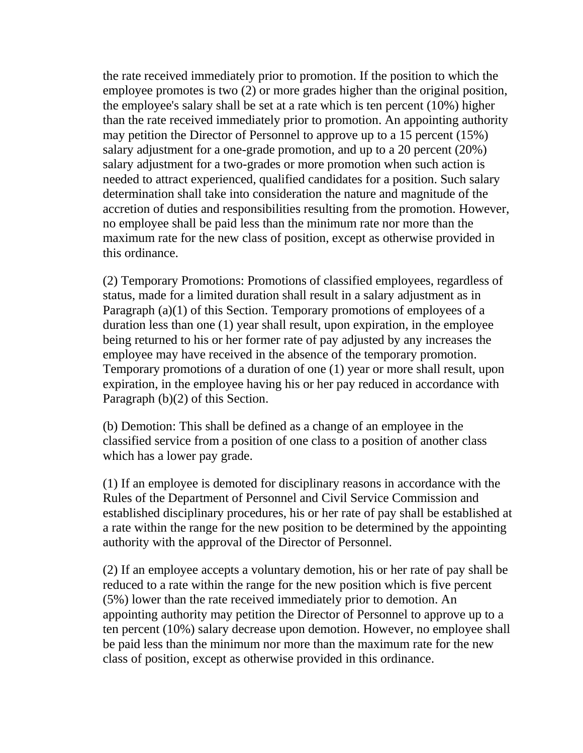the rate received immediately prior to promotion. If the position to which the employee promotes is two (2) or more grades higher than the original position, the employee's salary shall be set at a rate which is ten percent (10%) higher than the rate received immediately prior to promotion. An appointing authority may petition the Director of Personnel to approve up to a 15 percent (15%) salary adjustment for a one-grade promotion, and up to a 20 percent (20%) salary adjustment for a two-grades or more promotion when such action is needed to attract experienced, qualified candidates for a position. Such salary determination shall take into consideration the nature and magnitude of the accretion of duties and responsibilities resulting from the promotion. However, no employee shall be paid less than the minimum rate nor more than the maximum rate for the new class of position, except as otherwise provided in this ordinance.

(2) Temporary Promotions: Promotions of classified employees, regardless of status, made for a limited duration shall result in a salary adjustment as in Paragraph (a)(1) of this Section. Temporary promotions of employees of a duration less than one (1) year shall result, upon expiration, in the employee being returned to his or her former rate of pay adjusted by any increases the employee may have received in the absence of the temporary promotion. Temporary promotions of a duration of one (1) year or more shall result, upon expiration, in the employee having his or her pay reduced in accordance with Paragraph (b)(2) of this Section.

(b) Demotion: This shall be defined as a change of an employee in the classified service from a position of one class to a position of another class which has a lower pay grade.

(1) If an employee is demoted for disciplinary reasons in accordance with the Rules of the Department of Personnel and Civil Service Commission and established disciplinary procedures, his or her rate of pay shall be established at a rate within the range for the new position to be determined by the appointing authority with the approval of the Director of Personnel.

(2) If an employee accepts a voluntary demotion, his or her rate of pay shall be reduced to a rate within the range for the new position which is five percent (5%) lower than the rate received immediately prior to demotion. An appointing authority may petition the Director of Personnel to approve up to a ten percent (10%) salary decrease upon demotion. However, no employee shall be paid less than the minimum nor more than the maximum rate for the new class of position, except as otherwise provided in this ordinance.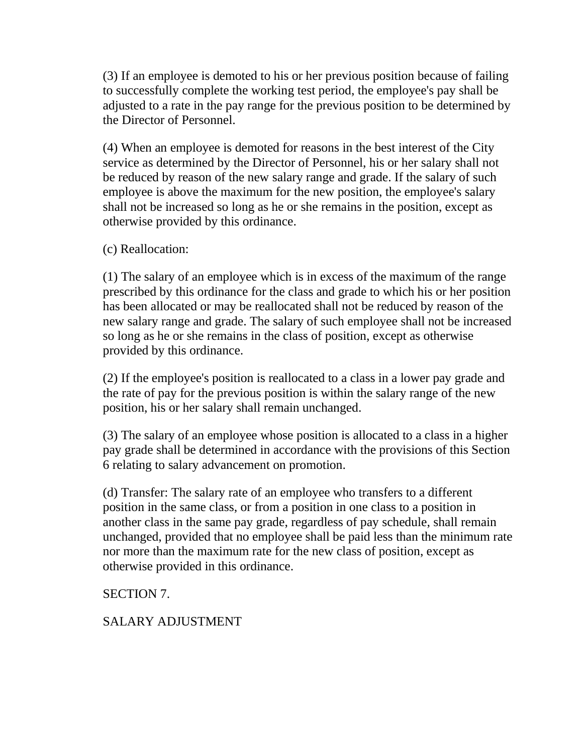(3) If an employee is demoted to his or her previous position because of failing to successfully complete the working test period, the employee's pay shall be adjusted to a rate in the pay range for the previous position to be determined by the Director of Personnel.

(4) When an employee is demoted for reasons in the best interest of the City service as determined by the Director of Personnel, his or her salary shall not be reduced by reason of the new salary range and grade. If the salary of such employee is above the maximum for the new position, the employee's salary shall not be increased so long as he or she remains in the position, except as otherwise provided by this ordinance.

(c) Reallocation:

(1) The salary of an employee which is in excess of the maximum of the range prescribed by this ordinance for the class and grade to which his or her position has been allocated or may be reallocated shall not be reduced by reason of the new salary range and grade. The salary of such employee shall not be increased so long as he or she remains in the class of position, except as otherwise provided by this ordinance.

(2) If the employee's position is reallocated to a class in a lower pay grade and the rate of pay for the previous position is within the salary range of the new position, his or her salary shall remain unchanged.

(3) The salary of an employee whose position is allocated to a class in a higher pay grade shall be determined in accordance with the provisions of this Section 6 relating to salary advancement on promotion.

(d) Transfer: The salary rate of an employee who transfers to a different position in the same class, or from a position in one class to a position in another class in the same pay grade, regardless of pay schedule, shall remain unchanged, provided that no employee shall be paid less than the minimum rate nor more than the maximum rate for the new class of position, except as otherwise provided in this ordinance.

SECTION 7.

SALARY ADJUSTMENT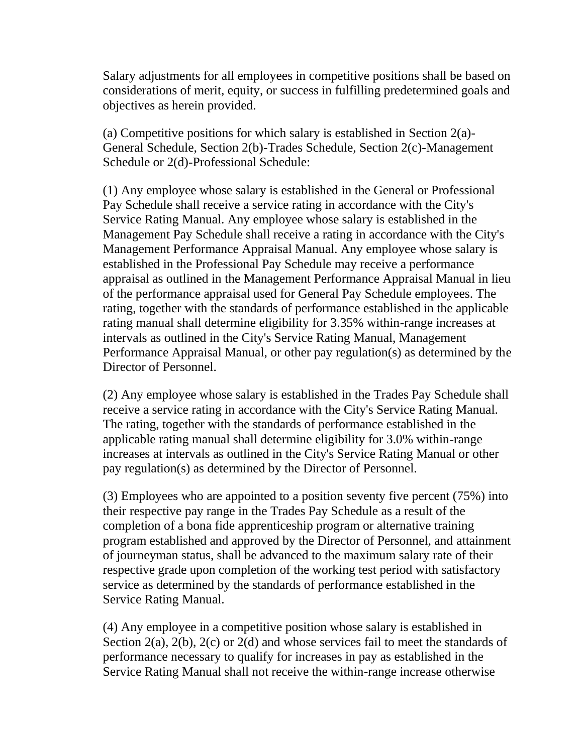Salary adjustments for all employees in competitive positions shall be based on considerations of merit, equity, or success in fulfilling predetermined goals and objectives as herein provided.

(a) Competitive positions for which salary is established in Section 2(a)- General Schedule, Section 2(b)-Trades Schedule, Section 2(c)-Management Schedule or 2(d)-Professional Schedule:

(1) Any employee whose salary is established in the General or Professional Pay Schedule shall receive a service rating in accordance with the City's Service Rating Manual. Any employee whose salary is established in the Management Pay Schedule shall receive a rating in accordance with the City's Management Performance Appraisal Manual. Any employee whose salary is established in the Professional Pay Schedule may receive a performance appraisal as outlined in the Management Performance Appraisal Manual in lieu of the performance appraisal used for General Pay Schedule employees. The rating, together with the standards of performance established in the applicable rating manual shall determine eligibility for 3.35% within-range increases at intervals as outlined in the City's Service Rating Manual, Management Performance Appraisal Manual, or other pay regulation(s) as determined by the Director of Personnel.

(2) Any employee whose salary is established in the Trades Pay Schedule shall receive a service rating in accordance with the City's Service Rating Manual. The rating, together with the standards of performance established in the applicable rating manual shall determine eligibility for 3.0% within-range increases at intervals as outlined in the City's Service Rating Manual or other pay regulation(s) as determined by the Director of Personnel.

(3) Employees who are appointed to a position seventy five percent (75%) into their respective pay range in the Trades Pay Schedule as a result of the completion of a bona fide apprenticeship program or alternative training program established and approved by the Director of Personnel, and attainment of journeyman status, shall be advanced to the maximum salary rate of their respective grade upon completion of the working test period with satisfactory service as determined by the standards of performance established in the Service Rating Manual.

(4) Any employee in a competitive position whose salary is established in Section 2(a), 2(b), 2(c) or 2(d) and whose services fail to meet the standards of performance necessary to qualify for increases in pay as established in the Service Rating Manual shall not receive the within-range increase otherwise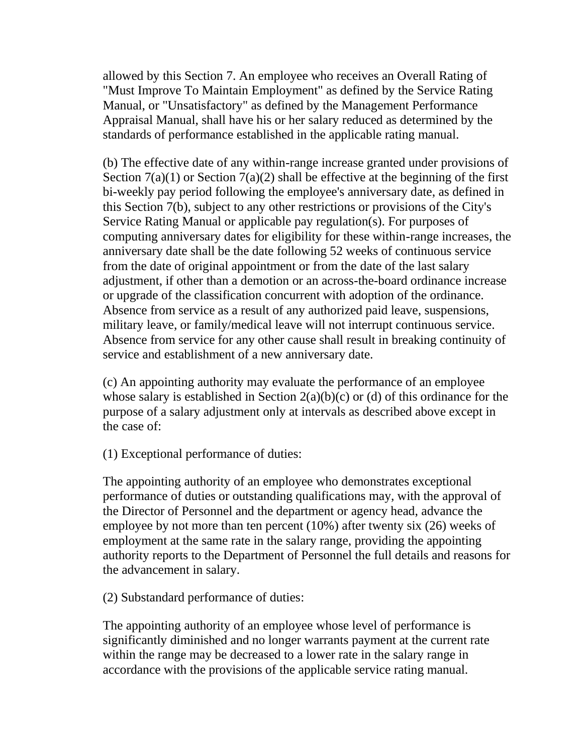allowed by this Section 7. An employee who receives an Overall Rating of "Must Improve To Maintain Employment" as defined by the Service Rating Manual, or "Unsatisfactory" as defined by the Management Performance Appraisal Manual, shall have his or her salary reduced as determined by the standards of performance established in the applicable rating manual.

(b) The effective date of any within-range increase granted under provisions of Section  $7(a)(1)$  or Section  $7(a)(2)$  shall be effective at the beginning of the first bi-weekly pay period following the employee's anniversary date, as defined in this Section 7(b), subject to any other restrictions or provisions of the City's Service Rating Manual or applicable pay regulation(s). For purposes of computing anniversary dates for eligibility for these within-range increases, the anniversary date shall be the date following 52 weeks of continuous service from the date of original appointment or from the date of the last salary adjustment, if other than a demotion or an across-the-board ordinance increase or upgrade of the classification concurrent with adoption of the ordinance. Absence from service as a result of any authorized paid leave, suspensions, military leave, or family/medical leave will not interrupt continuous service. Absence from service for any other cause shall result in breaking continuity of service and establishment of a new anniversary date.

(c) An appointing authority may evaluate the performance of an employee whose salary is established in Section  $2(a)(b)(c)$  or (d) of this ordinance for the purpose of a salary adjustment only at intervals as described above except in the case of:

(1) Exceptional performance of duties:

The appointing authority of an employee who demonstrates exceptional performance of duties or outstanding qualifications may, with the approval of the Director of Personnel and the department or agency head, advance the employee by not more than ten percent (10%) after twenty six (26) weeks of employment at the same rate in the salary range, providing the appointing authority reports to the Department of Personnel the full details and reasons for the advancement in salary.

(2) Substandard performance of duties:

The appointing authority of an employee whose level of performance is significantly diminished and no longer warrants payment at the current rate within the range may be decreased to a lower rate in the salary range in accordance with the provisions of the applicable service rating manual.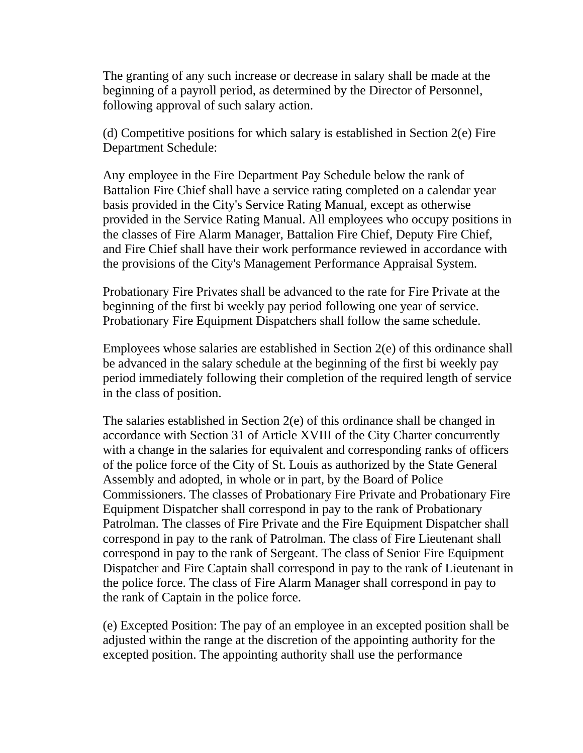The granting of any such increase or decrease in salary shall be made at the beginning of a payroll period, as determined by the Director of Personnel, following approval of such salary action.

(d) Competitive positions for which salary is established in Section 2(e) Fire Department Schedule:

Any employee in the Fire Department Pay Schedule below the rank of Battalion Fire Chief shall have a service rating completed on a calendar year basis provided in the City's Service Rating Manual, except as otherwise provided in the Service Rating Manual. All employees who occupy positions in the classes of Fire Alarm Manager, Battalion Fire Chief, Deputy Fire Chief, and Fire Chief shall have their work performance reviewed in accordance with the provisions of the City's Management Performance Appraisal System.

Probationary Fire Privates shall be advanced to the rate for Fire Private at the beginning of the first bi weekly pay period following one year of service. Probationary Fire Equipment Dispatchers shall follow the same schedule.

Employees whose salaries are established in Section 2(e) of this ordinance shall be advanced in the salary schedule at the beginning of the first bi weekly pay period immediately following their completion of the required length of service in the class of position.

The salaries established in Section 2(e) of this ordinance shall be changed in accordance with Section 31 of Article XVIII of the City Charter concurrently with a change in the salaries for equivalent and corresponding ranks of officers of the police force of the City of St. Louis as authorized by the State General Assembly and adopted, in whole or in part, by the Board of Police Commissioners. The classes of Probationary Fire Private and Probationary Fire Equipment Dispatcher shall correspond in pay to the rank of Probationary Patrolman. The classes of Fire Private and the Fire Equipment Dispatcher shall correspond in pay to the rank of Patrolman. The class of Fire Lieutenant shall correspond in pay to the rank of Sergeant. The class of Senior Fire Equipment Dispatcher and Fire Captain shall correspond in pay to the rank of Lieutenant in the police force. The class of Fire Alarm Manager shall correspond in pay to the rank of Captain in the police force.

(e) Excepted Position: The pay of an employee in an excepted position shall be adjusted within the range at the discretion of the appointing authority for the excepted position. The appointing authority shall use the performance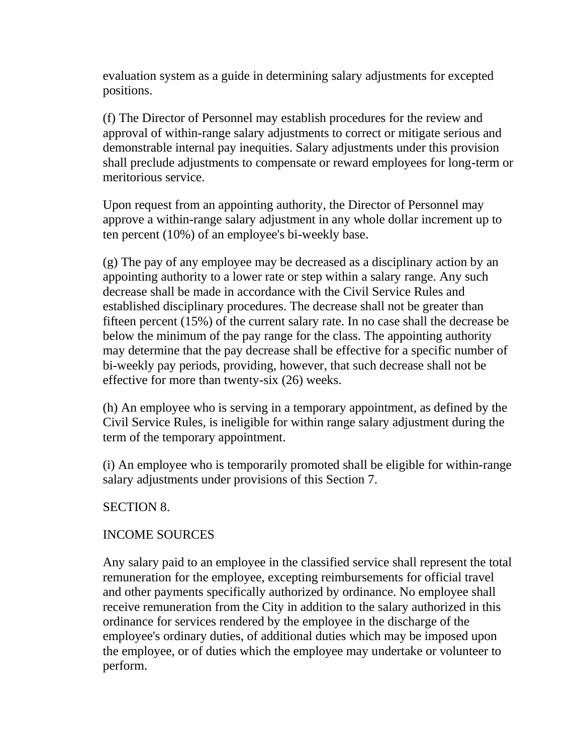evaluation system as a guide in determining salary adjustments for excepted positions.

(f) The Director of Personnel may establish procedures for the review and approval of within-range salary adjustments to correct or mitigate serious and demonstrable internal pay inequities. Salary adjustments under this provision shall preclude adjustments to compensate or reward employees for long-term or meritorious service.

Upon request from an appointing authority, the Director of Personnel may approve a within-range salary adjustment in any whole dollar increment up to ten percent (10%) of an employee's bi-weekly base.

(g) The pay of any employee may be decreased as a disciplinary action by an appointing authority to a lower rate or step within a salary range. Any such decrease shall be made in accordance with the Civil Service Rules and established disciplinary procedures. The decrease shall not be greater than fifteen percent (15%) of the current salary rate. In no case shall the decrease be below the minimum of the pay range for the class. The appointing authority may determine that the pay decrease shall be effective for a specific number of bi-weekly pay periods, providing, however, that such decrease shall not be effective for more than twenty-six (26) weeks.

(h) An employee who is serving in a temporary appointment, as defined by the Civil Service Rules, is ineligible for within range salary adjustment during the term of the temporary appointment.

(i) An employee who is temporarily promoted shall be eligible for within-range salary adjustments under provisions of this Section 7.

## SECTION 8.

## INCOME SOURCES

Any salary paid to an employee in the classified service shall represent the total remuneration for the employee, excepting reimbursements for official travel and other payments specifically authorized by ordinance. No employee shall receive remuneration from the City in addition to the salary authorized in this ordinance for services rendered by the employee in the discharge of the employee's ordinary duties, of additional duties which may be imposed upon the employee, or of duties which the employee may undertake or volunteer to perform.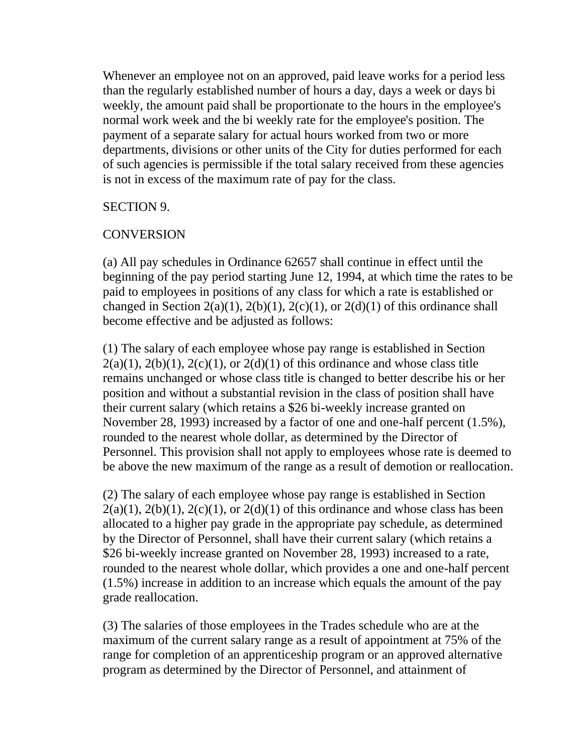Whenever an employee not on an approved, paid leave works for a period less than the regularly established number of hours a day, days a week or days bi weekly, the amount paid shall be proportionate to the hours in the employee's normal work week and the bi weekly rate for the employee's position. The payment of a separate salary for actual hours worked from two or more departments, divisions or other units of the City for duties performed for each of such agencies is permissible if the total salary received from these agencies is not in excess of the maximum rate of pay for the class.

#### SECTION 9.

## **CONVERSION**

(a) All pay schedules in Ordinance 62657 shall continue in effect until the beginning of the pay period starting June 12, 1994, at which time the rates to be paid to employees in positions of any class for which a rate is established or changed in Section 2(a)(1), 2(b)(1), 2(c)(1), or 2(d)(1) of this ordinance shall become effective and be adjusted as follows:

(1) The salary of each employee whose pay range is established in Section  $2(a)(1)$ ,  $2(b)(1)$ ,  $2(c)(1)$ , or  $2(d)(1)$  of this ordinance and whose class title remains unchanged or whose class title is changed to better describe his or her position and without a substantial revision in the class of position shall have their current salary (which retains a \$26 bi-weekly increase granted on November 28, 1993) increased by a factor of one and one-half percent (1.5%), rounded to the nearest whole dollar, as determined by the Director of Personnel. This provision shall not apply to employees whose rate is deemed to be above the new maximum of the range as a result of demotion or reallocation.

(2) The salary of each employee whose pay range is established in Section  $2(a)(1)$ ,  $2(b)(1)$ ,  $2(c)(1)$ , or  $2(d)(1)$  of this ordinance and whose class has been allocated to a higher pay grade in the appropriate pay schedule, as determined by the Director of Personnel, shall have their current salary (which retains a \$26 bi-weekly increase granted on November 28, 1993) increased to a rate, rounded to the nearest whole dollar, which provides a one and one-half percent (1.5%) increase in addition to an increase which equals the amount of the pay grade reallocation.

(3) The salaries of those employees in the Trades schedule who are at the maximum of the current salary range as a result of appointment at 75% of the range for completion of an apprenticeship program or an approved alternative program as determined by the Director of Personnel, and attainment of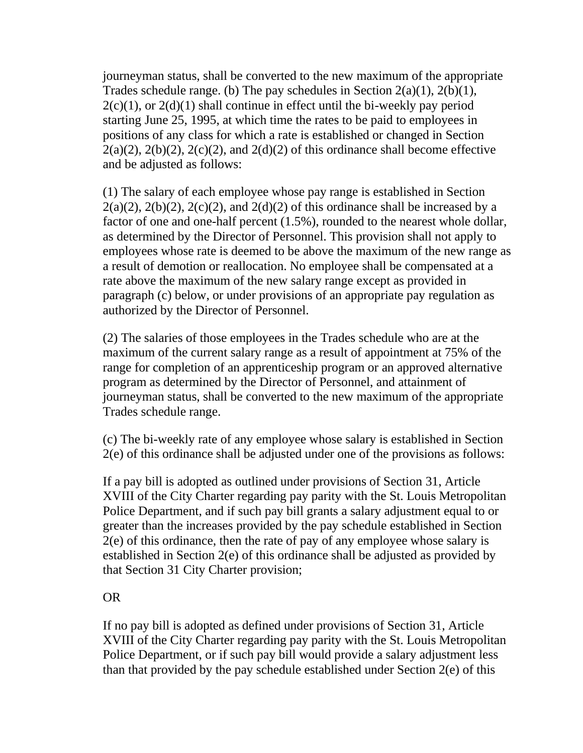journeyman status, shall be converted to the new maximum of the appropriate Trades schedule range. (b) The pay schedules in Section  $2(a)(1)$ ,  $2(b)(1)$ ,  $2(c)(1)$ , or  $2(d)(1)$  shall continue in effect until the bi-weekly pay period starting June 25, 1995, at which time the rates to be paid to employees in positions of any class for which a rate is established or changed in Section  $2(a)(2)$ ,  $2(b)(2)$ ,  $2(c)(2)$ , and  $2(d)(2)$  of this ordinance shall become effective and be adjusted as follows:

(1) The salary of each employee whose pay range is established in Section  $2(a)(2)$ ,  $2(b)(2)$ ,  $2(c)(2)$ , and  $2(d)(2)$  of this ordinance shall be increased by a factor of one and one-half percent (1.5%), rounded to the nearest whole dollar, as determined by the Director of Personnel. This provision shall not apply to employees whose rate is deemed to be above the maximum of the new range as a result of demotion or reallocation. No employee shall be compensated at a rate above the maximum of the new salary range except as provided in paragraph (c) below, or under provisions of an appropriate pay regulation as authorized by the Director of Personnel.

(2) The salaries of those employees in the Trades schedule who are at the maximum of the current salary range as a result of appointment at 75% of the range for completion of an apprenticeship program or an approved alternative program as determined by the Director of Personnel, and attainment of journeyman status, shall be converted to the new maximum of the appropriate Trades schedule range.

(c) The bi-weekly rate of any employee whose salary is established in Section 2(e) of this ordinance shall be adjusted under one of the provisions as follows:

If a pay bill is adopted as outlined under provisions of Section 31, Article XVIII of the City Charter regarding pay parity with the St. Louis Metropolitan Police Department, and if such pay bill grants a salary adjustment equal to or greater than the increases provided by the pay schedule established in Section 2(e) of this ordinance, then the rate of pay of any employee whose salary is established in Section 2(e) of this ordinance shall be adjusted as provided by that Section 31 City Charter provision;

## OR

If no pay bill is adopted as defined under provisions of Section 31, Article XVIII of the City Charter regarding pay parity with the St. Louis Metropolitan Police Department, or if such pay bill would provide a salary adjustment less than that provided by the pay schedule established under Section 2(e) of this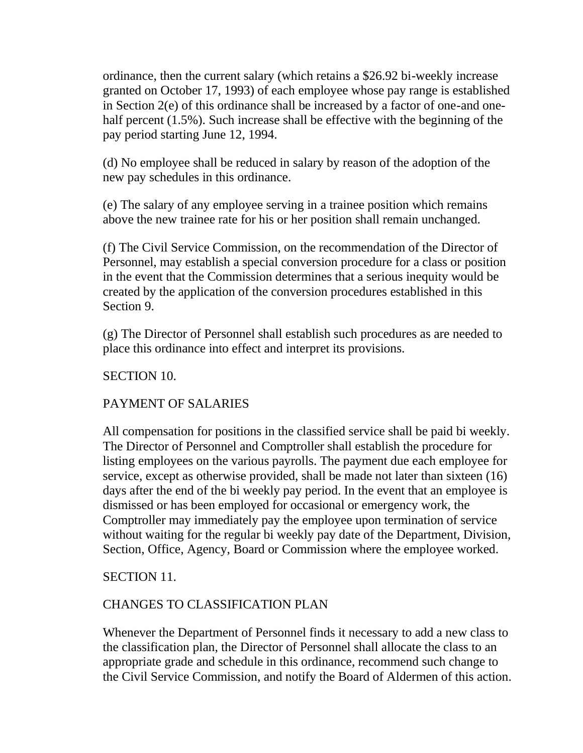ordinance, then the current salary (which retains a \$26.92 bi-weekly increase granted on October 17, 1993) of each employee whose pay range is established in Section 2(e) of this ordinance shall be increased by a factor of one-and onehalf percent (1.5%). Such increase shall be effective with the beginning of the pay period starting June 12, 1994.

(d) No employee shall be reduced in salary by reason of the adoption of the new pay schedules in this ordinance.

(e) The salary of any employee serving in a trainee position which remains above the new trainee rate for his or her position shall remain unchanged.

(f) The Civil Service Commission, on the recommendation of the Director of Personnel, may establish a special conversion procedure for a class or position in the event that the Commission determines that a serious inequity would be created by the application of the conversion procedures established in this Section 9.

(g) The Director of Personnel shall establish such procedures as are needed to place this ordinance into effect and interpret its provisions.

SECTION 10.

## PAYMENT OF SALARIES

All compensation for positions in the classified service shall be paid bi weekly. The Director of Personnel and Comptroller shall establish the procedure for listing employees on the various payrolls. The payment due each employee for service, except as otherwise provided, shall be made not later than sixteen (16) days after the end of the bi weekly pay period. In the event that an employee is dismissed or has been employed for occasional or emergency work, the Comptroller may immediately pay the employee upon termination of service without waiting for the regular bi weekly pay date of the Department, Division, Section, Office, Agency, Board or Commission where the employee worked.

SECTION 11.

## CHANGES TO CLASSIFICATION PLAN

Whenever the Department of Personnel finds it necessary to add a new class to the classification plan, the Director of Personnel shall allocate the class to an appropriate grade and schedule in this ordinance, recommend such change to the Civil Service Commission, and notify the Board of Aldermen of this action.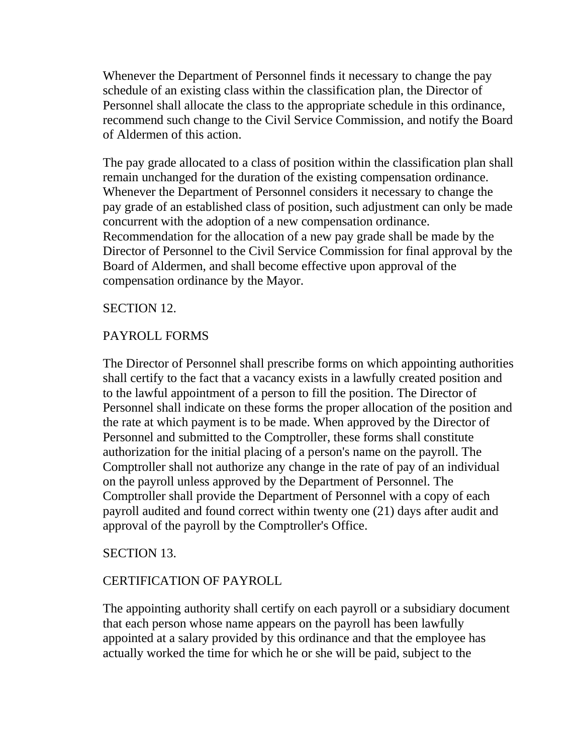Whenever the Department of Personnel finds it necessary to change the pay schedule of an existing class within the classification plan, the Director of Personnel shall allocate the class to the appropriate schedule in this ordinance, recommend such change to the Civil Service Commission, and notify the Board of Aldermen of this action.

The pay grade allocated to a class of position within the classification plan shall remain unchanged for the duration of the existing compensation ordinance. Whenever the Department of Personnel considers it necessary to change the pay grade of an established class of position, such adjustment can only be made concurrent with the adoption of a new compensation ordinance. Recommendation for the allocation of a new pay grade shall be made by the Director of Personnel to the Civil Service Commission for final approval by the Board of Aldermen, and shall become effective upon approval of the compensation ordinance by the Mayor.

## SECTION 12.

## PAYROLL FORMS

The Director of Personnel shall prescribe forms on which appointing authorities shall certify to the fact that a vacancy exists in a lawfully created position and to the lawful appointment of a person to fill the position. The Director of Personnel shall indicate on these forms the proper allocation of the position and the rate at which payment is to be made. When approved by the Director of Personnel and submitted to the Comptroller, these forms shall constitute authorization for the initial placing of a person's name on the payroll. The Comptroller shall not authorize any change in the rate of pay of an individual on the payroll unless approved by the Department of Personnel. The Comptroller shall provide the Department of Personnel with a copy of each payroll audited and found correct within twenty one (21) days after audit and approval of the payroll by the Comptroller's Office.

## SECTION 13.

## CERTIFICATION OF PAYROLL

The appointing authority shall certify on each payroll or a subsidiary document that each person whose name appears on the payroll has been lawfully appointed at a salary provided by this ordinance and that the employee has actually worked the time for which he or she will be paid, subject to the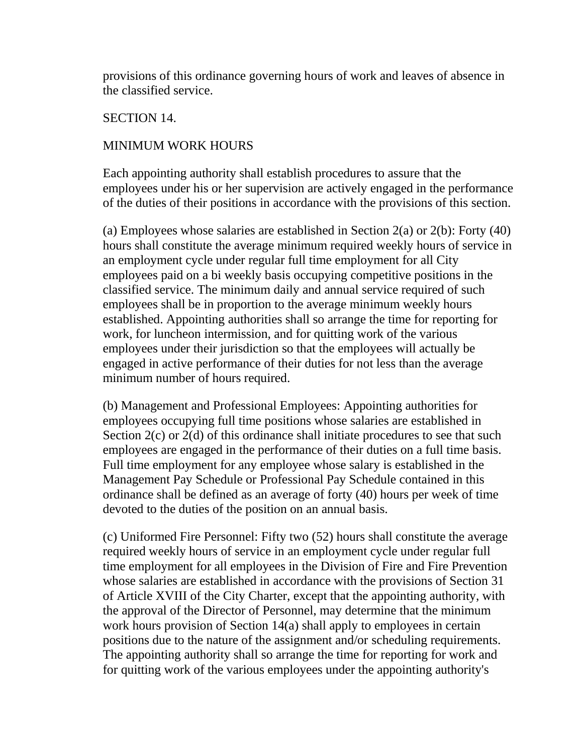provisions of this ordinance governing hours of work and leaves of absence in the classified service.

## SECTION 14.

## MINIMUM WORK HOURS

Each appointing authority shall establish procedures to assure that the employees under his or her supervision are actively engaged in the performance of the duties of their positions in accordance with the provisions of this section.

(a) Employees whose salaries are established in Section 2(a) or 2(b): Forty (40) hours shall constitute the average minimum required weekly hours of service in an employment cycle under regular full time employment for all City employees paid on a bi weekly basis occupying competitive positions in the classified service. The minimum daily and annual service required of such employees shall be in proportion to the average minimum weekly hours established. Appointing authorities shall so arrange the time for reporting for work, for luncheon intermission, and for quitting work of the various employees under their jurisdiction so that the employees will actually be engaged in active performance of their duties for not less than the average minimum number of hours required.

(b) Management and Professional Employees: Appointing authorities for employees occupying full time positions whose salaries are established in Section 2(c) or 2(d) of this ordinance shall initiate procedures to see that such employees are engaged in the performance of their duties on a full time basis. Full time employment for any employee whose salary is established in the Management Pay Schedule or Professional Pay Schedule contained in this ordinance shall be defined as an average of forty (40) hours per week of time devoted to the duties of the position on an annual basis.

(c) Uniformed Fire Personnel: Fifty two (52) hours shall constitute the average required weekly hours of service in an employment cycle under regular full time employment for all employees in the Division of Fire and Fire Prevention whose salaries are established in accordance with the provisions of Section 31 of Article XVIII of the City Charter, except that the appointing authority, with the approval of the Director of Personnel, may determine that the minimum work hours provision of Section 14(a) shall apply to employees in certain positions due to the nature of the assignment and/or scheduling requirements. The appointing authority shall so arrange the time for reporting for work and for quitting work of the various employees under the appointing authority's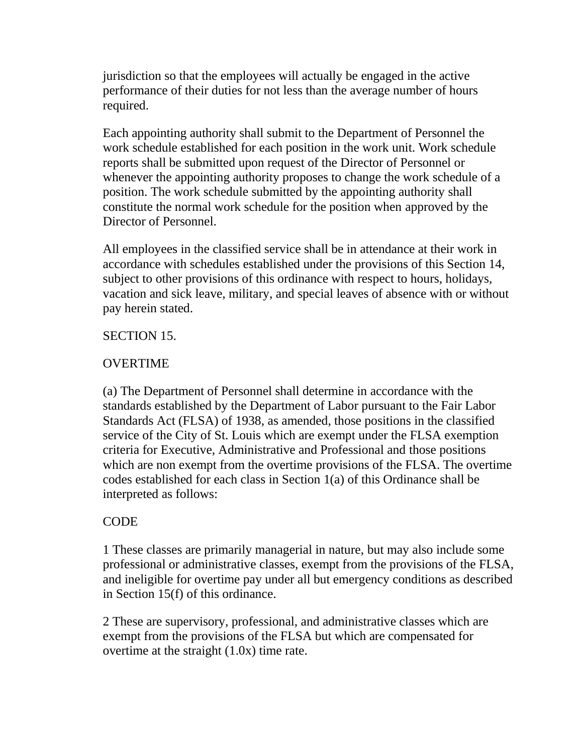jurisdiction so that the employees will actually be engaged in the active performance of their duties for not less than the average number of hours required.

Each appointing authority shall submit to the Department of Personnel the work schedule established for each position in the work unit. Work schedule reports shall be submitted upon request of the Director of Personnel or whenever the appointing authority proposes to change the work schedule of a position. The work schedule submitted by the appointing authority shall constitute the normal work schedule for the position when approved by the Director of Personnel.

All employees in the classified service shall be in attendance at their work in accordance with schedules established under the provisions of this Section 14, subject to other provisions of this ordinance with respect to hours, holidays, vacation and sick leave, military, and special leaves of absence with or without pay herein stated.

## SECTION 15.

## **OVERTIME**

(a) The Department of Personnel shall determine in accordance with the standards established by the Department of Labor pursuant to the Fair Labor Standards Act (FLSA) of 1938, as amended, those positions in the classified service of the City of St. Louis which are exempt under the FLSA exemption criteria for Executive, Administrative and Professional and those positions which are non exempt from the overtime provisions of the FLSA. The overtime codes established for each class in Section 1(a) of this Ordinance shall be interpreted as follows:

## CODE

1 These classes are primarily managerial in nature, but may also include some professional or administrative classes, exempt from the provisions of the FLSA, and ineligible for overtime pay under all but emergency conditions as described in Section 15(f) of this ordinance.

2 These are supervisory, professional, and administrative classes which are exempt from the provisions of the FLSA but which are compensated for overtime at the straight (1.0x) time rate.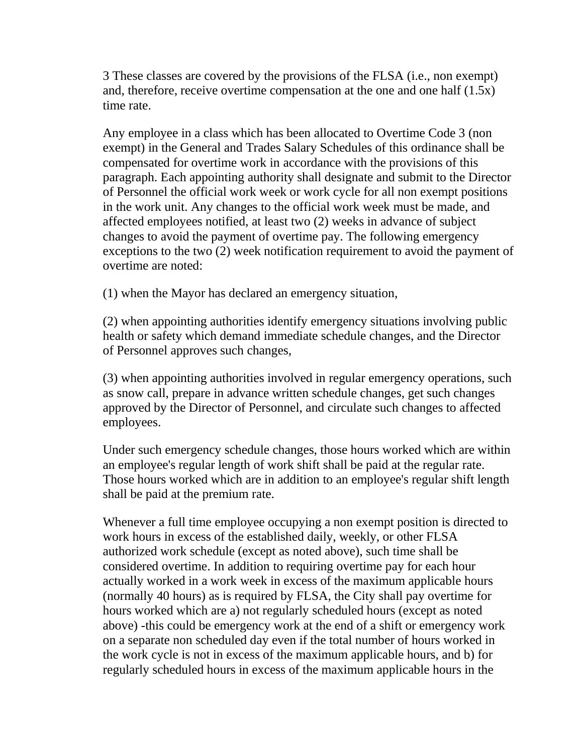3 These classes are covered by the provisions of the FLSA (i.e., non exempt) and, therefore, receive overtime compensation at the one and one half (1.5x) time rate.

Any employee in a class which has been allocated to Overtime Code 3 (non exempt) in the General and Trades Salary Schedules of this ordinance shall be compensated for overtime work in accordance with the provisions of this paragraph. Each appointing authority shall designate and submit to the Director of Personnel the official work week or work cycle for all non exempt positions in the work unit. Any changes to the official work week must be made, and affected employees notified, at least two (2) weeks in advance of subject changes to avoid the payment of overtime pay. The following emergency exceptions to the two (2) week notification requirement to avoid the payment of overtime are noted:

(1) when the Mayor has declared an emergency situation,

(2) when appointing authorities identify emergency situations involving public health or safety which demand immediate schedule changes, and the Director of Personnel approves such changes,

(3) when appointing authorities involved in regular emergency operations, such as snow call, prepare in advance written schedule changes, get such changes approved by the Director of Personnel, and circulate such changes to affected employees.

Under such emergency schedule changes, those hours worked which are within an employee's regular length of work shift shall be paid at the regular rate. Those hours worked which are in addition to an employee's regular shift length shall be paid at the premium rate.

Whenever a full time employee occupying a non exempt position is directed to work hours in excess of the established daily, weekly, or other FLSA authorized work schedule (except as noted above), such time shall be considered overtime. In addition to requiring overtime pay for each hour actually worked in a work week in excess of the maximum applicable hours (normally 40 hours) as is required by FLSA, the City shall pay overtime for hours worked which are a) not regularly scheduled hours (except as noted above) -this could be emergency work at the end of a shift or emergency work on a separate non scheduled day even if the total number of hours worked in the work cycle is not in excess of the maximum applicable hours, and b) for regularly scheduled hours in excess of the maximum applicable hours in the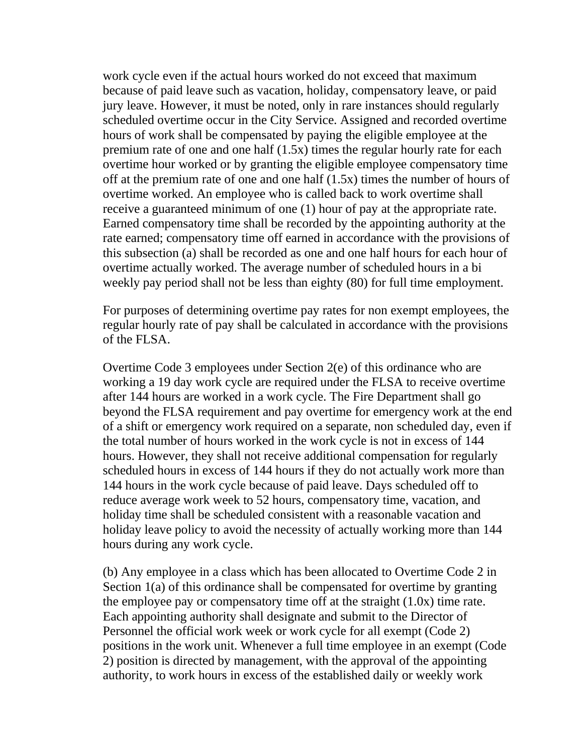work cycle even if the actual hours worked do not exceed that maximum because of paid leave such as vacation, holiday, compensatory leave, or paid jury leave. However, it must be noted, only in rare instances should regularly scheduled overtime occur in the City Service. Assigned and recorded overtime hours of work shall be compensated by paying the eligible employee at the premium rate of one and one half (1.5x) times the regular hourly rate for each overtime hour worked or by granting the eligible employee compensatory time off at the premium rate of one and one half (1.5x) times the number of hours of overtime worked. An employee who is called back to work overtime shall receive a guaranteed minimum of one (1) hour of pay at the appropriate rate. Earned compensatory time shall be recorded by the appointing authority at the rate earned; compensatory time off earned in accordance with the provisions of this subsection (a) shall be recorded as one and one half hours for each hour of overtime actually worked. The average number of scheduled hours in a bi weekly pay period shall not be less than eighty (80) for full time employment.

For purposes of determining overtime pay rates for non exempt employees, the regular hourly rate of pay shall be calculated in accordance with the provisions of the FLSA.

Overtime Code 3 employees under Section 2(e) of this ordinance who are working a 19 day work cycle are required under the FLSA to receive overtime after 144 hours are worked in a work cycle. The Fire Department shall go beyond the FLSA requirement and pay overtime for emergency work at the end of a shift or emergency work required on a separate, non scheduled day, even if the total number of hours worked in the work cycle is not in excess of 144 hours. However, they shall not receive additional compensation for regularly scheduled hours in excess of 144 hours if they do not actually work more than 144 hours in the work cycle because of paid leave. Days scheduled off to reduce average work week to 52 hours, compensatory time, vacation, and holiday time shall be scheduled consistent with a reasonable vacation and holiday leave policy to avoid the necessity of actually working more than 144 hours during any work cycle.

(b) Any employee in a class which has been allocated to Overtime Code 2 in Section 1(a) of this ordinance shall be compensated for overtime by granting the employee pay or compensatory time off at the straight (1.0x) time rate. Each appointing authority shall designate and submit to the Director of Personnel the official work week or work cycle for all exempt (Code 2) positions in the work unit. Whenever a full time employee in an exempt (Code 2) position is directed by management, with the approval of the appointing authority, to work hours in excess of the established daily or weekly work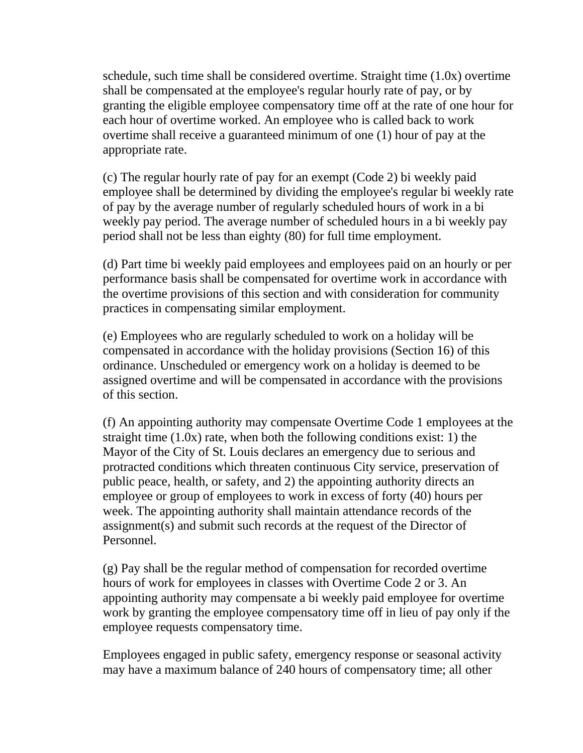schedule, such time shall be considered overtime. Straight time (1.0x) overtime shall be compensated at the employee's regular hourly rate of pay, or by granting the eligible employee compensatory time off at the rate of one hour for each hour of overtime worked. An employee who is called back to work overtime shall receive a guaranteed minimum of one (1) hour of pay at the appropriate rate.

(c) The regular hourly rate of pay for an exempt (Code 2) bi weekly paid employee shall be determined by dividing the employee's regular bi weekly rate of pay by the average number of regularly scheduled hours of work in a bi weekly pay period. The average number of scheduled hours in a bi weekly pay period shall not be less than eighty (80) for full time employment.

(d) Part time bi weekly paid employees and employees paid on an hourly or per performance basis shall be compensated for overtime work in accordance with the overtime provisions of this section and with consideration for community practices in compensating similar employment.

(e) Employees who are regularly scheduled to work on a holiday will be compensated in accordance with the holiday provisions (Section 16) of this ordinance. Unscheduled or emergency work on a holiday is deemed to be assigned overtime and will be compensated in accordance with the provisions of this section.

(f) An appointing authority may compensate Overtime Code 1 employees at the straight time (1.0x) rate, when both the following conditions exist: 1) the Mayor of the City of St. Louis declares an emergency due to serious and protracted conditions which threaten continuous City service, preservation of public peace, health, or safety, and 2) the appointing authority directs an employee or group of employees to work in excess of forty (40) hours per week. The appointing authority shall maintain attendance records of the assignment(s) and submit such records at the request of the Director of Personnel.

(g) Pay shall be the regular method of compensation for recorded overtime hours of work for employees in classes with Overtime Code 2 or 3. An appointing authority may compensate a bi weekly paid employee for overtime work by granting the employee compensatory time off in lieu of pay only if the employee requests compensatory time.

Employees engaged in public safety, emergency response or seasonal activity may have a maximum balance of 240 hours of compensatory time; all other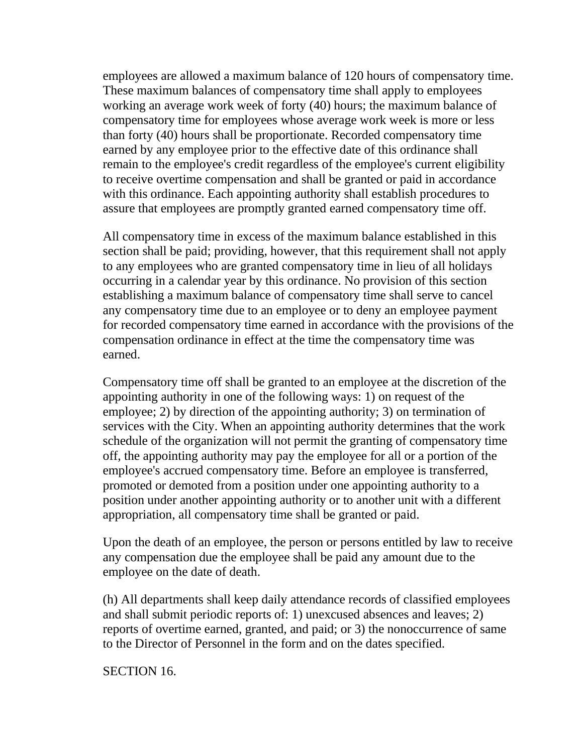employees are allowed a maximum balance of 120 hours of compensatory time. These maximum balances of compensatory time shall apply to employees working an average work week of forty (40) hours; the maximum balance of compensatory time for employees whose average work week is more or less than forty (40) hours shall be proportionate. Recorded compensatory time earned by any employee prior to the effective date of this ordinance shall remain to the employee's credit regardless of the employee's current eligibility to receive overtime compensation and shall be granted or paid in accordance with this ordinance. Each appointing authority shall establish procedures to assure that employees are promptly granted earned compensatory time off.

All compensatory time in excess of the maximum balance established in this section shall be paid; providing, however, that this requirement shall not apply to any employees who are granted compensatory time in lieu of all holidays occurring in a calendar year by this ordinance. No provision of this section establishing a maximum balance of compensatory time shall serve to cancel any compensatory time due to an employee or to deny an employee payment for recorded compensatory time earned in accordance with the provisions of the compensation ordinance in effect at the time the compensatory time was earned.

Compensatory time off shall be granted to an employee at the discretion of the appointing authority in one of the following ways: 1) on request of the employee; 2) by direction of the appointing authority; 3) on termination of services with the City. When an appointing authority determines that the work schedule of the organization will not permit the granting of compensatory time off, the appointing authority may pay the employee for all or a portion of the employee's accrued compensatory time. Before an employee is transferred, promoted or demoted from a position under one appointing authority to a position under another appointing authority or to another unit with a different appropriation, all compensatory time shall be granted or paid.

Upon the death of an employee, the person or persons entitled by law to receive any compensation due the employee shall be paid any amount due to the employee on the date of death.

(h) All departments shall keep daily attendance records of classified employees and shall submit periodic reports of: 1) unexcused absences and leaves; 2) reports of overtime earned, granted, and paid; or 3) the nonoccurrence of same to the Director of Personnel in the form and on the dates specified.

SECTION 16.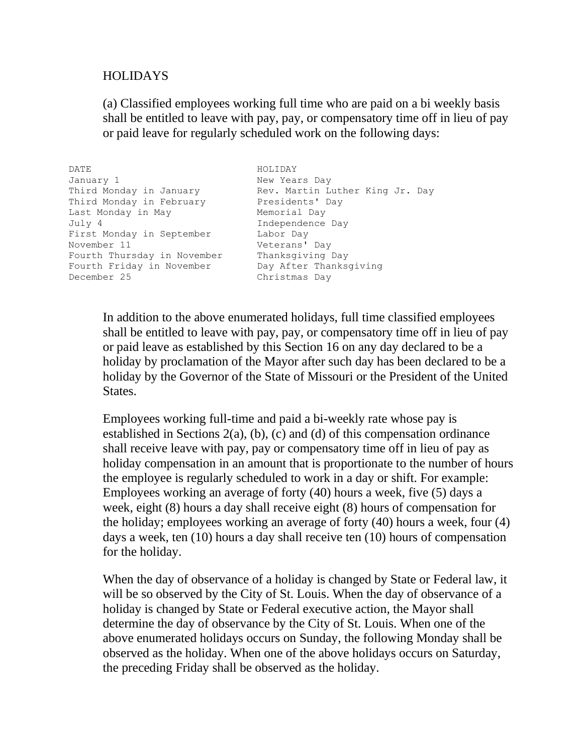## HOLIDAYS

(a) Classified employees working full time who are paid on a bi weekly basis shall be entitled to leave with pay, pay, or compensatory time off in lieu of pay or paid leave for regularly scheduled work on the following days:

| DATE                        | HOLIDAY                         |
|-----------------------------|---------------------------------|
| January 1                   | New Years Day                   |
| Third Monday in January     | Rev. Martin Luther King Jr. Day |
| Third Monday in February    | Presidents' Day                 |
| Last Monday in May          | Memorial Day                    |
| July 4                      | Independence Day                |
| First Monday in September   | Labor Day                       |
| November 11                 | Veterans' Day                   |
| Fourth Thursday in November | Thanksgiving Day                |
| Fourth Friday in November   | Day After Thanksgiving          |
| December 25                 | Christmas Day                   |

In addition to the above enumerated holidays, full time classified employees shall be entitled to leave with pay, pay, or compensatory time off in lieu of pay or paid leave as established by this Section 16 on any day declared to be a holiday by proclamation of the Mayor after such day has been declared to be a holiday by the Governor of the State of Missouri or the President of the United States.

Employees working full-time and paid a bi-weekly rate whose pay is established in Sections  $2(a)$ , (b), (c) and (d) of this compensation ordinance shall receive leave with pay, pay or compensatory time off in lieu of pay as holiday compensation in an amount that is proportionate to the number of hours the employee is regularly scheduled to work in a day or shift. For example: Employees working an average of forty (40) hours a week, five (5) days a week, eight (8) hours a day shall receive eight (8) hours of compensation for the holiday; employees working an average of forty (40) hours a week, four (4) days a week, ten (10) hours a day shall receive ten (10) hours of compensation for the holiday.

When the day of observance of a holiday is changed by State or Federal law, it will be so observed by the City of St. Louis. When the day of observance of a holiday is changed by State or Federal executive action, the Mayor shall determine the day of observance by the City of St. Louis. When one of the above enumerated holidays occurs on Sunday, the following Monday shall be observed as the holiday. When one of the above holidays occurs on Saturday, the preceding Friday shall be observed as the holiday.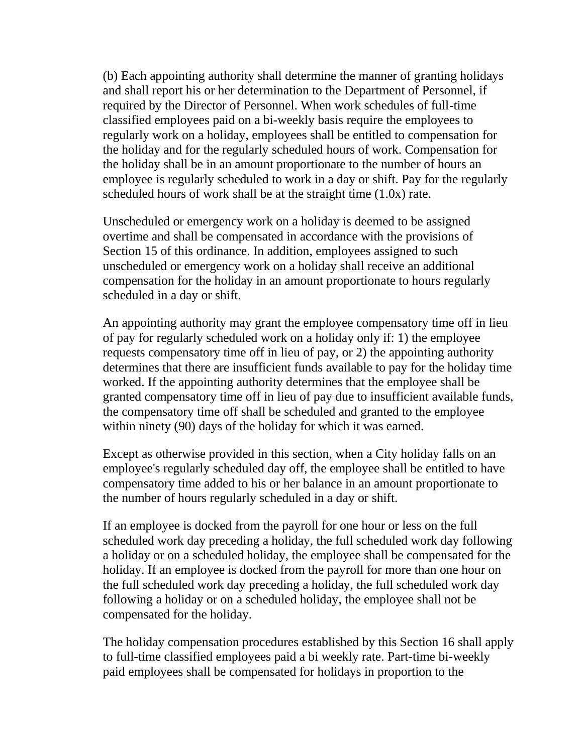(b) Each appointing authority shall determine the manner of granting holidays and shall report his or her determination to the Department of Personnel, if required by the Director of Personnel. When work schedules of full-time classified employees paid on a bi-weekly basis require the employees to regularly work on a holiday, employees shall be entitled to compensation for the holiday and for the regularly scheduled hours of work. Compensation for the holiday shall be in an amount proportionate to the number of hours an employee is regularly scheduled to work in a day or shift. Pay for the regularly scheduled hours of work shall be at the straight time (1.0x) rate.

Unscheduled or emergency work on a holiday is deemed to be assigned overtime and shall be compensated in accordance with the provisions of Section 15 of this ordinance. In addition, employees assigned to such unscheduled or emergency work on a holiday shall receive an additional compensation for the holiday in an amount proportionate to hours regularly scheduled in a day or shift.

An appointing authority may grant the employee compensatory time off in lieu of pay for regularly scheduled work on a holiday only if: 1) the employee requests compensatory time off in lieu of pay, or 2) the appointing authority determines that there are insufficient funds available to pay for the holiday time worked. If the appointing authority determines that the employee shall be granted compensatory time off in lieu of pay due to insufficient available funds, the compensatory time off shall be scheduled and granted to the employee within ninety (90) days of the holiday for which it was earned.

Except as otherwise provided in this section, when a City holiday falls on an employee's regularly scheduled day off, the employee shall be entitled to have compensatory time added to his or her balance in an amount proportionate to the number of hours regularly scheduled in a day or shift.

If an employee is docked from the payroll for one hour or less on the full scheduled work day preceding a holiday, the full scheduled work day following a holiday or on a scheduled holiday, the employee shall be compensated for the holiday. If an employee is docked from the payroll for more than one hour on the full scheduled work day preceding a holiday, the full scheduled work day following a holiday or on a scheduled holiday, the employee shall not be compensated for the holiday.

The holiday compensation procedures established by this Section 16 shall apply to full-time classified employees paid a bi weekly rate. Part-time bi-weekly paid employees shall be compensated for holidays in proportion to the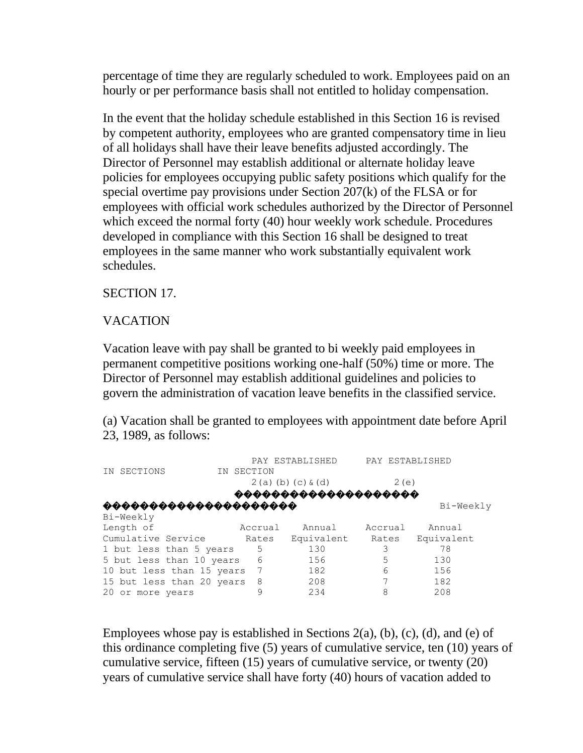percentage of time they are regularly scheduled to work. Employees paid on an hourly or per performance basis shall not entitled to holiday compensation.

In the event that the holiday schedule established in this Section 16 is revised by competent authority, employees who are granted compensatory time in lieu of all holidays shall have their leave benefits adjusted accordingly. The Director of Personnel may establish additional or alternate holiday leave policies for employees occupying public safety positions which qualify for the special overtime pay provisions under Section 207(k) of the FLSA or for employees with official work schedules authorized by the Director of Personnel which exceed the normal forty (40) hour weekly work schedule. Procedures developed in compliance with this Section 16 shall be designed to treat employees in the same manner who work substantially equivalent work schedules.

SECTION 17.

## VACATION

Vacation leave with pay shall be granted to bi weekly paid employees in permanent competitive positions working one-half (50%) time or more. The Director of Personnel may establish additional guidelines and policies to govern the administration of vacation leave benefits in the classified service.

(a) Vacation shall be granted to employees with appointment date before April 23, 1989, as follows:

| SECTIONS<br>ΙN            | IN SECTION | PAY ESTABLISHED         | PAY ESTABLISHED |            |
|---------------------------|------------|-------------------------|-----------------|------------|
|                           |            | $2(a)$ (b) (c) $\&$ (d) | 2(e)            |            |
|                           |            |                         | DDDD            |            |
| 666666666666666           |            |                         |                 | Bi-Weekly  |
| Bi-Weekly                 |            |                         |                 |            |
| Length of                 | Accrual    | Annual                  | Accrual         | Annual     |
| Cumulative Service        | Rates      | Equivalent              | Rates           | Equivalent |
| 1 but less than 5 years   | .5         | 130                     | 3               | 78         |
| 5 but less than 10 years  | 6          | 156                     | 5               | 130        |
| 10 but less than 15 years | 7          | 182                     | 6               | 156        |
| 15 but less than 20 years | 8          | 208                     |                 | 182        |
| 20<br>or more years       |            | 234                     |                 | 208        |

Employees whose pay is established in Sections  $2(a)$ , (b), (c), (d), and (e) of this ordinance completing five (5) years of cumulative service, ten (10) years of cumulative service, fifteen (15) years of cumulative service, or twenty (20) years of cumulative service shall have forty (40) hours of vacation added to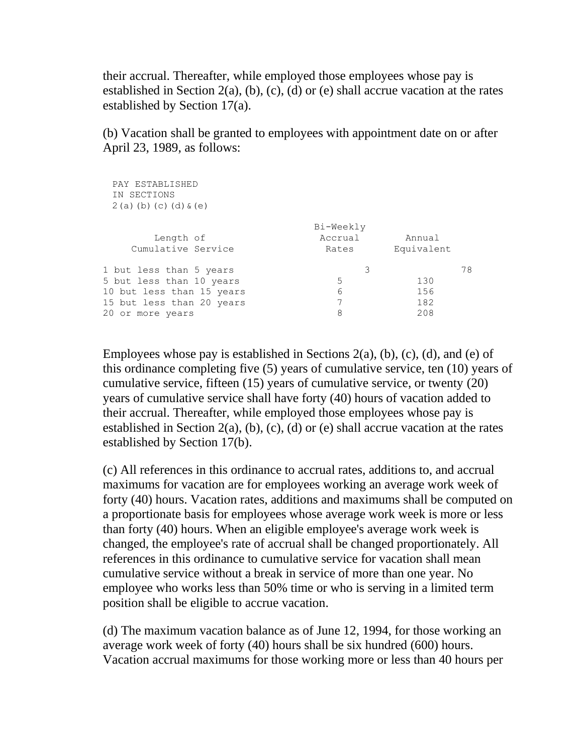their accrual. Thereafter, while employed those employees whose pay is established in Section 2(a), (b), (c), (d) or (e) shall accrue vacation at the rates established by Section 17(a).

(b) Vacation shall be granted to employees with appointment date on or after April 23, 1989, as follows:

| PAY ESTABLISHED<br>IN SECTIONS<br>$2(a)(b)(c)(d)$ $(c)(e)$ |           |            |    |
|------------------------------------------------------------|-----------|------------|----|
|                                                            | Bi-Weekly |            |    |
| Length of                                                  | Accrual   | Annual     |    |
| Cumulative Service                                         | Rates     | Equivalent |    |
| 1 but less than 5 years                                    | 3         |            | 78 |
| 5 but less than 10 years                                   | 5         | 130        |    |
| 10 but less than 15 years                                  | 6         | 156        |    |
| 15 but less than 20 years                                  | 7         | 182        |    |
| 20<br>or more years                                        | 8         | 208        |    |
|                                                            |           |            |    |

Employees whose pay is established in Sections  $2(a)$ , (b), (c), (d), and (e) of this ordinance completing five (5) years of cumulative service, ten (10) years of cumulative service, fifteen (15) years of cumulative service, or twenty (20) years of cumulative service shall have forty (40) hours of vacation added to their accrual. Thereafter, while employed those employees whose pay is established in Section 2(a), (b), (c), (d) or (e) shall accrue vacation at the rates established by Section 17(b).

(c) All references in this ordinance to accrual rates, additions to, and accrual maximums for vacation are for employees working an average work week of forty (40) hours. Vacation rates, additions and maximums shall be computed on a proportionate basis for employees whose average work week is more or less than forty (40) hours. When an eligible employee's average work week is changed, the employee's rate of accrual shall be changed proportionately. All references in this ordinance to cumulative service for vacation shall mean cumulative service without a break in service of more than one year. No employee who works less than 50% time or who is serving in a limited term position shall be eligible to accrue vacation.

(d) The maximum vacation balance as of June 12, 1994, for those working an average work week of forty (40) hours shall be six hundred (600) hours. Vacation accrual maximums for those working more or less than 40 hours per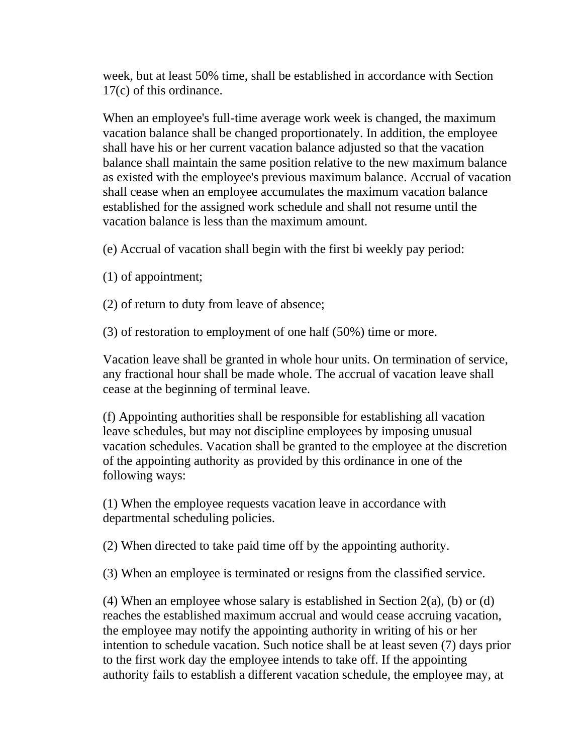week, but at least 50% time, shall be established in accordance with Section 17(c) of this ordinance.

When an employee's full-time average work week is changed, the maximum vacation balance shall be changed proportionately. In addition, the employee shall have his or her current vacation balance adjusted so that the vacation balance shall maintain the same position relative to the new maximum balance as existed with the employee's previous maximum balance. Accrual of vacation shall cease when an employee accumulates the maximum vacation balance established for the assigned work schedule and shall not resume until the vacation balance is less than the maximum amount.

(e) Accrual of vacation shall begin with the first bi weekly pay period:

(1) of appointment;

(2) of return to duty from leave of absence;

(3) of restoration to employment of one half (50%) time or more.

Vacation leave shall be granted in whole hour units. On termination of service, any fractional hour shall be made whole. The accrual of vacation leave shall cease at the beginning of terminal leave.

(f) Appointing authorities shall be responsible for establishing all vacation leave schedules, but may not discipline employees by imposing unusual vacation schedules. Vacation shall be granted to the employee at the discretion of the appointing authority as provided by this ordinance in one of the following ways:

(1) When the employee requests vacation leave in accordance with departmental scheduling policies.

(2) When directed to take paid time off by the appointing authority.

(3) When an employee is terminated or resigns from the classified service.

(4) When an employee whose salary is established in Section  $2(a)$ , (b) or (d) reaches the established maximum accrual and would cease accruing vacation, the employee may notify the appointing authority in writing of his or her intention to schedule vacation. Such notice shall be at least seven (7) days prior to the first work day the employee intends to take off. If the appointing authority fails to establish a different vacation schedule, the employee may, at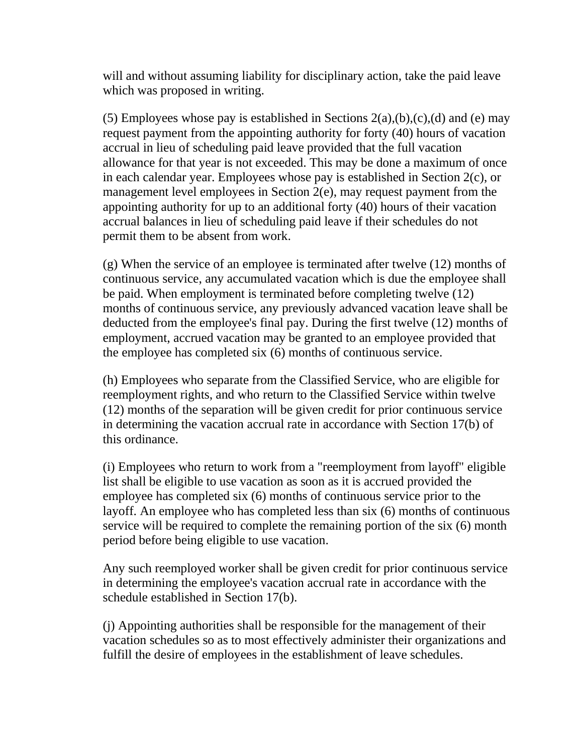will and without assuming liability for disciplinary action, take the paid leave which was proposed in writing.

(5) Employees whose pay is established in Sections  $2(a),(b),(c),(d)$  and (e) may request payment from the appointing authority for forty (40) hours of vacation accrual in lieu of scheduling paid leave provided that the full vacation allowance for that year is not exceeded. This may be done a maximum of once in each calendar year. Employees whose pay is established in Section 2(c), or management level employees in Section 2(e), may request payment from the appointing authority for up to an additional forty (40) hours of their vacation accrual balances in lieu of scheduling paid leave if their schedules do not permit them to be absent from work.

(g) When the service of an employee is terminated after twelve (12) months of continuous service, any accumulated vacation which is due the employee shall be paid. When employment is terminated before completing twelve (12) months of continuous service, any previously advanced vacation leave shall be deducted from the employee's final pay. During the first twelve (12) months of employment, accrued vacation may be granted to an employee provided that the employee has completed six (6) months of continuous service.

(h) Employees who separate from the Classified Service, who are eligible for reemployment rights, and who return to the Classified Service within twelve (12) months of the separation will be given credit for prior continuous service in determining the vacation accrual rate in accordance with Section 17(b) of this ordinance.

(i) Employees who return to work from a "reemployment from layoff" eligible list shall be eligible to use vacation as soon as it is accrued provided the employee has completed six (6) months of continuous service prior to the layoff. An employee who has completed less than six (6) months of continuous service will be required to complete the remaining portion of the six (6) month period before being eligible to use vacation.

Any such reemployed worker shall be given credit for prior continuous service in determining the employee's vacation accrual rate in accordance with the schedule established in Section 17(b).

(j) Appointing authorities shall be responsible for the management of their vacation schedules so as to most effectively administer their organizations and fulfill the desire of employees in the establishment of leave schedules.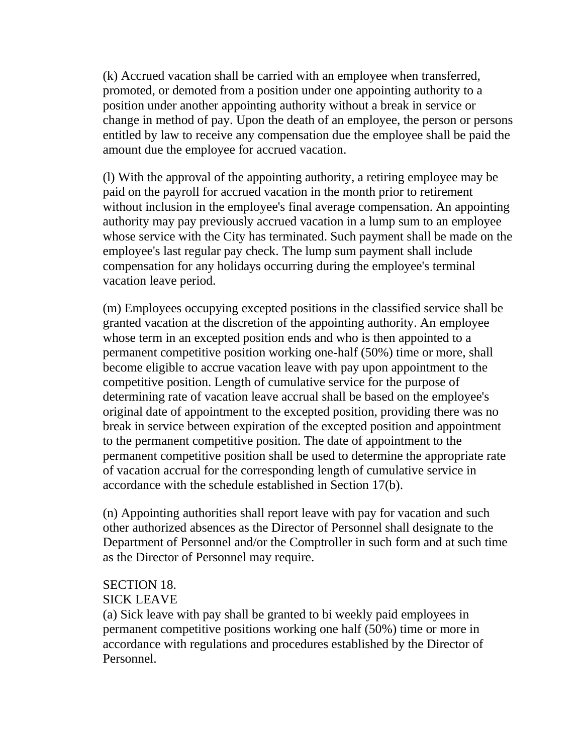(k) Accrued vacation shall be carried with an employee when transferred, promoted, or demoted from a position under one appointing authority to a position under another appointing authority without a break in service or change in method of pay. Upon the death of an employee, the person or persons entitled by law to receive any compensation due the employee shall be paid the amount due the employee for accrued vacation.

(l) With the approval of the appointing authority, a retiring employee may be paid on the payroll for accrued vacation in the month prior to retirement without inclusion in the employee's final average compensation. An appointing authority may pay previously accrued vacation in a lump sum to an employee whose service with the City has terminated. Such payment shall be made on the employee's last regular pay check. The lump sum payment shall include compensation for any holidays occurring during the employee's terminal vacation leave period.

(m) Employees occupying excepted positions in the classified service shall be granted vacation at the discretion of the appointing authority. An employee whose term in an excepted position ends and who is then appointed to a permanent competitive position working one-half (50%) time or more, shall become eligible to accrue vacation leave with pay upon appointment to the competitive position. Length of cumulative service for the purpose of determining rate of vacation leave accrual shall be based on the employee's original date of appointment to the excepted position, providing there was no break in service between expiration of the excepted position and appointment to the permanent competitive position. The date of appointment to the permanent competitive position shall be used to determine the appropriate rate of vacation accrual for the corresponding length of cumulative service in accordance with the schedule established in Section 17(b).

(n) Appointing authorities shall report leave with pay for vacation and such other authorized absences as the Director of Personnel shall designate to the Department of Personnel and/or the Comptroller in such form and at such time as the Director of Personnel may require.

## SECTION 18.

## SICK LEAVE

(a) Sick leave with pay shall be granted to bi weekly paid employees in permanent competitive positions working one half (50%) time or more in accordance with regulations and procedures established by the Director of Personnel.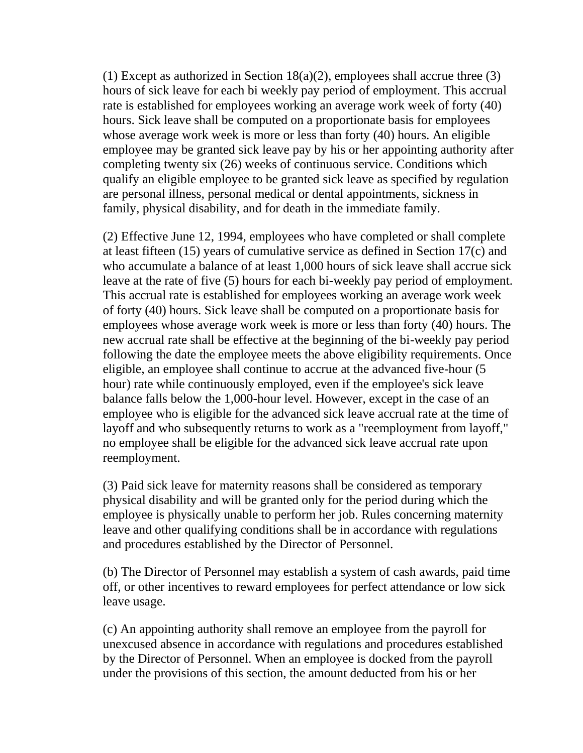(1) Except as authorized in Section  $18(a)(2)$ , employees shall accrue three (3) hours of sick leave for each bi weekly pay period of employment. This accrual rate is established for employees working an average work week of forty (40) hours. Sick leave shall be computed on a proportionate basis for employees whose average work week is more or less than forty (40) hours. An eligible employee may be granted sick leave pay by his or her appointing authority after completing twenty six (26) weeks of continuous service. Conditions which qualify an eligible employee to be granted sick leave as specified by regulation are personal illness, personal medical or dental appointments, sickness in family, physical disability, and for death in the immediate family.

(2) Effective June 12, 1994, employees who have completed or shall complete at least fifteen (15) years of cumulative service as defined in Section 17(c) and who accumulate a balance of at least 1,000 hours of sick leave shall accrue sick leave at the rate of five (5) hours for each bi-weekly pay period of employment. This accrual rate is established for employees working an average work week of forty (40) hours. Sick leave shall be computed on a proportionate basis for employees whose average work week is more or less than forty (40) hours. The new accrual rate shall be effective at the beginning of the bi-weekly pay period following the date the employee meets the above eligibility requirements. Once eligible, an employee shall continue to accrue at the advanced five-hour (5 hour) rate while continuously employed, even if the employee's sick leave balance falls below the 1,000-hour level. However, except in the case of an employee who is eligible for the advanced sick leave accrual rate at the time of layoff and who subsequently returns to work as a "reemployment from layoff," no employee shall be eligible for the advanced sick leave accrual rate upon reemployment.

(3) Paid sick leave for maternity reasons shall be considered as temporary physical disability and will be granted only for the period during which the employee is physically unable to perform her job. Rules concerning maternity leave and other qualifying conditions shall be in accordance with regulations and procedures established by the Director of Personnel.

(b) The Director of Personnel may establish a system of cash awards, paid time off, or other incentives to reward employees for perfect attendance or low sick leave usage.

(c) An appointing authority shall remove an employee from the payroll for unexcused absence in accordance with regulations and procedures established by the Director of Personnel. When an employee is docked from the payroll under the provisions of this section, the amount deducted from his or her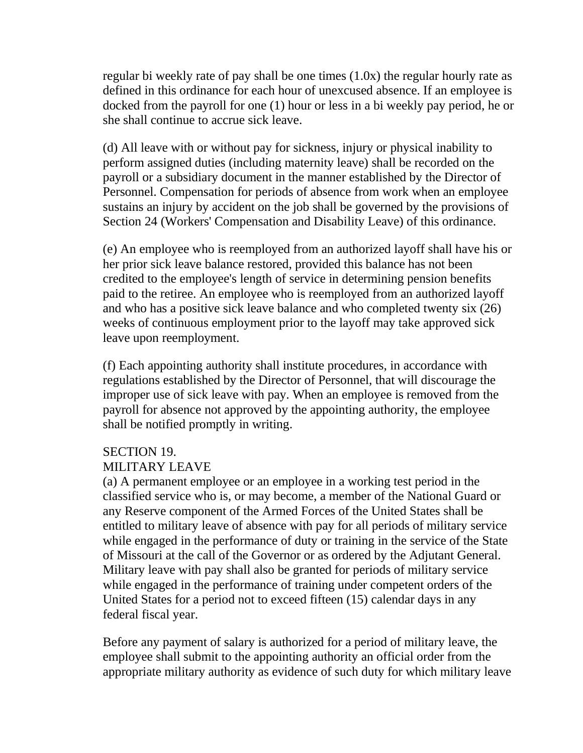regular bi weekly rate of pay shall be one times (1.0x) the regular hourly rate as defined in this ordinance for each hour of unexcused absence. If an employee is docked from the payroll for one (1) hour or less in a bi weekly pay period, he or she shall continue to accrue sick leave.

(d) All leave with or without pay for sickness, injury or physical inability to perform assigned duties (including maternity leave) shall be recorded on the payroll or a subsidiary document in the manner established by the Director of Personnel. Compensation for periods of absence from work when an employee sustains an injury by accident on the job shall be governed by the provisions of Section 24 (Workers' Compensation and Disability Leave) of this ordinance.

(e) An employee who is reemployed from an authorized layoff shall have his or her prior sick leave balance restored, provided this balance has not been credited to the employee's length of service in determining pension benefits paid to the retiree. An employee who is reemployed from an authorized layoff and who has a positive sick leave balance and who completed twenty six (26) weeks of continuous employment prior to the layoff may take approved sick leave upon reemployment.

(f) Each appointing authority shall institute procedures, in accordance with regulations established by the Director of Personnel, that will discourage the improper use of sick leave with pay. When an employee is removed from the payroll for absence not approved by the appointing authority, the employee shall be notified promptly in writing.

#### SECTION 19. MILITARY LEAVE

(a) A permanent employee or an employee in a working test period in the classified service who is, or may become, a member of the National Guard or any Reserve component of the Armed Forces of the United States shall be entitled to military leave of absence with pay for all periods of military service while engaged in the performance of duty or training in the service of the State of Missouri at the call of the Governor or as ordered by the Adjutant General. Military leave with pay shall also be granted for periods of military service while engaged in the performance of training under competent orders of the United States for a period not to exceed fifteen (15) calendar days in any federal fiscal year.

Before any payment of salary is authorized for a period of military leave, the employee shall submit to the appointing authority an official order from the appropriate military authority as evidence of such duty for which military leave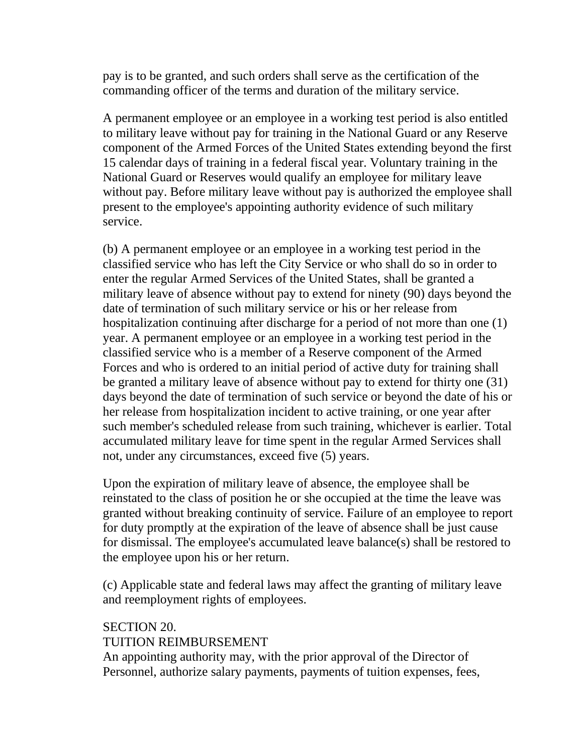pay is to be granted, and such orders shall serve as the certification of the commanding officer of the terms and duration of the military service.

A permanent employee or an employee in a working test period is also entitled to military leave without pay for training in the National Guard or any Reserve component of the Armed Forces of the United States extending beyond the first 15 calendar days of training in a federal fiscal year. Voluntary training in the National Guard or Reserves would qualify an employee for military leave without pay. Before military leave without pay is authorized the employee shall present to the employee's appointing authority evidence of such military service.

(b) A permanent employee or an employee in a working test period in the classified service who has left the City Service or who shall do so in order to enter the regular Armed Services of the United States, shall be granted a military leave of absence without pay to extend for ninety (90) days beyond the date of termination of such military service or his or her release from hospitalization continuing after discharge for a period of not more than one (1) year. A permanent employee or an employee in a working test period in the classified service who is a member of a Reserve component of the Armed Forces and who is ordered to an initial period of active duty for training shall be granted a military leave of absence without pay to extend for thirty one (31) days beyond the date of termination of such service or beyond the date of his or her release from hospitalization incident to active training, or one year after such member's scheduled release from such training, whichever is earlier. Total accumulated military leave for time spent in the regular Armed Services shall not, under any circumstances, exceed five (5) years.

Upon the expiration of military leave of absence, the employee shall be reinstated to the class of position he or she occupied at the time the leave was granted without breaking continuity of service. Failure of an employee to report for duty promptly at the expiration of the leave of absence shall be just cause for dismissal. The employee's accumulated leave balance(s) shall be restored to the employee upon his or her return.

(c) Applicable state and federal laws may affect the granting of military leave and reemployment rights of employees.

## SECTION 20. TUITION REIMBURSEMENT

An appointing authority may, with the prior approval of the Director of Personnel, authorize salary payments, payments of tuition expenses, fees,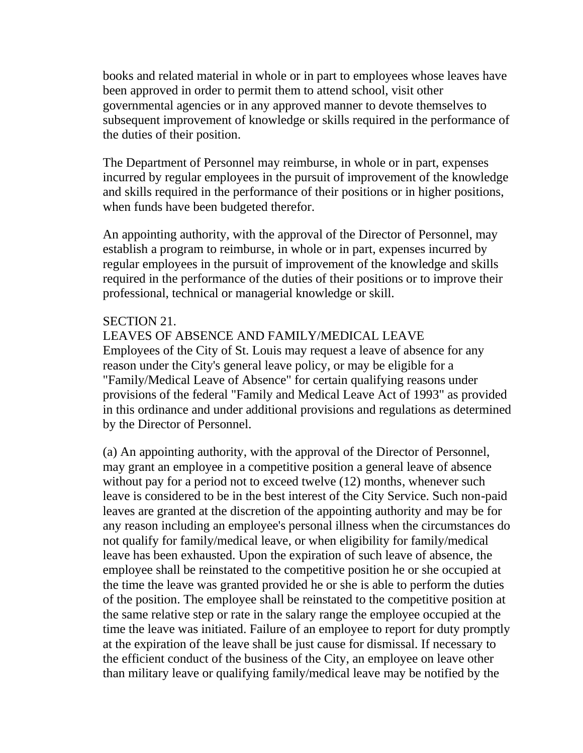books and related material in whole or in part to employees whose leaves have been approved in order to permit them to attend school, visit other governmental agencies or in any approved manner to devote themselves to subsequent improvement of knowledge or skills required in the performance of the duties of their position.

The Department of Personnel may reimburse, in whole or in part, expenses incurred by regular employees in the pursuit of improvement of the knowledge and skills required in the performance of their positions or in higher positions, when funds have been budgeted therefor.

An appointing authority, with the approval of the Director of Personnel, may establish a program to reimburse, in whole or in part, expenses incurred by regular employees in the pursuit of improvement of the knowledge and skills required in the performance of the duties of their positions or to improve their professional, technical or managerial knowledge or skill.

#### SECTION 21.

#### LEAVES OF ABSENCE AND FAMILY/MEDICAL LEAVE

Employees of the City of St. Louis may request a leave of absence for any reason under the City's general leave policy, or may be eligible for a "Family/Medical Leave of Absence" for certain qualifying reasons under provisions of the federal "Family and Medical Leave Act of 1993" as provided in this ordinance and under additional provisions and regulations as determined by the Director of Personnel.

(a) An appointing authority, with the approval of the Director of Personnel, may grant an employee in a competitive position a general leave of absence without pay for a period not to exceed twelve (12) months, whenever such leave is considered to be in the best interest of the City Service. Such non-paid leaves are granted at the discretion of the appointing authority and may be for any reason including an employee's personal illness when the circumstances do not qualify for family/medical leave, or when eligibility for family/medical leave has been exhausted. Upon the expiration of such leave of absence, the employee shall be reinstated to the competitive position he or she occupied at the time the leave was granted provided he or she is able to perform the duties of the position. The employee shall be reinstated to the competitive position at the same relative step or rate in the salary range the employee occupied at the time the leave was initiated. Failure of an employee to report for duty promptly at the expiration of the leave shall be just cause for dismissal. If necessary to the efficient conduct of the business of the City, an employee on leave other than military leave or qualifying family/medical leave may be notified by the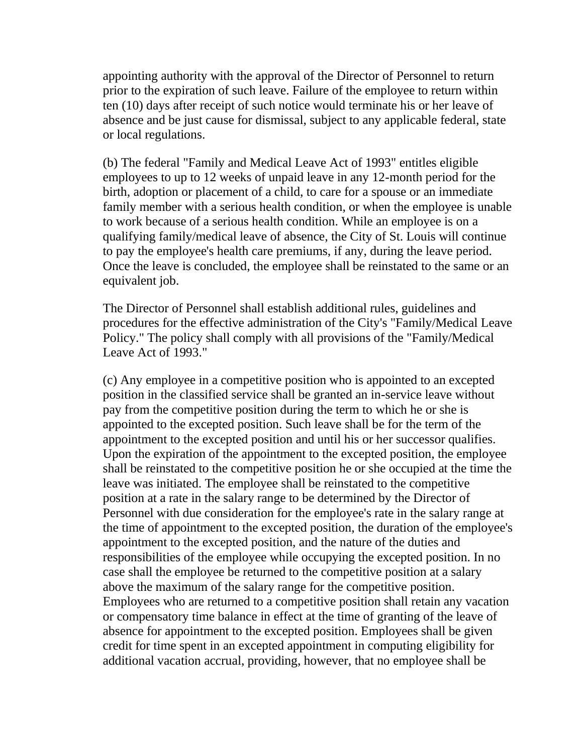appointing authority with the approval of the Director of Personnel to return prior to the expiration of such leave. Failure of the employee to return within ten (10) days after receipt of such notice would terminate his or her leave of absence and be just cause for dismissal, subject to any applicable federal, state or local regulations.

(b) The federal "Family and Medical Leave Act of 1993" entitles eligible employees to up to 12 weeks of unpaid leave in any 12-month period for the birth, adoption or placement of a child, to care for a spouse or an immediate family member with a serious health condition, or when the employee is unable to work because of a serious health condition. While an employee is on a qualifying family/medical leave of absence, the City of St. Louis will continue to pay the employee's health care premiums, if any, during the leave period. Once the leave is concluded, the employee shall be reinstated to the same or an equivalent job.

The Director of Personnel shall establish additional rules, guidelines and procedures for the effective administration of the City's "Family/Medical Leave Policy." The policy shall comply with all provisions of the "Family/Medical Leave Act of 1993."

(c) Any employee in a competitive position who is appointed to an excepted position in the classified service shall be granted an in-service leave without pay from the competitive position during the term to which he or she is appointed to the excepted position. Such leave shall be for the term of the appointment to the excepted position and until his or her successor qualifies. Upon the expiration of the appointment to the excepted position, the employee shall be reinstated to the competitive position he or she occupied at the time the leave was initiated. The employee shall be reinstated to the competitive position at a rate in the salary range to be determined by the Director of Personnel with due consideration for the employee's rate in the salary range at the time of appointment to the excepted position, the duration of the employee's appointment to the excepted position, and the nature of the duties and responsibilities of the employee while occupying the excepted position. In no case shall the employee be returned to the competitive position at a salary above the maximum of the salary range for the competitive position. Employees who are returned to a competitive position shall retain any vacation or compensatory time balance in effect at the time of granting of the leave of absence for appointment to the excepted position. Employees shall be given credit for time spent in an excepted appointment in computing eligibility for additional vacation accrual, providing, however, that no employee shall be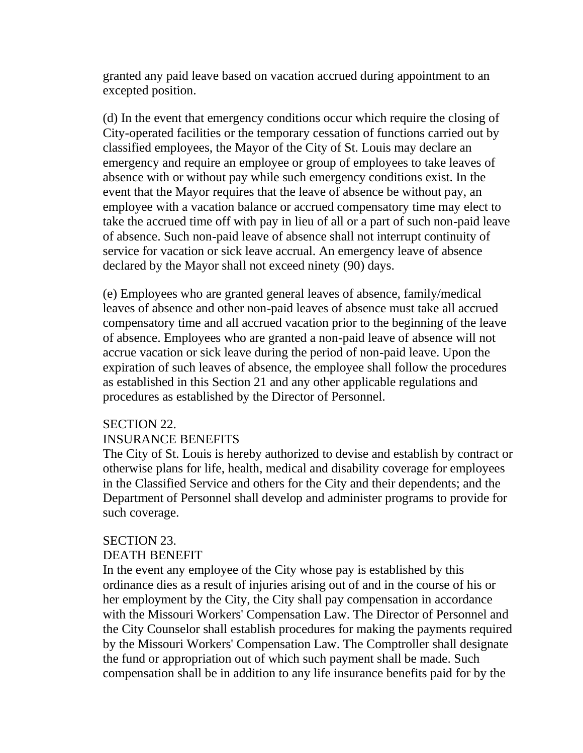granted any paid leave based on vacation accrued during appointment to an excepted position.

(d) In the event that emergency conditions occur which require the closing of City-operated facilities or the temporary cessation of functions carried out by classified employees, the Mayor of the City of St. Louis may declare an emergency and require an employee or group of employees to take leaves of absence with or without pay while such emergency conditions exist. In the event that the Mayor requires that the leave of absence be without pay, an employee with a vacation balance or accrued compensatory time may elect to take the accrued time off with pay in lieu of all or a part of such non-paid leave of absence. Such non-paid leave of absence shall not interrupt continuity of service for vacation or sick leave accrual. An emergency leave of absence declared by the Mayor shall not exceed ninety (90) days.

(e) Employees who are granted general leaves of absence, family/medical leaves of absence and other non-paid leaves of absence must take all accrued compensatory time and all accrued vacation prior to the beginning of the leave of absence. Employees who are granted a non-paid leave of absence will not accrue vacation or sick leave during the period of non-paid leave. Upon the expiration of such leaves of absence, the employee shall follow the procedures as established in this Section 21 and any other applicable regulations and procedures as established by the Director of Personnel.

## SECTION 22.

## INSURANCE BENEFITS

The City of St. Louis is hereby authorized to devise and establish by contract or otherwise plans for life, health, medical and disability coverage for employees in the Classified Service and others for the City and their dependents; and the Department of Personnel shall develop and administer programs to provide for such coverage.

#### SECTION 23.

#### DEATH BENEFIT

In the event any employee of the City whose pay is established by this ordinance dies as a result of injuries arising out of and in the course of his or her employment by the City, the City shall pay compensation in accordance with the Missouri Workers' Compensation Law. The Director of Personnel and the City Counselor shall establish procedures for making the payments required by the Missouri Workers' Compensation Law. The Comptroller shall designate the fund or appropriation out of which such payment shall be made. Such compensation shall be in addition to any life insurance benefits paid for by the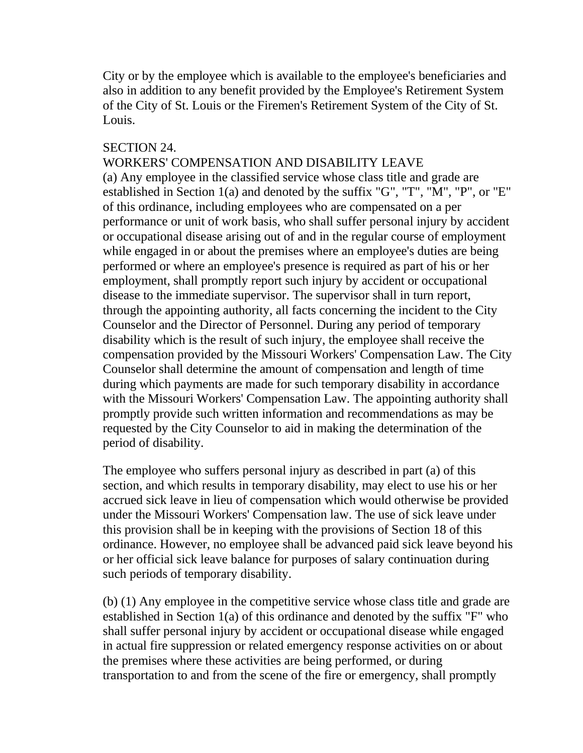City or by the employee which is available to the employee's beneficiaries and also in addition to any benefit provided by the Employee's Retirement System of the City of St. Louis or the Firemen's Retirement System of the City of St. Louis.

#### SECTION 24.

## WORKERS' COMPENSATION AND DISABILITY LEAVE

(a) Any employee in the classified service whose class title and grade are established in Section 1(a) and denoted by the suffix "G", "T", "M", "P", or "E" of this ordinance, including employees who are compensated on a per performance or unit of work basis, who shall suffer personal injury by accident or occupational disease arising out of and in the regular course of employment while engaged in or about the premises where an employee's duties are being performed or where an employee's presence is required as part of his or her employment, shall promptly report such injury by accident or occupational disease to the immediate supervisor. The supervisor shall in turn report, through the appointing authority, all facts concerning the incident to the City Counselor and the Director of Personnel. During any period of temporary disability which is the result of such injury, the employee shall receive the compensation provided by the Missouri Workers' Compensation Law. The City Counselor shall determine the amount of compensation and length of time during which payments are made for such temporary disability in accordance with the Missouri Workers' Compensation Law. The appointing authority shall promptly provide such written information and recommendations as may be requested by the City Counselor to aid in making the determination of the period of disability.

The employee who suffers personal injury as described in part (a) of this section, and which results in temporary disability, may elect to use his or her accrued sick leave in lieu of compensation which would otherwise be provided under the Missouri Workers' Compensation law. The use of sick leave under this provision shall be in keeping with the provisions of Section 18 of this ordinance. However, no employee shall be advanced paid sick leave beyond his or her official sick leave balance for purposes of salary continuation during such periods of temporary disability.

(b) (1) Any employee in the competitive service whose class title and grade are established in Section 1(a) of this ordinance and denoted by the suffix "F" who shall suffer personal injury by accident or occupational disease while engaged in actual fire suppression or related emergency response activities on or about the premises where these activities are being performed, or during transportation to and from the scene of the fire or emergency, shall promptly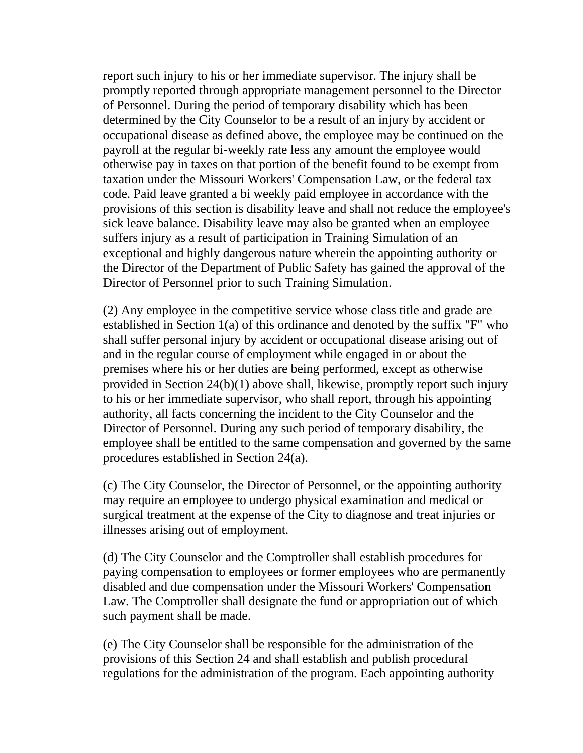report such injury to his or her immediate supervisor. The injury shall be promptly reported through appropriate management personnel to the Director of Personnel. During the period of temporary disability which has been determined by the City Counselor to be a result of an injury by accident or occupational disease as defined above, the employee may be continued on the payroll at the regular bi-weekly rate less any amount the employee would otherwise pay in taxes on that portion of the benefit found to be exempt from taxation under the Missouri Workers' Compensation Law, or the federal tax code. Paid leave granted a bi weekly paid employee in accordance with the provisions of this section is disability leave and shall not reduce the employee's sick leave balance. Disability leave may also be granted when an employee suffers injury as a result of participation in Training Simulation of an exceptional and highly dangerous nature wherein the appointing authority or the Director of the Department of Public Safety has gained the approval of the Director of Personnel prior to such Training Simulation.

(2) Any employee in the competitive service whose class title and grade are established in Section 1(a) of this ordinance and denoted by the suffix "F" who shall suffer personal injury by accident or occupational disease arising out of and in the regular course of employment while engaged in or about the premises where his or her duties are being performed, except as otherwise provided in Section 24(b)(1) above shall, likewise, promptly report such injury to his or her immediate supervisor, who shall report, through his appointing authority, all facts concerning the incident to the City Counselor and the Director of Personnel. During any such period of temporary disability, the employee shall be entitled to the same compensation and governed by the same procedures established in Section 24(a).

(c) The City Counselor, the Director of Personnel, or the appointing authority may require an employee to undergo physical examination and medical or surgical treatment at the expense of the City to diagnose and treat injuries or illnesses arising out of employment.

(d) The City Counselor and the Comptroller shall establish procedures for paying compensation to employees or former employees who are permanently disabled and due compensation under the Missouri Workers' Compensation Law. The Comptroller shall designate the fund or appropriation out of which such payment shall be made.

(e) The City Counselor shall be responsible for the administration of the provisions of this Section 24 and shall establish and publish procedural regulations for the administration of the program. Each appointing authority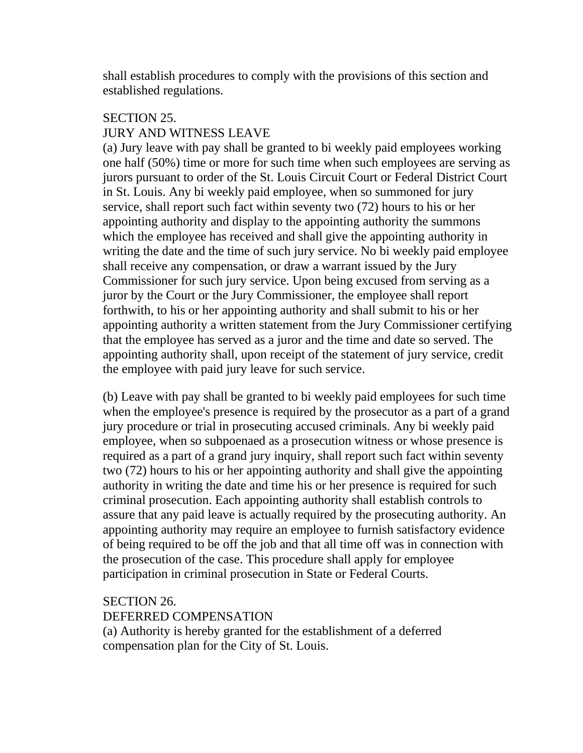shall establish procedures to comply with the provisions of this section and established regulations.

## SECTION 25.

## JURY AND WITNESS LEAVE

(a) Jury leave with pay shall be granted to bi weekly paid employees working one half (50%) time or more for such time when such employees are serving as jurors pursuant to order of the St. Louis Circuit Court or Federal District Court in St. Louis. Any bi weekly paid employee, when so summoned for jury service, shall report such fact within seventy two (72) hours to his or her appointing authority and display to the appointing authority the summons which the employee has received and shall give the appointing authority in writing the date and the time of such jury service. No bi weekly paid employee shall receive any compensation, or draw a warrant issued by the Jury Commissioner for such jury service. Upon being excused from serving as a juror by the Court or the Jury Commissioner, the employee shall report forthwith, to his or her appointing authority and shall submit to his or her appointing authority a written statement from the Jury Commissioner certifying that the employee has served as a juror and the time and date so served. The appointing authority shall, upon receipt of the statement of jury service, credit the employee with paid jury leave for such service.

(b) Leave with pay shall be granted to bi weekly paid employees for such time when the employee's presence is required by the prosecutor as a part of a grand jury procedure or trial in prosecuting accused criminals. Any bi weekly paid employee, when so subpoenaed as a prosecution witness or whose presence is required as a part of a grand jury inquiry, shall report such fact within seventy two (72) hours to his or her appointing authority and shall give the appointing authority in writing the date and time his or her presence is required for such criminal prosecution. Each appointing authority shall establish controls to assure that any paid leave is actually required by the prosecuting authority. An appointing authority may require an employee to furnish satisfactory evidence of being required to be off the job and that all time off was in connection with the prosecution of the case. This procedure shall apply for employee participation in criminal prosecution in State or Federal Courts.

## SECTION 26.

## DEFERRED COMPENSATION

(a) Authority is hereby granted for the establishment of a deferred compensation plan for the City of St. Louis.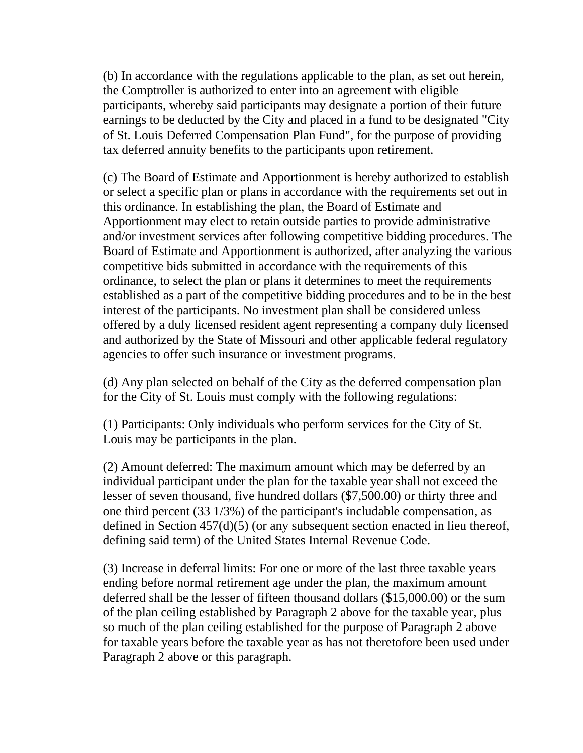(b) In accordance with the regulations applicable to the plan, as set out herein, the Comptroller is authorized to enter into an agreement with eligible participants, whereby said participants may designate a portion of their future earnings to be deducted by the City and placed in a fund to be designated "City of St. Louis Deferred Compensation Plan Fund", for the purpose of providing tax deferred annuity benefits to the participants upon retirement.

(c) The Board of Estimate and Apportionment is hereby authorized to establish or select a specific plan or plans in accordance with the requirements set out in this ordinance. In establishing the plan, the Board of Estimate and Apportionment may elect to retain outside parties to provide administrative and/or investment services after following competitive bidding procedures. The Board of Estimate and Apportionment is authorized, after analyzing the various competitive bids submitted in accordance with the requirements of this ordinance, to select the plan or plans it determines to meet the requirements established as a part of the competitive bidding procedures and to be in the best interest of the participants. No investment plan shall be considered unless offered by a duly licensed resident agent representing a company duly licensed and authorized by the State of Missouri and other applicable federal regulatory agencies to offer such insurance or investment programs.

(d) Any plan selected on behalf of the City as the deferred compensation plan for the City of St. Louis must comply with the following regulations:

(1) Participants: Only individuals who perform services for the City of St. Louis may be participants in the plan.

(2) Amount deferred: The maximum amount which may be deferred by an individual participant under the plan for the taxable year shall not exceed the lesser of seven thousand, five hundred dollars (\$7,500.00) or thirty three and one third percent (33 1/3%) of the participant's includable compensation, as defined in Section 457(d)(5) (or any subsequent section enacted in lieu thereof, defining said term) of the United States Internal Revenue Code.

(3) Increase in deferral limits: For one or more of the last three taxable years ending before normal retirement age under the plan, the maximum amount deferred shall be the lesser of fifteen thousand dollars (\$15,000.00) or the sum of the plan ceiling established by Paragraph 2 above for the taxable year, plus so much of the plan ceiling established for the purpose of Paragraph 2 above for taxable years before the taxable year as has not theretofore been used under Paragraph 2 above or this paragraph.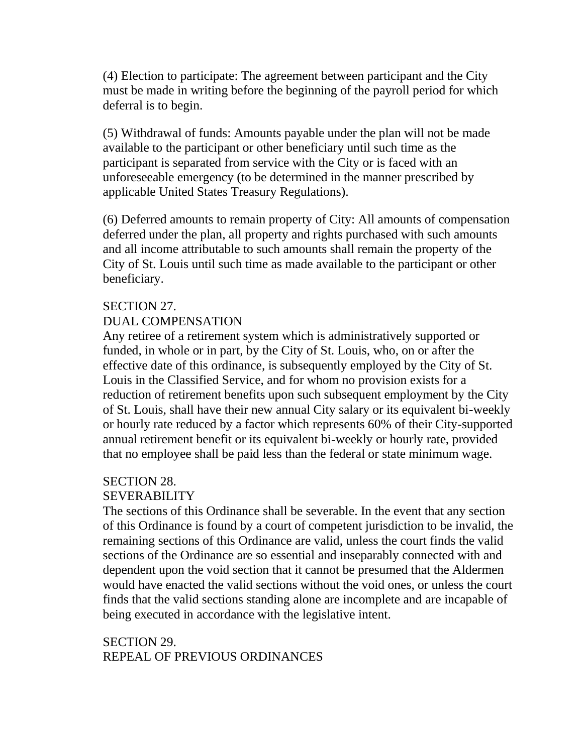(4) Election to participate: The agreement between participant and the City must be made in writing before the beginning of the payroll period for which deferral is to begin.

(5) Withdrawal of funds: Amounts payable under the plan will not be made available to the participant or other beneficiary until such time as the participant is separated from service with the City or is faced with an unforeseeable emergency (to be determined in the manner prescribed by applicable United States Treasury Regulations).

(6) Deferred amounts to remain property of City: All amounts of compensation deferred under the plan, all property and rights purchased with such amounts and all income attributable to such amounts shall remain the property of the City of St. Louis until such time as made available to the participant or other beneficiary.

#### SECTION 27.

## DUAL COMPENSATION

Any retiree of a retirement system which is administratively supported or funded, in whole or in part, by the City of St. Louis, who, on or after the effective date of this ordinance, is subsequently employed by the City of St. Louis in the Classified Service, and for whom no provision exists for a reduction of retirement benefits upon such subsequent employment by the City of St. Louis, shall have their new annual City salary or its equivalent bi-weekly or hourly rate reduced by a factor which represents 60% of their City-supported annual retirement benefit or its equivalent bi-weekly or hourly rate, provided that no employee shall be paid less than the federal or state minimum wage.

## SECTION 28.

## SEVERABILITY

The sections of this Ordinance shall be severable. In the event that any section of this Ordinance is found by a court of competent jurisdiction to be invalid, the remaining sections of this Ordinance are valid, unless the court finds the valid sections of the Ordinance are so essential and inseparably connected with and dependent upon the void section that it cannot be presumed that the Aldermen would have enacted the valid sections without the void ones, or unless the court finds that the valid sections standing alone are incomplete and are incapable of being executed in accordance with the legislative intent.

## SECTION 29. REPEAL OF PREVIOUS ORDINANCES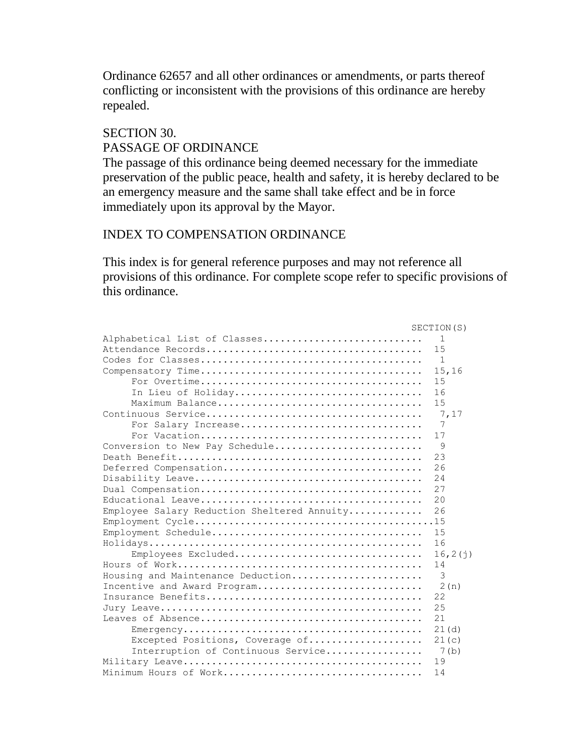Ordinance 62657 and all other ordinances or amendments, or parts thereof conflicting or inconsistent with the provisions of this ordinance are hereby repealed.

SECTION 30. PASSAGE OF ORDINANCE

The passage of this ordinance being deemed necessary for the immediate preservation of the public peace, health and safety, it is hereby declared to be an emergency measure and the same shall take effect and be in force immediately upon its approval by the Mayor.

#### INDEX TO COMPENSATION ORDINANCE

This index is for general reference purposes and may not reference all provisions of this ordinance. For complete scope refer to specific provisions of this ordinance.

|                                             | SECTION(S)   |
|---------------------------------------------|--------------|
| Alphabetical List of Classes                | $\mathbf{1}$ |
|                                             | 15           |
|                                             | $\mathbf{1}$ |
|                                             | 15,16        |
|                                             | 15           |
| In Lieu of Holiday                          | 16           |
|                                             | 15           |
|                                             | 7,17         |
| For Salary Increase                         | 7            |
|                                             | 17           |
| Conversion to New Pay Schedule              | 9            |
|                                             | 23           |
| Deferred Compensation                       | 26           |
|                                             | 24           |
|                                             | 27           |
|                                             | 20           |
| Employee Salary Reduction Sheltered Annuity | 26           |
|                                             |              |
|                                             | 15           |
|                                             | 16           |
| Employees Excluded                          | 16, 2(1)     |
|                                             | 14           |
| Housing and Maintenance Deduction           | 3            |
| Incentive and Award Program                 | 2(n)         |
|                                             | 22           |
|                                             | 25           |
|                                             | 21           |
|                                             | 21(d)        |
| Excepted Positions, Coverage of             | 21(c)        |
| Interruption of Continuous Service          | 7(b)         |
|                                             | 19           |
| Minimum Hours of Work                       | 14           |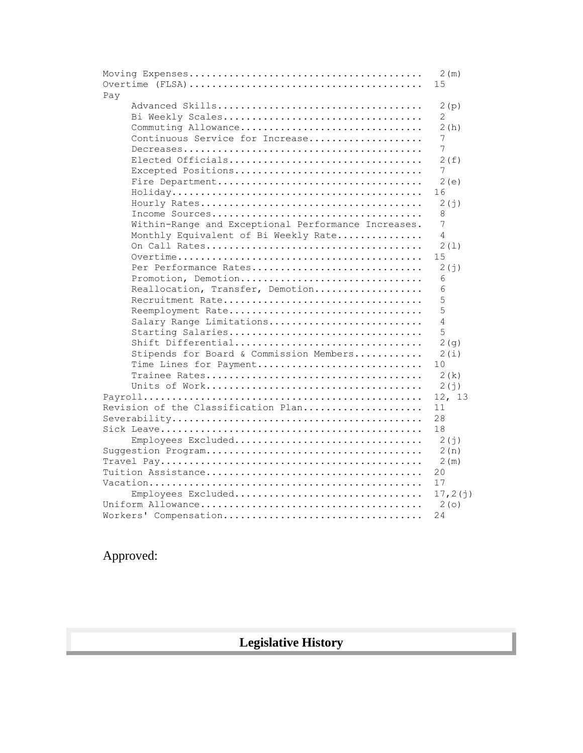|                                                     | 2(m)<br>15 |
|-----------------------------------------------------|------------|
| Pay                                                 |            |
|                                                     | 2(p)       |
|                                                     |            |
| Bi Weekly Scales                                    | 2          |
| Commuting Allowance                                 | 2 (h)      |
| Continuous Service for Increase                     | 7          |
|                                                     | 7          |
| Elected Officials                                   | 2 (f)      |
| Excepted Positions                                  | 7          |
|                                                     | 2(e)       |
|                                                     | 16         |
|                                                     | 2 (j)      |
|                                                     | 8          |
| Within-Range and Exceptional Performance Increases. | 7          |
| Monthly Equivalent of Bi Weekly Rate                | 4          |
|                                                     | 2(1)       |
|                                                     | 15         |
| Per Performance Rates                               |            |
|                                                     | 2(j)       |
| Promotion, Demotion                                 | 6          |
| Reallocation, Transfer, Demotion                    | 6          |
| Recruitment Rate                                    | 5          |
| Reemployment Rate                                   | 5          |
| Salary Range Limitations                            | 4          |
| Starting Salaries                                   | 5          |
| Shift Differential                                  | 2(g)       |
| Stipends for Board & Commission Members             | 2(i)       |
| Time Lines for Payment                              | 10         |
|                                                     | 2(k)       |
|                                                     | 2(j)       |
|                                                     | 12, 13     |
| Revision of the Classification Plan                 | 11         |
|                                                     | 28         |
|                                                     | 18         |
| Employees Excluded                                  | 2(j)       |
|                                                     | 2(n)       |
|                                                     | 2(m)       |
|                                                     | 20         |
|                                                     |            |
|                                                     | 17         |
| Employees Excluded                                  | 17, 2(j)   |
|                                                     | 2(0)       |
| Workers' Compensation                               | 24         |

Approved:

# **Legislative History**

 $\overline{\phantom{a}}$